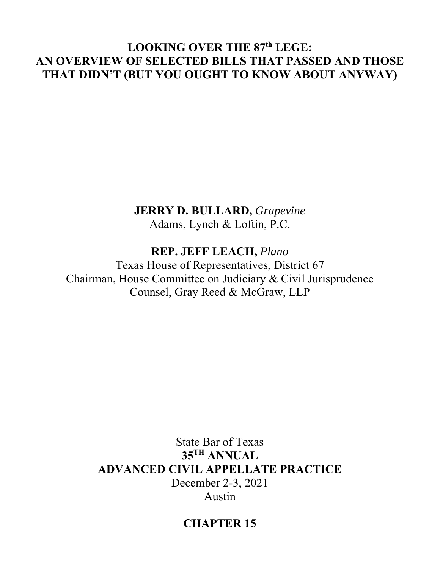# LOOKING OVER THE 87<sup>th</sup> LEGE: **AN OVERVIEW OF SELECTED BILLS THAT PASSED AND THOSE THAT DIDN'T (BUT YOU OUGHT TO KNOW ABOUT ANYWAY)**

# **JERRY D. BULLARD,** *Grapevine*

Adams, Lynch & Loftin, P.C.

# **REP. JEFF LEACH,** *Plano*

Texas House of Representatives, District 67 Chairman, House Committee on Judiciary & Civil Jurisprudence Counsel, Gray Reed & McGraw, LLP

> State Bar of Texas **35TH ANNUAL ADVANCED CIVIL APPELLATE PRACTICE**  December 2-3, 2021 Austin

# **CHAPTER 15**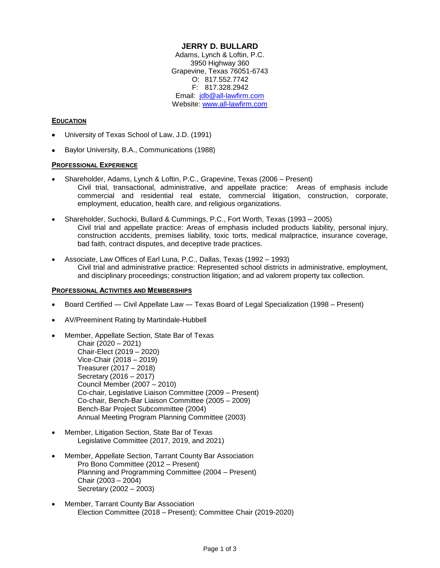### **JERRY D. BULLARD**

Adams, Lynch & Loftin, P.C. 3950 Highway 360 Grapevine, Texas 76051-6743 O: 817.552.7742 F: 817.328.2942 Email: [jdb@all-lawfirm.com](mailto:nwa@all-lawfirm.com) Website: [www.all-lawfirm.com](http://www.all-lawfirm.com/)

### **EDUCATION**

- University of Texas School of Law, J.D. (1991)
- Baylor University, B.A., Communications (1988)

### **PROFESSIONAL EXPERIENCE**

- Shareholder, Adams, Lynch & Loftin, P.C., Grapevine, Texas (2006 Present) Civil trial, transactional, administrative, and appellate practice: Areas of emphasis include commercial and residential real estate, commercial litigation, construction, corporate, employment, education, health care, and religious organizations.
- Shareholder, Suchocki, Bullard & Cummings, P.C., Fort Worth, Texas (1993 2005) Civil trial and appellate practice: Areas of emphasis included products liability, personal injury, construction accidents, premises liability, toxic torts, medical malpractice, insurance coverage, bad faith, contract disputes, and deceptive trade practices.
- Associate, Law Offices of Earl Luna, P.C., Dallas, Texas (1992 1993) Civil trial and administrative practice: Represented school districts in administrative, employment, and disciplinary proceedings; construction litigation; and ad valorem property tax collection.

### **PROFESSIONAL ACTIVITIES AND MEMBERSHIPS**

- Board Certified ― Civil Appellate Law ― Texas Board of Legal Specialization (1998 Present)
- AV/Preeminent Rating by Martindale-Hubbell
- Member, Appellate Section, State Bar of Texas Chair (2020 – 2021) Chair-Elect (2019 – 2020) Vice-Chair (2018 – 2019) Treasurer (2017 – 2018) Secretary (2016 – 2017) Council Member (2007 – 2010) Co-chair, Legislative Liaison Committee (2009 – Present) Co-chair, Bench-Bar Liaison Committee (2005 – 2009) Bench-Bar Project Subcommittee (2004) Annual Meeting Program Planning Committee (2003)
- Member, Litigation Section, State Bar of Texas Legislative Committee (2017, 2019, and 2021)
- Member, Appellate Section, Tarrant County Bar Association Pro Bono Committee (2012 – Present) Planning and Programming Committee (2004 – Present) Chair (2003 – 2004) Secretary (2002 – 2003)
- Member, Tarrant County Bar Association Election Committee (2018 – Present); Committee Chair (2019-2020)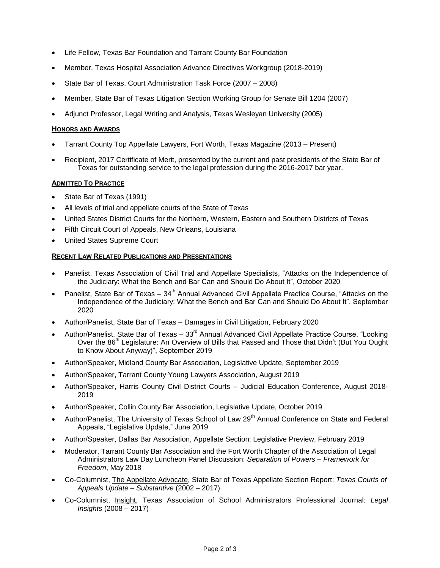- Life Fellow, Texas Bar Foundation and Tarrant County Bar Foundation
- Member, Texas Hospital Association Advance Directives Workgroup (2018-2019)
- State Bar of Texas, Court Administration Task Force (2007 2008)
- Member, State Bar of Texas Litigation Section Working Group for Senate Bill 1204 (2007)
- Adjunct Professor, Legal Writing and Analysis, Texas Wesleyan University (2005)

### **HONORS AND AWARDS**

- Tarrant County Top Appellate Lawyers, Fort Worth, Texas Magazine (2013 Present)
- Recipient, 2017 Certificate of Merit, presented by the current and past presidents of the State Bar of Texas for outstanding service to the legal profession during the 2016-2017 bar year.

### **ADMITTED TO PRACTICE**

- State Bar of Texas (1991)
- All levels of trial and appellate courts of the State of Texas
- United States District Courts for the Northern, Western, Eastern and Southern Districts of Texas
- Fifth Circuit Court of Appeals, New Orleans, Louisiana
- United States Supreme Court

### **RECENT LAW RELATED PUBLICATIONS AND PRESENTATIONS**

- Panelist, Texas Association of Civil Trial and Appellate Specialists, "Attacks on the Independence of the Judiciary: What the Bench and Bar Can and Should Do About It", October 2020
- Panelist, State Bar of Texas  $34<sup>th</sup>$  Annual Advanced Civil Appellate Practice Course, "Attacks on the Independence of the Judiciary: What the Bench and Bar Can and Should Do About It", September 2020
- Author/Panelist, State Bar of Texas Damages in Civil Litigation, February 2020
- Author/Panelist, State Bar of Texas 33<sup>rd</sup> Annual Advanced Civil Appellate Practice Course, "Looking Over the 86<sup>th</sup> Legislature: An Overview of Bills that Passed and Those that Didn't (But You Ought to Know About Anyway)", September 2019
- Author/Speaker, Midland County Bar Association, Legislative Update, September 2019
- Author/Speaker, Tarrant County Young Lawyers Association, August 2019
- Author/Speaker, Harris County Civil District Courts Judicial Education Conference, August 2018- 2019
- Author/Speaker, Collin County Bar Association, Legislative Update, October 2019
- Author/Panelist, The University of Texas School of Law 29<sup>th</sup> Annual Conference on State and Federal Appeals, "Legislative Update," June 2019
- Author/Speaker, Dallas Bar Association, Appellate Section: Legislative Preview, February 2019
- Moderator, Tarrant County Bar Association and the Fort Worth Chapter of the Association of Legal Administrators Law Day Luncheon Panel Discussion: *Separation of Powers – Framework for Freedom*, May 2018
- Co-Columnist, The Appellate Advocate, State Bar of Texas Appellate Section Report: *Texas Courts of Appeals Update – Substantive* (2002 – 2017)
- Co-Columnist, Insight, Texas Association of School Administrators Professional Journal: *Legal Insights* (2008 – 2017)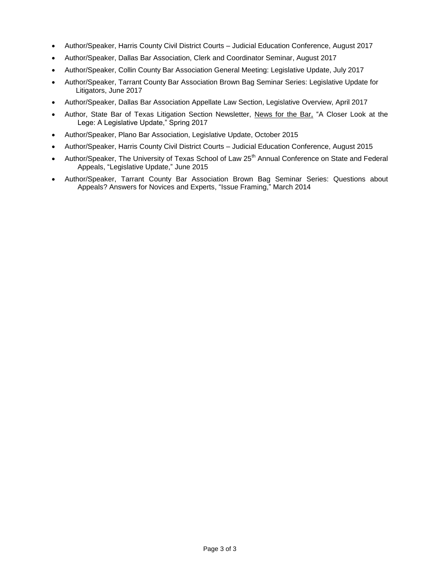- Author/Speaker, Harris County Civil District Courts Judicial Education Conference, August 2017
- Author/Speaker, Dallas Bar Association, Clerk and Coordinator Seminar, August 2017
- Author/Speaker, Collin County Bar Association General Meeting: Legislative Update, July 2017
- Author/Speaker, Tarrant County Bar Association Brown Bag Seminar Series: Legislative Update for Litigators, June 2017
- Author/Speaker, Dallas Bar Association Appellate Law Section, Legislative Overview, April 2017
- Author, State Bar of Texas Litigation Section Newsletter, News for the Bar, "A Closer Look at the Lege: A Legislative Update," Spring 2017
- Author/Speaker, Plano Bar Association, Legislative Update, October 2015
- Author/Speaker, Harris County Civil District Courts Judicial Education Conference, August 2015
- Author/Speaker, The University of Texas School of Law 25<sup>th</sup> Annual Conference on State and Federal Appeals, "Legislative Update," June 2015
- Author/Speaker, Tarrant County Bar Association Brown Bag Seminar Series: Questions about Appeals? Answers for Novices and Experts, "Issue Framing," March 2014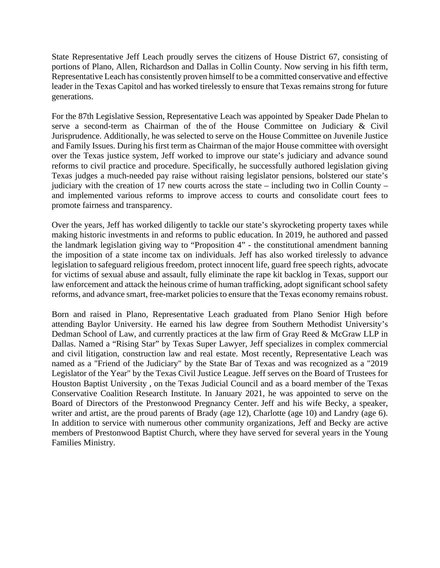State Representative Jeff Leach proudly serves the citizens of House District 67, consisting of portions of Plano, Allen, Richardson and Dallas in Collin County. Now serving in his fifth term, Representative Leach has consistently proven himself to be a committed conservative and effective leader in the Texas Capitol and has worked tirelessly to ensure that Texas remains strong for future generations.

For the 87th Legislative Session, Representative Leach was appointed by Speaker Dade Phelan to serve a second-term as Chairman of the of the House Committee on Judiciary & Civil Jurisprudence. Additionally, he was selected to serve on the House Committee on Juvenile Justice and Family Issues. During his first term as Chairman of the major House committee with oversight over the Texas justice system, Jeff worked to improve our state's judiciary and advance sound reforms to civil practice and procedure. Specifically, he successfully authored legislation giving Texas judges a much-needed pay raise without raising legislator pensions, bolstered our state's judiciary with the creation of 17 new courts across the state – including two in Collin County – and implemented various reforms to improve access to courts and consolidate court fees to promote fairness and transparency.

Over the years, Jeff has worked diligently to tackle our state's skyrocketing property taxes while making historic investments in and reforms to public education. In 2019, he authored and passed the landmark legislation giving way to "Proposition 4" - the constitutional amendment banning the imposition of a state income tax on individuals. Jeff has also worked tirelessly to advance legislation to safeguard religious freedom, protect innocent life, guard free speech rights, advocate for victims of sexual abuse and assault, fully eliminate the rape kit backlog in Texas, support our law enforcement and attack the heinous crime of human trafficking, adopt significant school safety reforms, and advance smart, free-market policies to ensure that the Texas economy remains robust.

Born and raised in Plano, Representative Leach graduated from Plano Senior High before attending Baylor University. He earned his law degree from Southern Methodist University's Dedman School of Law, and currently practices at the law firm of Gray Reed & McGraw LLP in Dallas. Named a "Rising Star" by Texas Super Lawyer, Jeff specializes in complex commercial and civil litigation, construction law and real estate. Most recently, Representative Leach was named as a "Friend of the Judiciary" by the State Bar of Texas and was recognized as a "2019 Legislator of the Year" by the Texas Civil Justice League. Jeff serves on the Board of Trustees for Houston Baptist University , on the Texas Judicial Council and as a board member of the Texas Conservative Coalition Research Institute. In January 2021, he was appointed to serve on the Board of Directors of the Prestonwood Pregnancy Center. Jeff and his wife Becky, a speaker, writer and artist, are the proud parents of Brady (age 12), Charlotte (age 10) and Landry (age 6). In addition to service with numerous other community organizations, Jeff and Becky are active members of Prestonwood Baptist Church, where they have served for several years in the Young Families Ministry.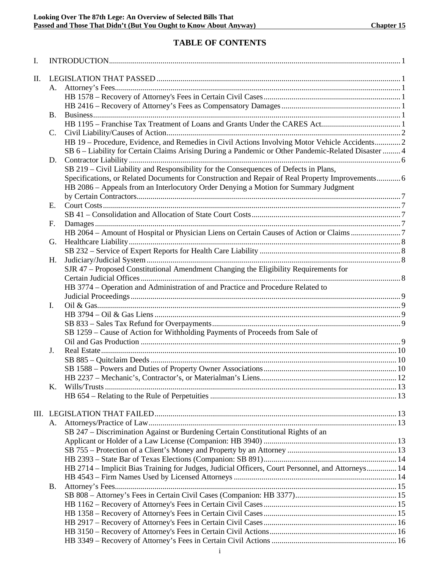# **TABLE OF CONTENTS**

| I.  |                |                                                                                                     |  |  |  |  |
|-----|----------------|-----------------------------------------------------------------------------------------------------|--|--|--|--|
| II. |                |                                                                                                     |  |  |  |  |
|     | А.             |                                                                                                     |  |  |  |  |
|     |                |                                                                                                     |  |  |  |  |
|     |                |                                                                                                     |  |  |  |  |
|     | <b>B.</b>      |                                                                                                     |  |  |  |  |
|     |                |                                                                                                     |  |  |  |  |
|     | $\mathbf{C}$ . |                                                                                                     |  |  |  |  |
|     |                | HB 19 – Procedure, Evidence, and Remedies in Civil Actions Involving Motor Vehicle Accidents 2      |  |  |  |  |
|     |                | SB 6 - Liability for Certain Claims Arising During a Pandemic or Other Pandemic-Related Disaster  4 |  |  |  |  |
|     | D.             |                                                                                                     |  |  |  |  |
|     |                | SB 219 – Civil Liability and Responsibility for the Consequences of Defects in Plans,               |  |  |  |  |
|     |                | Specifications, or Related Documents for Construction and Repair of Real Property Improvements 6    |  |  |  |  |
|     |                | HB 2086 - Appeals from an Interlocutory Order Denying a Motion for Summary Judgment                 |  |  |  |  |
|     |                |                                                                                                     |  |  |  |  |
|     |                |                                                                                                     |  |  |  |  |
|     | Е.             |                                                                                                     |  |  |  |  |
|     |                |                                                                                                     |  |  |  |  |
|     | F.             |                                                                                                     |  |  |  |  |
|     |                | HB 2064 - Amount of Hospital or Physician Liens on Certain Causes of Action or Claims7              |  |  |  |  |
|     | G.             |                                                                                                     |  |  |  |  |
|     |                |                                                                                                     |  |  |  |  |
|     | Н.             |                                                                                                     |  |  |  |  |
|     |                | SJR 47 – Proposed Constitutional Amendment Changing the Eligibility Requirements for                |  |  |  |  |
|     |                |                                                                                                     |  |  |  |  |
|     |                | HB 3774 – Operation and Administration of and Practice and Procedure Related to                     |  |  |  |  |
|     |                |                                                                                                     |  |  |  |  |
|     | I.             |                                                                                                     |  |  |  |  |
|     |                |                                                                                                     |  |  |  |  |
|     |                |                                                                                                     |  |  |  |  |
|     |                | SB 1259 – Cause of Action for Withholding Payments of Proceeds from Sale of                         |  |  |  |  |
|     |                |                                                                                                     |  |  |  |  |
|     | J.             |                                                                                                     |  |  |  |  |
|     |                |                                                                                                     |  |  |  |  |
|     |                |                                                                                                     |  |  |  |  |
|     |                |                                                                                                     |  |  |  |  |
|     | Κ.             |                                                                                                     |  |  |  |  |
|     |                |                                                                                                     |  |  |  |  |
|     |                |                                                                                                     |  |  |  |  |
|     |                |                                                                                                     |  |  |  |  |
|     | А.             |                                                                                                     |  |  |  |  |
|     |                | SB 247 – Discrimination Against or Burdening Certain Constitutional Rights of an                    |  |  |  |  |
|     |                |                                                                                                     |  |  |  |  |
|     |                |                                                                                                     |  |  |  |  |
|     |                |                                                                                                     |  |  |  |  |
|     |                | HB 2714 - Implicit Bias Training for Judges, Judicial Officers, Court Personnel, and Attorneys 14   |  |  |  |  |
|     |                |                                                                                                     |  |  |  |  |
|     | <b>B.</b>      |                                                                                                     |  |  |  |  |
|     |                |                                                                                                     |  |  |  |  |
|     |                |                                                                                                     |  |  |  |  |
|     |                |                                                                                                     |  |  |  |  |
|     |                |                                                                                                     |  |  |  |  |
|     |                |                                                                                                     |  |  |  |  |
|     |                |                                                                                                     |  |  |  |  |
|     |                |                                                                                                     |  |  |  |  |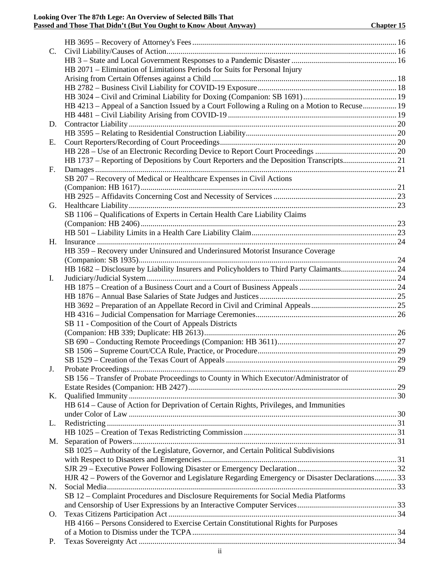**Looking Over The 87th Lege: An Overview of Selected Bills That Passed and Those That Didn't (But You Ought to Know About Anyway) Chapter 15**

| $C_{\cdot}$ |                                                                                                 |  |
|-------------|-------------------------------------------------------------------------------------------------|--|
|             |                                                                                                 |  |
|             | HB 2071 - Elimination of Limitations Periods for Suits for Personal Injury                      |  |
|             |                                                                                                 |  |
|             |                                                                                                 |  |
|             |                                                                                                 |  |
|             | HB 4213 - Appeal of a Sanction Issued by a Court Following a Ruling on a Motion to Recuse 19    |  |
|             |                                                                                                 |  |
| D.          |                                                                                                 |  |
|             |                                                                                                 |  |
| Е.          |                                                                                                 |  |
|             |                                                                                                 |  |
|             | HB 1737 – Reporting of Depositions by Court Reporters and the Deposition Transcripts21          |  |
| F.          |                                                                                                 |  |
|             | SB 207 – Recovery of Medical or Healthcare Expenses in Civil Actions                            |  |
|             |                                                                                                 |  |
|             |                                                                                                 |  |
| G.          |                                                                                                 |  |
|             | SB 1106 - Qualifications of Experts in Certain Health Care Liability Claims                     |  |
|             |                                                                                                 |  |
|             |                                                                                                 |  |
| Н.          |                                                                                                 |  |
|             | HB 359 - Recovery under Uninsured and Underinsured Motorist Insurance Coverage                  |  |
|             |                                                                                                 |  |
|             |                                                                                                 |  |
| Ι.          |                                                                                                 |  |
|             |                                                                                                 |  |
|             |                                                                                                 |  |
|             |                                                                                                 |  |
|             |                                                                                                 |  |
|             | SB 11 - Composition of the Court of Appeals Districts                                           |  |
|             |                                                                                                 |  |
|             |                                                                                                 |  |
|             |                                                                                                 |  |
|             |                                                                                                 |  |
| J.          |                                                                                                 |  |
|             | SB 156 - Transfer of Probate Proceedings to County in Which Executor/Administrator of           |  |
|             |                                                                                                 |  |
| K.          |                                                                                                 |  |
|             | HB 614 – Cause of Action for Deprivation of Certain Rights, Privileges, and Immunities          |  |
|             |                                                                                                 |  |
| L.          |                                                                                                 |  |
|             |                                                                                                 |  |
| M.          |                                                                                                 |  |
|             | SB 1025 - Authority of the Legislature, Governor, and Certain Political Subdivisions            |  |
|             |                                                                                                 |  |
|             |                                                                                                 |  |
|             | HJR 42 - Powers of the Governor and Legislature Regarding Emergency or Disaster Declarations 33 |  |
| N.          |                                                                                                 |  |
|             | SB 12 - Complaint Procedures and Disclosure Requirements for Social Media Platforms             |  |
|             |                                                                                                 |  |
| O.          |                                                                                                 |  |
|             | HB 4166 - Persons Considered to Exercise Certain Constitutional Rights for Purposes             |  |
|             |                                                                                                 |  |
| P.          |                                                                                                 |  |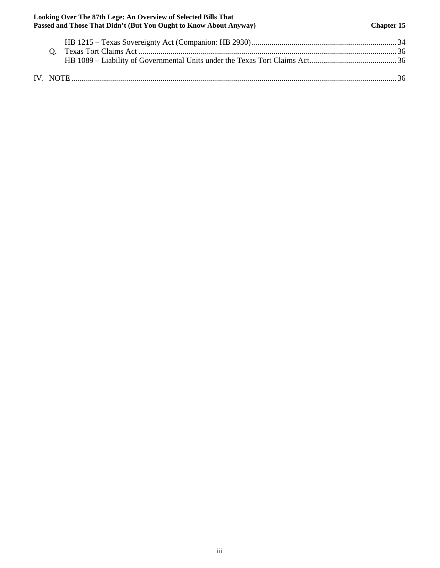| Looking Over The 87th Lege: An Overview of Selected Bills That    |                   |
|-------------------------------------------------------------------|-------------------|
| Passed and Those That Didn't (But You Ought to Know About Anyway) | <b>Chapter 15</b> |
|                                                                   |                   |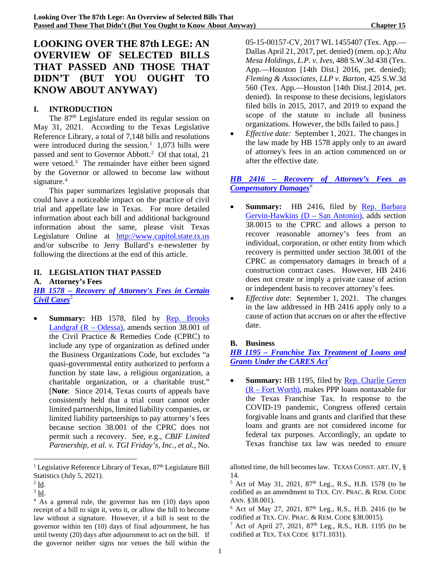# **LOOKING OVER THE 87th LEGE: AN OVERVIEW OF SELECTED BILLS THAT PASSED AND THOSE THAT DIDN'T (BUT YOU OUGHT TO KNOW ABOUT ANYWAY)**

### **I. INTRODUCTION**

The 87<sup>th</sup> Legislature ended its regular session on May 31, 2021. According to the Texas Legislative Reference Library, a total of 7,148 bills and resolutions were introduced during the session. $\frac{1}{1,073}$  $\frac{1}{1,073}$  $\frac{1}{1,073}$  bills were passed and sent to Governor Abbott.<sup>2</sup> Of that total, 21 were vetoed. $3$  The remainder have either been signed by the Governor or allowed to become law without signature.<sup>4</sup>

This paper summarizes legislative proposals that could have a noticeable impact on the practice of civil trial and appellate law in Texas. For more detailed information about each bill and additional background information about the same, please visit Texas Legislature Online at [http://www.capitol.state.tx.us](http://www.capitol.state.tx.us/) and/or subscribe to Jerry Bullard's e-newsletter by following the directions at the end of this article.

# **II. LEGISLATION THAT PASSED**

### **A. Attorney's Fees**

*HB 1578 – [Recovery of Attorney's Fees in Certain](https://capitol.texas.gov/tlodocs/87R/billtext/pdf/HB01578F.pdf#navpanes=0)  [Civil Cases](https://capitol.texas.gov/tlodocs/87R/billtext/pdf/HB01578F.pdf#navpanes=0)[5](#page-12-4)*

**Summary:** HB 1578, filed by Rep. Brooks Landgraf  $(R - Odessa)$ , amends section 38.001 of the Civil Practice & Remedies Code (CPRC) to include any type of organization as defined under the Business Organizations Code, but excludes "a quasi-governmental entity authorized to perform a function by state law, a religious organization, a charitable organization, or a charitable trust." [**Note**: Since 2014, Texas courts of appeals have consistently held that a trial court cannot order limited partnerships, limited liability companies, or limited liability partnerships to pay attorney's fees because section 38.001 of the CPRC does not permit such a recovery. See, e.g., *CBIF Limited Partnership, et al. v. TGI Friday's, Inc., et al.*, No. 05-15-00157-CV, 2017 WL 1455407 (Tex. App.— Dallas April 21, 2017, pet. denied) (mem. op.); *Alta Mesa Holdings, L.P. v. Ives*, 488 S.W.3d 438 (Tex. App.—Houston [14th Dist.] 2016, pet. denied); *Fleming & Associates, LLP v. Barton*, 425 S.W.3d 560 (Tex. App.—Houston [14th Dist.] 2014, pet. denied). In response to these decisions, legislators filed bills in 2015, 2017, and 2019 to expand the scope of the statute to include all business organizations. However, the bills failed to pass.]

• *Effective date:* September 1, 2021. The changes in the law made by HB 1578 apply only to an award of attorney's fees in an action commenced on or after the effective date.

### *HB 2416 – [Recovery of Attorney's Fees as](https://capitol.texas.gov/tlodocs/87R/billtext/pdf/HB02416F.pdf#navpanes=0)  [Compensatory Damages](https://capitol.texas.gov/tlodocs/87R/billtext/pdf/HB02416F.pdf#navpanes=0)[6](#page-12-5)*

- Summary: HB 2416, filed by Rep. Barbara [Gervin-Hawkins \(D –](https://house.texas.gov/members/member-page/?district=120) San Antonio), adds section 38.0015 to the CPRC and allows a person to recover reasonable attorney's fees from an individual, corporation, or other entity from which recovery is permitted under section 38.001 of the CPRC as compensatory damages in breach of a construction contract cases. However, HB 2416 does not create or imply a private cause of action or independent basis to recover attorney's fees.
- *Effective date*: September 1, 2021. The changes in the law addressed in HB 2416 apply only to a cause of action that accrues on or after the effective date.

### **B. Business**

# *HB 1195 – [Franchise Tax Treatment of Loans and](https://capitol.texas.gov/tlodocs/87R/billtext/pdf/HB01195F.pdf#navpanes=0)  [Grants Under the CARES Act](https://capitol.texas.gov/tlodocs/87R/billtext/pdf/HB01195F.pdf#navpanes=0)[7](#page-12-6)*

• **Summary:** HB 1195, filed by Rep. Charlie Geren (R – [Fort Worth\),](https://house.texas.gov/members/member-page/?district=99) makes PPP loans nontaxable for the Texas Franchise Tax. In response to the COVID-19 pandemic, Congress offered certain forgivable loans and grants and clarified that these loans and grants are not considered income for federal tax purposes. Accordingly, an update to Texas franchise tax law was needed to ensure

allotted time, the bill becomes law. TEXAS CONST. ART. IV, § 14.

<sup>5</sup> Act of May 31, 2021, 87<sup>th</sup> Leg., R.S., H.B. 1578 (to be codified as an amendment to TEX. CIV. PRAC. & REM. CODE ANN. §38.001).

 $6$  Act of May 27, 2021, 87<sup>th</sup> Leg., R.S., H.B. 2416 (to be codified at TEX. CIV. PRAC. & REM. CODE §38.0015).

<sup>7</sup> Act of April 27, 2021,  $87<sup>th</sup>$  Leg., R.S., H.B. 1195 (to be codified at TEX. TAX CODE §171.1031).

<span id="page-12-0"></span><sup>&</sup>lt;sup>1</sup> Legislative Reference Library of Texas,  $87<sup>th</sup>$  Legislature Bill Statistics (July 5, 2021).

<span id="page-12-4"></span><span id="page-12-1"></span> $2$  Id.

<span id="page-12-2"></span><sup>3</sup> Id.

<span id="page-12-6"></span><span id="page-12-5"></span><span id="page-12-3"></span><sup>4</sup> As a general rule, the governor has ten (10) days upon receipt of a bill to sign it, veto it, or allow the bill to become law without a signature. However, if a bill is sent to the governor within ten (10) days of final adjournment, he has until twenty (20) days after adjournment to act on the bill. If the governor neither signs nor vetoes the bill within the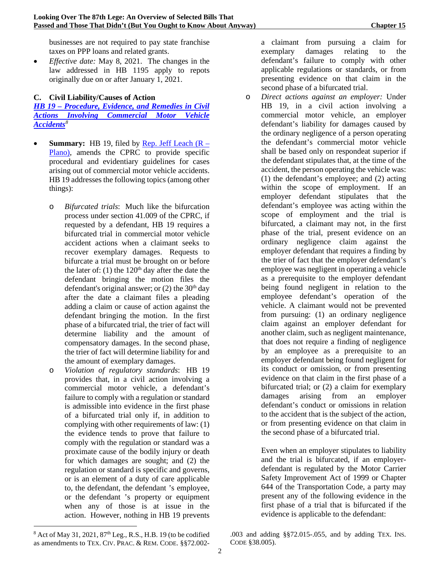businesses are not required to pay state franchise taxes on PPP loans and related grants.

• *Effective date:* May 8, 2021. The changes in the law addressed in HB 1195 apply to repots originally due on or after January 1, 2021.

# **C. Civil Liability/Causes of Action**

*HB 19 – [Procedure, Evidence, and Remedies in Civil](https://capitol.texas.gov/tlodocs/87R/billtext/pdf/HB00019F.pdf#navpanes=0)  [Actions Involving Commercial Motor Vehicle](https://capitol.texas.gov/tlodocs/87R/billtext/pdf/HB00019F.pdf#navpanes=0)  [Accidents](https://capitol.texas.gov/tlodocs/87R/billtext/pdf/HB00019F.pdf#navpanes=0)[8](#page-13-0)*

- **Summary:** HB 19, filed by [Rep. Jeff Leach \(R –](https://house.texas.gov/members/member-page/?district=67) [Plano\),](https://house.texas.gov/members/member-page/?district=67) amends the CPRC to provide specific procedural and evidentiary guidelines for cases arising out of commercial motor vehicle accidents. HB 19 addresses the following topics (among other things):
	- o *Bifurcated trials*: Much like the bifurcation process under section 41.009 of the CPRC, if requested by a defendant, HB 19 requires a bifurcated trial in commercial motor vehicle accident actions when a claimant seeks to recover exemplary damages. Requests to bifurcate a trial must be brought on or before the later of: (1) the  $120<sup>th</sup>$  day after the date the defendant bringing the motion files the defendant's original answer; or  $(2)$  the 30<sup>th</sup> day after the date a claimant files a pleading adding a claim or cause of action against the defendant bringing the motion. In the first phase of a bifurcated trial, the trier of fact will determine liability and the amount of compensatory damages. In the second phase, the trier of fact will determine liability for and the amount of exemplary damages.
	- o *Violation of regulatory standards*: HB 19 provides that, in a civil action involving a commercial motor vehicle, a defendant's failure to comply with a regulation or standard is admissible into evidence in the first phase of a bifurcated trial only if, in addition to complying with other requirements of law: (1) the evidence tends to prove that failure to comply with the regulation or standard was a proximate cause of the bodily injury or death for which damages are sought; and (2) the regulation or standard is specific and governs, or is an element of a duty of care applicable to, the defendant, the defendant 's employee, or the defendant 's property or equipment when any of those is at issue in the action. However, nothing in HB 19 prevents

a claimant from pursuing a claim for exemplary damages relating to the defendant's failure to comply with other applicable regulations or standards, or from presenting evidence on that claim in the second phase of a bifurcated trial.

o *Direct actions against an employer:* Under HB 19, in a civil action involving a commercial motor vehicle, an employer defendant's liability for damages caused by the ordinary negligence of a person operating the defendant's commercial motor vehicle shall be based only on respondeat superior if the defendant stipulates that, at the time of the accident, the person operating the vehicle was: (1) the defendant's employee; and (2) acting within the scope of employment. If an employer defendant stipulates that the defendant's employee was acting within the scope of employment and the trial is bifurcated, a claimant may not, in the first phase of the trial, present evidence on an ordinary negligence claim against the employer defendant that requires a finding by the trier of fact that the employer defendant's employee was negligent in operating a vehicle as a prerequisite to the employer defendant being found negligent in relation to the employee defendant's operation of the vehicle. A claimant would not be prevented from pursuing: (1) an ordinary negligence claim against an employer defendant for another claim, such as negligent maintenance, that does not require a finding of negligence by an employee as a prerequisite to an employer defendant being found negligent for its conduct or omission, or from presenting evidence on that claim in the first phase of a bifurcated trial; or (2) a claim for exemplary damages arising from an employer defendant's conduct or omissions in relation to the accident that is the subject of the action, or from presenting evidence on that claim in the second phase of a bifurcated trial.

Even when an employer stipulates to liability and the trial is bifurcated, if an employerdefendant is regulated by the Motor Carrier Safety Improvement Act of 1999 or Chapter 644 of the Transportation Code, a party may present any of the following evidence in the first phase of a trial that is bifurcated if the evidence is applicable to the defendant:

.003 and adding §§72.015-.055, and by adding TEX. INS. CODE §38.005).

<span id="page-13-0"></span> $8$  Act of May 31, 2021,  $87<sup>th</sup>$  Leg., R.S., H.B. 19 (to be codified as amendments to TEX. CIV. PRAC. & REM. CODE. §§72.002-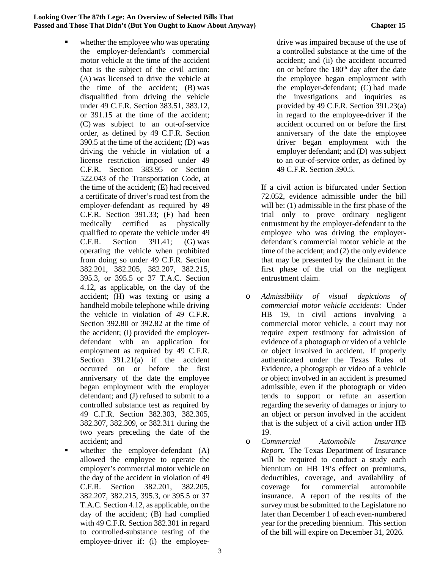- whether the employee who was operating the employer-defendant's commercial motor vehicle at the time of the accident that is the subject of the civil action: (A) was licensed to drive the vehicle at the time of the accident; (B) was disqualified from driving the vehicle under 49 C.F.R. Section 383.51, 383.12, or 391.15 at the time of the accident; (C) was subject to an out-of-service order, as defined by 49 C.F.R. Section 390.5 at the time of the accident; (D) was driving the vehicle in violation of a license restriction imposed under 49 C.F.R. Section 383.95 or Section 522.043 of the Transportation Code, at the time of the accident; (E) had received a certificate of driver's road test from the employer-defendant as required by 49 C.F.R. Section 391.33; (F) had been medically certified as physically qualified to operate the vehicle under 49 C.F.R. Section  $391.41$ ; (G) was operating the vehicle when prohibited from doing so under 49 C.F.R. Section 382.201, 382.205, 382.207, 382.215, 395.3, or 395.5 or 37 T.A.C. Section 4.12, as applicable, on the day of the accident; (H) was texting or using a handheld mobile telephone while driving the vehicle in violation of 49 C.F.R. Section 392.80 or 392.82 at the time of the accident; (I) provided the employerdefendant with an application for employment as required by 49 C.F.R. Section 391.21(a) if the accident occurred on or before the first anniversary of the date the employee began employment with the employer defendant; and (J) refused to submit to a
- controlled substance test as required by 49 C.F.R. Section 382.303, 382.305, 382.307, 382.309, or 382.311 during the two years preceding the date of the accident; and
- $\blacksquare$  whether the employer-defendant  $(A)$ allowed the employee to operate the employer's commercial motor vehicle on the day of the accident in violation of 49 C.F.R. Section 382.201, 382.205, 382.207, 382.215, 395.3, or 395.5 or 37 T.A.C. Section 4.12, as applicable, on the day of the accident; (B) had complied with 49 C.F.R. Section 382.301 in regard to controlled-substance testing of the employee-driver if: (i) the employee-

drive was impaired because of the use of a controlled substance at the time of the accident; and (ii) the accident occurred on or before the 180<sup>th</sup> day after the date the employee began employment with the employer-defendant; (C) had made the investigations and inquiries as provided by 49 C.F.R. Section 391.23(a) in regard to the employee-driver if the accident occurred on or before the first anniversary of the date the employee driver began employment with the employer defendant; and (D) was subject to an out-of-service order, as defined by 49 C.F.R. Section 390.5.

If a civil action is bifurcated under Section 72.052, evidence admissible under the bill will be: (1) admissible in the first phase of the trial only to prove ordinary negligent entrustment by the employer-defendant to the employee who was driving the employerdefendant's commercial motor vehicle at the time of the accident; and (2) the only evidence that may be presented by the claimant in the first phase of the trial on the negligent entrustment claim.

- o *Admissibility of visual depictions of commercial motor vehicle accidents*: Under HB 19, in civil actions involving a commercial motor vehicle, a court may not require expert testimony for admission of evidence of a photograph or video of a vehicle or object involved in accident. If properly authenticated under the Texas Rules of Evidence, a photograph or video of a vehicle or object involved in an accident is presumed admissible, even if the photograph or video tends to support or refute an assertion regarding the severity of damages or injury to an object or person involved in the accident that is the subject of a civil action under HB 19.
- o *Commercial Automobile Insurance Report*. The Texas Department of Insurance will be required to conduct a study each biennium on HB 19's effect on premiums, deductibles, coverage, and availability of coverage for commercial automobile insurance. A report of the results of the survey must be submitted to the Legislature no later than December 1 of each even-numbered year for the preceding biennium. This section of the bill will expire on December 31, 2026.

3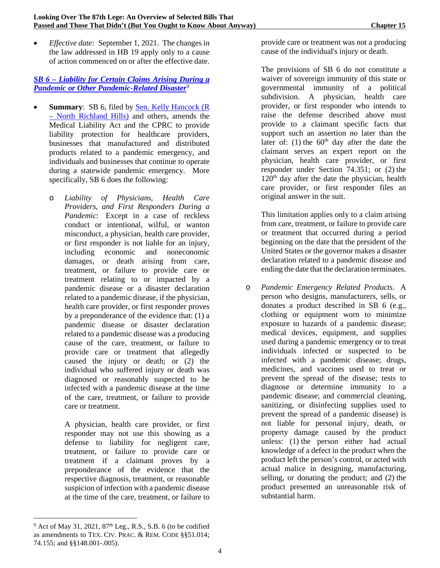• *Effective date:* September 1, 2021. The changes in the law addressed in HB 19 apply only to a cause of action commenced on or after the effective date.

### *SB 6 – [Liability for Certain Claims Arising During a](https://capitol.texas.gov/tlodocs/87R/billtext/pdf/SB00006F.pdf#navpanes=0)  [Pandemic or Other Pandemic-Related Disaster](https://capitol.texas.gov/tlodocs/87R/billtext/pdf/SB00006F.pdf#navpanes=0)*[9](#page-15-0)

- **Summary: SB 6, filed by Sen. Kelly Hancock (R)** – [North Richland Hills\)](https://senate.texas.gov/member.php?d=9) and others, amends the Medical Liability Act and the CPRC to provide liability protection for healthcare providers, businesses that manufactured and distributed products related to a pandemic emergency, and individuals and businesses that continue to operate during a statewide pandemic emergency. More specifically, SB 6 does the following:
	- o *Liability of Physicians, Health Care Providers, and First Responders During a Pandemic*: Except in a case of reckless conduct or intentional, wilful, or wanton misconduct, a physician, health care provider, or first responder is not liable for an injury, including economic and noneconomic damages, or death arising from care, treatment, or failure to provide care or treatment relating to or impacted by a pandemic disease or a disaster declaration related to a pandemic disease, if the physician, health care provider, or first responder proves by a preponderance of the evidence that: (1) a pandemic disease or disaster declaration related to a pandemic disease was a producing cause of the care, treatment, or failure to provide care or treatment that allegedly caused the injury or death; or (2) the individual who suffered injury or death was diagnosed or reasonably suspected to be infected with a pandemic disease at the time of the care, treatment, or failure to provide care or treatment.

A physician, health care provider, or first responder may not use this showing as a defense to liability for negligent care, treatment, or failure to provide care or treatment if a claimant proves by a preponderance of the evidence that the respective diagnosis, treatment, or reasonable suspicion of infection with a pandemic disease at the time of the care, treatment, or failure to

The provisions of SB 6 do not constitute a waiver of sovereign immunity of this state or governmental immunity of a political subdivision. A physician, health care provider, or first responder who intends to raise the defense described above must provide to a claimant specific facts that support such an assertion no later than the later of: (1) the  $60<sup>th</sup>$  day after the date the claimant serves an expert report on the physician, health care provider, or first responder under Section 74.351; or (2) the  $120<sup>th</sup>$  day after the date the physician, health care provider, or first responder files an original answer in the suit.

This limitation applies only to a claim arising from care, treatment, or failure to provide care or treatment that occurred during a period beginning on the date that the president of the United States or the governor makes a disaster declaration related to a pandemic disease and ending the date that the declaration terminates.

o *Pandemic Emergency Related Products*. A person who designs, manufacturers, sells, or donates a product described in SB 6 (e.g., clothing or equipment worn to minimize exposure to hazards of a pandemic disease; medical devices, equipment, and supplies used during a pandemic emergency or to treat individuals infected or suspected to be infected with a pandemic disease; drugs, medicines, and vaccines used to treat or prevent the spread of the disease; tests to diagnose or determine immunity to a pandemic disease; and commercial cleaning, sanitizing, or disinfecting supplies used to prevent the spread of a pandemic disease) is not liable for personal injury, death, or property damage caused by the product unless: (1) the person either had actual knowledge of a defect in the product when the product left the person's control, or acted with actual malice in designing, manufacturing, selling, or donating the product; and (2) the product presented an unreasonable risk of substantial harm.

provide care or treatment was not a producing cause of the individual's injury or death.

<span id="page-15-0"></span> $9$  Act of May 31, 2021,  $87<sup>th</sup>$  Leg., R.S., S.B. 6 (to be codified as amendments to TEX. CIV. PRAC. & REM. CODE §§51.014; 74.155; and §§148.001-.005).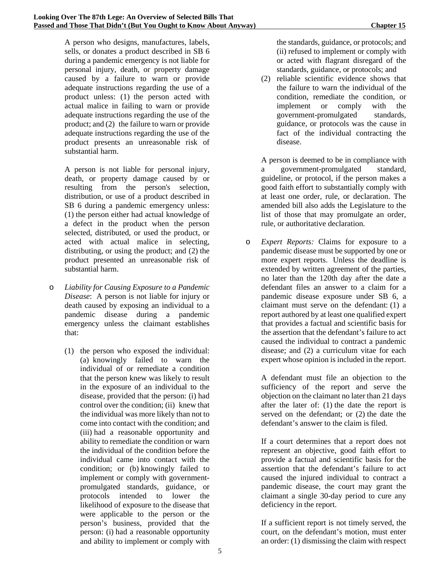A person who designs, manufactures, labels, sells, or donates a product described in SB 6 during a pandemic emergency is not liable for personal injury, death, or property damage caused by a failure to warn or provide adequate instructions regarding the use of a product unless: (1) the person acted with actual malice in failing to warn or provide adequate instructions regarding the use of the product; and (2) the failure to warn or provide adequate instructions regarding the use of the product presents an unreasonable risk of substantial harm.

A person is not liable for personal injury, death, or property damage caused by or resulting from the person's selection, distribution, or use of a product described in SB 6 during a pandemic emergency unless: (1) the person either had actual knowledge of a defect in the product when the person selected, distributed, or used the product, or acted with actual malice in selecting, distributing, or using the product; and (2) the product presented an unreasonable risk of substantial harm.

- o *Liability for Causing Exposure to a Pandemic Disease*: A person is not liable for injury or death caused by exposing an individual to a pandemic disease during a pandemic emergency unless the claimant establishes that:
	- (1) the person who exposed the individual: (a) knowingly failed to warn the individual of or remediate a condition that the person knew was likely to result in the exposure of an individual to the disease, provided that the person: (i) had control over the condition; (ii) knew that the individual was more likely than not to come into contact with the condition; and (iii) had a reasonable opportunity and ability to remediate the condition or warn the individual of the condition before the individual came into contact with the condition; or (b) knowingly failed to implement or comply with governmentpromulgated standards, guidance, or protocols intended to lower the likelihood of exposure to the disease that were applicable to the person or the person's business, provided that the person: (i) had a reasonable opportunity and ability to implement or comply with

the standards, guidance, or protocols; and (ii) refused to implement or comply with or acted with flagrant disregard of the standards, guidance, or protocols; and

(2) reliable scientific evidence shows that the failure to warn the individual of the condition, remediate the condition, or implement or comply with the government-promulgated standards, guidance, or protocols was the cause in fact of the individual contracting the disease.

A person is deemed to be in compliance with a government-promulgated standard, guideline, or protocol, if the person makes a good faith effort to substantially comply with at least one order, rule, or declaration. The amended bill also adds the Legislature to the list of those that may promulgate an order, rule, or authoritative declaration.

o *Expert Reports:* Claims for exposure to a pandemic disease must be supported by one or more expert reports. Unless the deadline is extended by written agreement of the parties, no later than the 120th day after the date a defendant files an answer to a claim for a pandemic disease exposure under SB 6, a claimant must serve on the defendant: (1) a report authored by at least one qualified expert that provides a factual and scientific basis for the assertion that the defendant's failure to act caused the individual to contract a pandemic disease; and (2) a curriculum vitae for each expert whose opinion is included in the report.

A defendant must file an objection to the sufficiency of the report and serve the objection on the claimant no later than 21 days after the later of: (1) the date the report is served on the defendant; or (2) the date the defendant's answer to the claim is filed.

If a court determines that a report does not represent an objective, good faith effort to provide a factual and scientific basis for the assertion that the defendant's failure to act caused the injured individual to contract a pandemic disease, the court may grant the claimant a single 30-day period to cure any deficiency in the report.

If a sufficient report is not timely served, the court, on the defendant's motion, must enter an order: (1) dismissing the claim with respect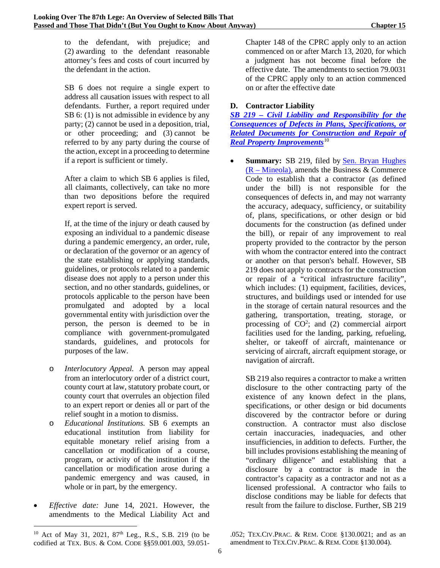to the defendant, with prejudice; and (2) awarding to the defendant reasonable attorney's fees and costs of court incurred by the defendant in the action.

SB 6 does not require a single expert to address all causation issues with respect to all defendants. Further, a report required under SB 6: (1) is not admissible in evidence by any party; (2) cannot be used in a deposition, trial, or other proceeding; and (3) cannot be referred to by any party during the course of the action, except in a proceeding to determine if a report is sufficient or timely.

After a claim to which SB 6 applies is filed, all claimants, collectively, can take no more than two depositions before the required expert report is served.

If, at the time of the injury or death caused by exposing an individual to a pandemic disease during a pandemic emergency, an order, rule, or declaration of the governor or an agency of the state establishing or applying standards, guidelines, or protocols related to a pandemic disease does not apply to a person under this section, and no other standards, guidelines, or protocols applicable to the person have been promulgated and adopted by a local governmental entity with jurisdiction over the person, the person is deemed to be in compliance with government-promulgated standards, guidelines, and protocols for purposes of the law.

- o *Interlocutory Appeal.* A person may appeal from an interlocutory order of a district court, county court at law, statutory probate court, or county court that overrules an objection filed to an expert report or denies all or part of the relief sought in a motion to dismiss.
- o *Educational Institutions.* SB 6 *e*xempts an educational institution from liability for equitable monetary relief arising from a cancellation or modification of a course, program, or activity of the institution if the cancellation or modification arose during a pandemic emergency and was caused, in whole or in part, by the emergency.
- *Effective date:* June 14, 2021. However, the amendments to the Medical Liability Act and

Chapter 148 of the CPRC apply only to an action commenced on or after March 13, 2020, for which a judgment has not become final before the effective date. The amendments to section 79.0031 of the CPRC apply only to an action commenced on or after the effective date

# **D. Contractor Liability**

*SB 219 – [Civil Liability and Responsibility for the](https://capitol.texas.gov/tlodocs/87R/billtext/pdf/SB00219F.pdf#navpanes=0)  [Consequences of Defects in Plans, Specifications, or](https://capitol.texas.gov/tlodocs/87R/billtext/pdf/SB00219F.pdf#navpanes=0)  [Related Documents for Construction and Repair of](https://capitol.texas.gov/tlodocs/87R/billtext/pdf/SB00219F.pdf#navpanes=0)  [Real Property Improvements](https://capitol.texas.gov/tlodocs/87R/billtext/pdf/SB00219F.pdf#navpanes=0)*[10](#page-17-0)

• **Summary:** SB 219, filed by <u>Sen. Bryan Hughes</u>  $(R - Mineola)$ , amends the Business & Commerce Code to establish that a contractor (as defined under the bill) is not responsible for the consequences of defects in, and may not warranty the accuracy, adequacy, sufficiency, or suitability of, plans, specifications, or other design or bid documents for the construction (as defined under the bill), or repair of any improvement to real property provided to the contractor by the person with whom the contractor entered into the contract or another on that person's behalf. However, SB 219 does not apply to contracts for the construction or repair of a "critical infrastructure facility", which includes: (1) equipment, facilities, devices, structures, and buildings used or intended for use in the storage of certain natural resources and the gathering, transportation, treating, storage, or processing of  $CO<sup>2</sup>$ ; and (2) commercial airport facilities used for the landing, parking, refueling, shelter, or takeoff of aircraft, maintenance or servicing of aircraft, aircraft equipment storage, or navigation of aircraft.

SB 219 also requires a contractor to make a written disclosure to the other contracting party of the existence of any known defect in the plans, specifications, or other design or bid documents discovered by the contractor before or during construction. A contractor must also disclose certain inaccuracies, inadequacies, and other insufficiencies, in addition to defects. Further, the bill includes provisions establishing the meaning of "ordinary diligence" and establishing that a disclosure by a contractor is made in the contractor's capacity as a contractor and not as a licensed professional. A contractor who fails to disclose conditions may be liable for defects that result from the failure to disclose. Further, SB 219

.052; TEX.CIV.PRAC. & REM. CODE §130.0021; and as an amendment to TEX.CIV.PRAC. & REM. CODE §130.004).

<span id="page-17-0"></span><sup>&</sup>lt;sup>10</sup> Act of May 31, 2021, 87<sup>th</sup> Leg., R.S., S.B. 219 (to be codified at TEX. BUS. & COM. CODE §§59.001.003, 59.051-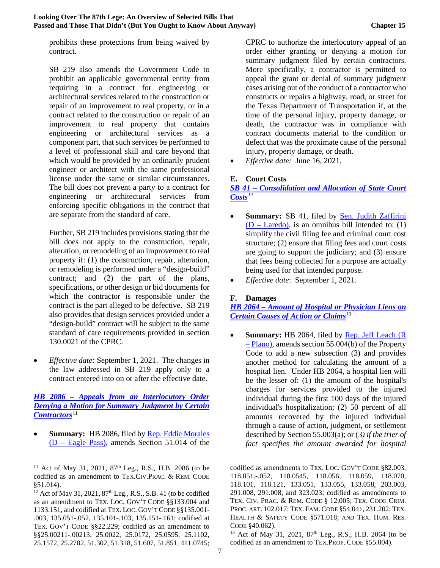prohibits these protections from being waived by contract.

SB 219 also amends the Government Code to prohibit an applicable governmental entity from requiring in a contract for engineering or architectural services related to the construction or repair of an improvement to real property, or in a contract related to the construction or repair of an improvement to real property that contains engineering or architectural services as a component part, that such services be performed to a level of professional skill and care beyond that which would be provided by an ordinarily prudent engineer or architect with the same professional license under the same or similar circumstances. The bill does not prevent a party to a contract for engineering or architectural services from enforcing specific obligations in the contract that are separate from the standard of care.

Further, SB 219 includes provisions stating that the bill does not apply to the construction, repair, alteration, or remodeling of an improvement to real property if: (1) the construction, repair, alteration, or remodeling is performed under a "design-build" contract; and (2) the part of the plans, specifications, or other design or bid documents for which the contractor is responsible under the contract is the part alleged to be defective. SB 219 also provides that design services provided under a "design-build" contract will be subject to the same standard of care requirements provided in section 130.0021 of the CPRC.

• *Effective date:* September 1, 2021. The changes in the law addressed in SB 219 apply only to a contract entered into on or after the effective date.

*HB 2086 – [Appeals from an Interlocutory Order](https://capitol.texas.gov/tlodocs/87R/billtext/pdf/HB02086F.pdf#navpanes=0)  [Denying a Motion for Summary Judgment by Certain](https://capitol.texas.gov/tlodocs/87R/billtext/pdf/HB02086F.pdf#navpanes=0)*   $$ 

Summary: HB 2086, filed by Rep. Eddie Morales (D – [Eagle Pass\),](https://house.texas.gov/members/member-page/?district=74) amends Section 51.014 of the CPRC to authorize the interlocutory appeal of an order either granting or denying a motion for summary judgment filed by certain contractors. More specifically, a contractor is permitted to appeal the grant or denial of summary judgment cases arising out of the conduct of a contractor who constructs or repairs a highway, road, or street for the Texas Department of Transportation if, at the time of the personal injury, property damage, or death, the contractor was in compliance with contract documents material to the condition or defect that was the proximate cause of the personal injury, property damage, or death.

• *Effective date:* June 16, 2021.

### **E. Court Costs**

*SB 41 – [Consolidation and Allocation of State Court](https://capitol.texas.gov/tlodocs/87R/billtext/pdf/SB00041F.pdf#navpanes=0)  [Costs](https://capitol.texas.gov/tlodocs/87R/billtext/pdf/SB00041F.pdf#navpanes=0)[12](#page-18-1)*

- **Summary:** SB 41, filed by <u>Sen. Judith Zaffirini</u>  $(D - Laredo)$ , is an omnibus bill intended to: (1) simplify the civil filing fee and criminal court cost structure; (2) ensure that filing fees and court costs are going to support the judiciary; and (3) ensure that fees being collected for a purpose are actually being used for that intended purpose.
- *Effective date*: September 1, 2021.

# **F. Damages**

### *HB 2064 – [Amount of Hospital or Physician Liens on](https://capitol.texas.gov/tlodocs/87R/billtext/pdf/HB02064F.pdf#navpanes=0)  [Certain Causes of Action or Claims](https://capitol.texas.gov/tlodocs/87R/billtext/pdf/HB02064F.pdf#navpanes=0)[13](#page-18-2)*

• Summary: HB 2064, filed by <u>Rep. Jeff Leach (R</u> – [Plano\),](https://house.texas.gov/members/member-page/?district=67) amends section 55.004(b) of the Property Code to add a new subsection (3) and provides another method for calculating the amount of a hospital lien. Under HB 2064, a hospital lien will be the lesser of: (1) the amount of the hospital's charges for services provided to the injured individual during the first 100 days of the injured individual's hospitalization; (2) 50 percent of all amounts recovered by the injured individual through a cause of action, judgment, or settlement described by Section 55.003(a); or (3*) if the trier of fact specifies the amount awarded for hospital* 

codified as amendments to TEX. LOC. GOV'T CODE §82.003, 118.051.-.052, 118.0545, 118.056, 118.059, 118.070, 118.101, 118.121, 133.051, 133.055, 133.058, 203.003, 291.008, 291.008, and 323.023; codified as amendments to TEX. CIV. PRAC. & REM. CODE § 12.005; TEX. CODE CRIM. PROC. ART. 102.017; TEX. FAM. CODE §54.041, 231.202; TEX. HEALTH & SAFETY CODE §571.018; AND TEX. HUM. RES. CODE §40.062).

<sup>13</sup> Act of May 31, 2021, 87<sup>th</sup> Leg., R.S., H.B. 2064 (to be codified as an amendment to TEX.PROP. CODE §55.004).

<span id="page-18-0"></span><sup>&</sup>lt;sup>11</sup> Act of May 31, 2021, 87<sup>th</sup> Leg., R.S., H.B. 2086 (to be codified as an amendment to TEX.CIV.PRAC. & REM. CODE §51.014).

<span id="page-18-2"></span><span id="page-18-1"></span><sup>&</sup>lt;sup>12</sup> Act of May 31, 2021,  $87<sup>th</sup>$  Leg., R.S., S.B. 41 (to be codified as an amendment to TEX. LOC. GOV'T CODE §§133.004 and 1133.151, and codified at TEX. LOC. GOV'T CODE §§135.001- .003, 135.051-.052, 135.101-.103, 135.151-.161; codified at TEX. GOV'T CODE §§22.229; codified as an amendment to §§25.00211-.00213, 25.0022, 25.0172, 25.0595, 25.1102, 25.1572, 25.2702, 51.302, 51.318, 51.607, 51.851, 411.0745;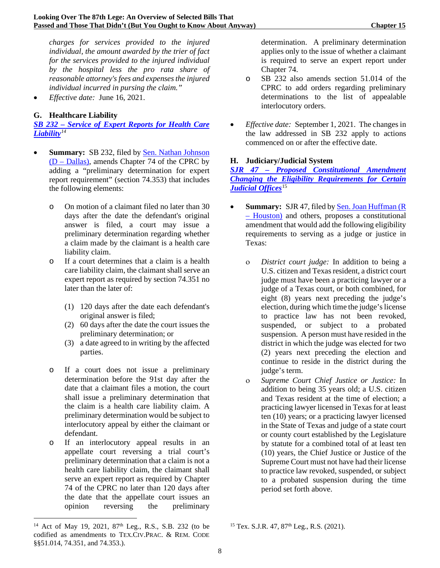*charges for services provided to the injured individual, the amount awarded by the trier of fact for the services provided to the injured individual by the hospital less the pro rata share of reasonable attorney's fees and expenses the injured individual incurred in pursing the claim."*

• *Effective date:* June 16, 2021.

### **G. Healthcare Liability**

*SB 232 – [Service of Expert Reports for Health Care](https://capitol.texas.gov/tlodocs/87R/billtext/pdf/SB00232F.pdf#navpanes=0)  [Liability](https://capitol.texas.gov/tlodocs/87R/billtext/pdf/SB00232F.pdf#navpanes=0)[14](#page-19-0)*

- Summary: SB 232, filed by Sen. Nathan Johnson  $(D - Dallas)$ , amends Chapter 74 of the CPRC by adding a "preliminary determination for expert report requirement" (section 74.353) that includes the following elements:
	- o On motion of a claimant filed no later than 30 days after the date the defendant's original answer is filed, a court may issue a preliminary determination regarding whether a claim made by the claimant is a health care liability claim.
	- o If a court determines that a claim is a health care liability claim, the claimant shall serve an expert report as required by section 74.351 no later than the later of:
		- (1) 120 days after the date each defendant's original answer is filed;
		- (2) 60 days after the date the court issues the preliminary determination; or
		- (3) a date agreed to in writing by the affected parties.
	- o If a court does not issue a preliminary determination before the 91st day after the date that a claimant files a motion, the court shall issue a preliminary determination that the claim is a health care liability claim. A preliminary determination would be subject to interlocutory appeal by either the claimant or defendant.
	- o If an interlocutory appeal results in an appellate court reversing a trial court's preliminary determination that a claim is not a health care liability claim, the claimant shall serve an expert report as required by Chapter 74 of the CPRC no later than 120 days after the date that the appellate court issues an opinion reversing the preliminary

<span id="page-19-0"></span><sup>14</sup> Act of May 19, 2021,  $87<sup>th</sup>$  Leg., R.S., S.B. 232 (to be codified as amendments to TEX.CIV.PRAC. & REM. CODE §§51.014, 74.351, and 74.353.).

determination. A preliminary determination applies only to the issue of whether a claimant is required to serve an expert report under Chapter 74.

- o SB 232 also amends section 51.014 of the CPRC to add orders regarding preliminary determinations to the list of appealable interlocutory orders.
- *Effective date:* September 1, 2021. The changes in the law addressed in SB 232 apply to actions commenced on or after the effective date.

### **H. Judiciary/Judicial System**

*SJR 47 – [Proposed Constitutional Amendment](https://capitol.texas.gov/tlodocs/87R/billtext/pdf/SJ00047F.pdf#navpanes=0)  [Changing the Eligibility Requirements for Certain](https://capitol.texas.gov/tlodocs/87R/billtext/pdf/SJ00047F.pdf#navpanes=0)  [Judicial Offices](https://capitol.texas.gov/tlodocs/87R/billtext/pdf/SJ00047F.pdf#navpanes=0)*<sup>[15](#page-19-0)</sup>

- **Summary:** SJR 47, filed by <u>Sen. Joan Huffman (R</u> – [Houston\)](https://senate.texas.gov/member.php?d=17) and others, proposes a constitutional amendment that would add the following eligibility requirements to serving as a judge or justice in Texas:
	- ο *District court judge:* In addition to being a U.S. citizen and Texas resident, a district court judge must have been a practicing lawyer or a judge of a Texas court, or both combined, for eight (8) years next preceding the judge's election, during which time the judge's license to practice law has not been revoked, suspended, or subject to a probated suspension. A person must have resided in the district in which the judge was elected for two (2) years next preceding the election and continue to reside in the district during the judge's term.
	- ο *Supreme Court Chief Justice or Justice:* In addition to being 35 years old; a U.S. citizen and Texas resident at the time of election; a practicing lawyer licensed in Texas for at least ten (10) years; or a practicing lawyer licensed in the State of Texas and judge of a state court or county court established by the Legislature by statute for a combined total of at least ten (10) years, the Chief Justice or Justice of the Supreme Court must not have had their license to practice law revoked, suspended, or subject to a probated suspension during the time period set forth above.

<sup>&</sup>lt;sup>15</sup> Tex. S.J.R. 47,  $87<sup>th</sup>$  Leg., R.S. (2021).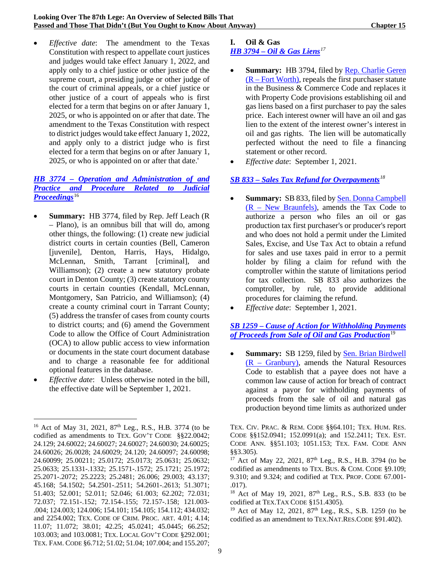• *Effective date*: The amendment to the Texas Constitution with respect to appellate court justices and judges would take effect January 1, 2022, and apply only to a chief justice or other justice of the supreme court, a presiding judge or other judge of the court of criminal appeals, or a chief justice or other justice of a court of appeals who is first elected for a term that begins on or after January 1, 2025, or who is appointed on or after that date. The amendment to the Texas Constitution with respect to district judges would take effect January 1, 2022, and apply only to a district judge who is first elected for a term that begins on or after January 1, 2025, or who is appointed on or after that date.'

# *HB 3774 – [Operation and Administration of and](https://capitol.texas.gov/tlodocs/87R/billtext/pdf/HB03774F.pdf#navpanes=0)  [Practice and Procedure Related to Judicial](https://capitol.texas.gov/tlodocs/87R/billtext/pdf/HB03774F.pdf#navpanes=0)  [Proceedings](https://capitol.texas.gov/tlodocs/87R/billtext/pdf/HB03774F.pdf#navpanes=0)*[16](#page-20-0)

- **Summary:** HB 3774, filed by Rep. Jeff Leach (R) – Plano), is an omnibus bill that will do, among other things, the following: (1) create new judicial district courts in certain counties (Bell, Cameron [juvenile], Denton, Harris, Hays, Hidalgo, McLennan, Smith, Tarrant [criminal], and Williamson); (2) create a new statutory probate court in Denton County; (3) create statutory county courts in certain counties (Kendall, McLennan, Montgomery, San Patricio, and Williamson); (4) create a county criminal court in Tarrant County; (5) address the transfer of cases from county courts to district courts; and (6) amend the Government Code to allow the Office of Court Administration (OCA) to allow public access to view information or documents in the state court document database and to charge a reasonable fee for additional optional features in the database.
- *Effective date*: Unless otherwise noted in the bill, the effective date will be September 1, 2021.

# **I. Oil & Gas**

# *HB 3794 – [Oil & Gas Liens](https://capitol.texas.gov/tlodocs/87R/billtext/pdf/HB03794F.pdf#navpanes=0)[17](#page-20-1)*

- **Summary:** HB 3794, filed by [Rep. Charlie Geren](https://house.texas.gov/members/member-page/?district=99)   $(R - Fort Worth)$ , repeals the first purchaser statute in the Business & Commerce Code and replaces it with Property Code provisions establishing oil and gas liens based on a first purchaser to pay the sales price. Each interest owner will have an oil and gas lien to the extent of the interest owner's interest in oil and gas rights. The lien will be automatically perfected without the need to file a financing statement or other record.
- *Effective date*: September 1, 2021.

# *SB 833 – [Sales Tax Refund for Overpayments](https://capitol.texas.gov/tlodocs/87R/billtext/pdf/SB00833F.pdf#navpanes=0)[18](#page-20-2)*

- **Summary:** SB 833, filed b[y Sen. Donna Campbell](https://senate.texas.gov/member.php?d=25)  (R – [New Braunfels\),](https://senate.texas.gov/member.php?d=25) amends the Tax Code to authorize a person who files an oil or gas production tax first purchaser's or producer's report and who does not hold a permit under the Limited Sales, Excise, and Use Tax Act to obtain a refund for sales and use taxes paid in error to a permit holder by filing a claim for refund with the comptroller within the statute of limitations period for tax collection. SB 833 also authorizes the comptroller, by rule, to provide additional procedures for claiming the refund.
- *Effective date*: September 1, 2021.

### *SB 1259 – [Cause of Action for Withholding Payments](https://capitol.texas.gov/tlodocs/87R/billtext/pdf/SB01259F.pdf#navpanes=0)  [of Proceeds from Sale of Oil and Gas Production](https://capitol.texas.gov/tlodocs/87R/billtext/pdf/SB01259F.pdf#navpanes=0)*[19](#page-20-3)

• **Summary:** SB 1259, filed by [Sen. Brian Birdwell](https://senate.texas.gov/member.php?d=22)   $(R - Granbury)$ , amends the Natural Resources Code to establish that a payee does not have a common law cause of action for breach of contract against a payor for withholding payments of proceeds from the sale of oil and natural gas production beyond time limits as authorized under

<span id="page-20-3"></span><span id="page-20-2"></span><span id="page-20-1"></span><span id="page-20-0"></span><sup>&</sup>lt;sup>16</sup> Act of May 31, 2021,  $87<sup>th</sup>$  Leg., R.S., H.B. 3774 (to be codified as amendments to TEX. GOV'T CODE §§22.0042; 24.129; 24.60022; 24.60027; 24.60027; 24.60030; 24.60025; 24.60026; 26.0028; 24.60029; 24.120; 24.60097; 24.60098; 24.60099; 25.00211; 25.0172; 25.0173; 25.0631; 25.0632; 25.0633; 25.1331-.1332; 25.1571-.1572; 25.1721; 25.1972; 25.2071-.2072; 25.2223; 25.2481; 26.006; 29.003; 43.137; 45.168; 54.1502; 54.2501-.2511; 54.2601-.2613; 51.3071; 51.403; 52.001; 52.011; 52.046; 61.003; 62.202; 72.031; 72.037; 72.151-.152; 72.154-.155; 72.157-.158; 121.003- .004; 124.003; 124.006; 154.101; 154.105; 154.112; 434.032; and 2254.002; TEX. CODE OF CRIM. PROC. ART. 4.01; 4.14; 11.07; 11.072; 38.01; 42.25; 45.0241; 45.0445; 66.252; 103.003; and 103.0081; TEX. LOCAL GOV'T CODE §292.001; TEX. FAM. CODE §6.712; 51.02; 51.04; 107.004; and 155.207;

TEX. CIV. PRAC. & REM. CODE §§64.101; TEX. HUM. RES. CODE §§152.0941; 152.0991(a); and 152.2411; TEX. EST. CODE ANN. §§51.103; 1051.153; TEX. FAM. CODE ANN §§3.305).

<sup>&</sup>lt;sup>17</sup> Act of May 22, 2021, 87<sup>th</sup> Leg., R.S., H.B. 3794 (to be codified as amendments to TEX. BUS. & COM. CODE §9.109; 9.310; and 9.324; and codified at TEX. PROP. CODE 67.001- .017).

<sup>&</sup>lt;sup>18</sup> Act of May 19, 2021,  $87<sup>th</sup>$  Leg., R.S., S.B. 833 (to be codified at TEX.TAX CODE §151.4305).

<sup>&</sup>lt;sup>19</sup> Act of May 12, 2021, 87<sup>th</sup> Leg., R.S., S.B. 1259 (to be codified as an amendment to TEX.NAT.RES.CODE §91.402).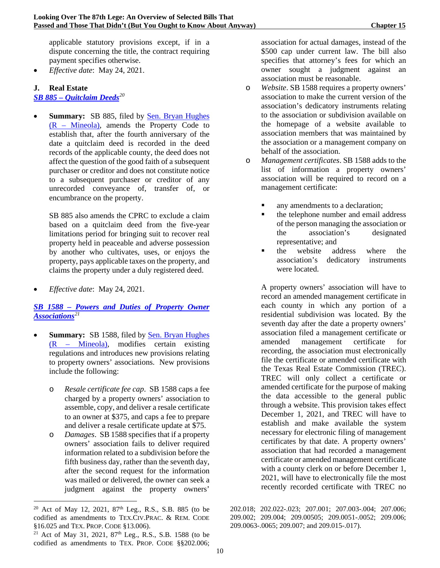applicable statutory provisions except, if in a dispute concerning the title, the contract requiring payment specifies otherwise.

• *Effective date*: May 24, 2021.

# **J. Real Estate**

*SB 885 – [Quitclaim Deeds](https://capitol.texas.gov/tlodocs/87R/billtext/pdf/SB00885F.pdf#navpanes=0)[20](#page-21-0)*

• **Summary:** SB 885, filed by [Sen. Bryan Hughes](https://senate.texas.gov/member.php?d=1)  (R – [Mineola\),](https://senate.texas.gov/member.php?d=1) amends the Property Code to establish that, after the fourth anniversary of the date a quitclaim deed is recorded in the deed records of the applicable county, the deed does not affect the question of the good faith of a subsequent purchaser or creditor and does not constitute notice to a subsequent purchaser or creditor of any unrecorded conveyance of, transfer of, or encumbrance on the property.

SB 885 also amends the CPRC to exclude a claim based on a quitclaim deed from the five-year limitations period for bringing suit to recover real property held in peaceable and adverse possession by another who cultivates, uses, or enjoys the property, pays applicable taxes on the property, and claims the property under a duly registered deed.

• *Effective date*: May 24, 2021.

### *SB 1588 – [Powers and Duties of Property Owner](https://capitol.texas.gov/tlodocs/87R/billtext/pdf/SB01588F.pdf#navpanes=0)  [Associations](https://capitol.texas.gov/tlodocs/87R/billtext/pdf/SB01588F.pdf#navpanes=0)[21](#page-21-1)*

- **Summary:** SB 1588, filed by Sen. Bryan Hughes (R – [Mineola\),](https://senate.texas.gov/member.php?d=1) modifies certain existing regulations and introduces new provisions relating to property owners' associations. New provisions include the following:
	- o *Resale certificate fee cap*. SB 1588 caps a fee charged by a property owners' association to assemble, copy, and deliver a resale certificate to an owner at \$375, and caps a fee to prepare and deliver a resale certificate update at \$75.
	- o *Damages*. SB 1588 specifies that if a property owners' association fails to deliver required information related to a subdivision before the fifth business day, rather than the seventh day, after the second request for the information was mailed or delivered, the owner can seek a judgment against the property owners'

association for actual damages, instead of the \$500 cap under current law. The bill also specifies that attorney's fees for which an owner sought a judgment against an association must be reasonable.

- o *Website*. SB 1588 requires a property owners' association to make the current version of the association's dedicatory instruments relating to the association or subdivision available on the homepage of a website available to association members that was maintained by the association or a management company on behalf of the association.
- o *Management certificates*. SB 1588 adds to the list of information a property owners' association will be required to record on a management certificate:
	- any amendments to a declaration;
	- the telephone number and email address of the person managing the association or the association's designated representative; and
	- the website address where the association's dedicatory instruments were located.

A property owners' association will have to record an amended management certificate in each county in which any portion of a residential subdivision was located. By the seventh day after the date a property owners' association filed a management certificate or amended management certificate for recording, the association must electronically file the certificate or amended certificate with the Texas Real Estate Commission (TREC). TREC will only collect a certificate or amended certificate for the purpose of making the data accessible to the general public through a website. This provision takes effect December 1, 2021, and TREC will have to establish and make available the system necessary for electronic filing of management certificates by that date. A property owners' association that had recorded a management certificate or amended management certificate with a county clerk on or before December 1, 2021, will have to electronically file the most recently recorded certificate with TREC no

<span id="page-21-0"></span><sup>&</sup>lt;sup>20</sup> Act of May 12, 2021, 87<sup>th</sup> Leg., R.S., S.B. 885 (to be codified as amendments to TEX.CIV.PRAC. & REM. CODE §16.025 and TEX. PROP. CODE §13.006).

<span id="page-21-1"></span><sup>&</sup>lt;sup>21</sup> Act of May 31, 2021,  $87<sup>th</sup>$  Leg., R.S., S.B. 1588 (to be codified as amendments to TEX. PROP. CODE §§202.006;

<sup>202.018; 202.022-.023; 207.001; 207.003-.004; 207.006;</sup>  209.002; 209.004; 209.00505; 209.0051-.0052; 209.006; 209.0063-.0065; 209.007; and 209.015-.017).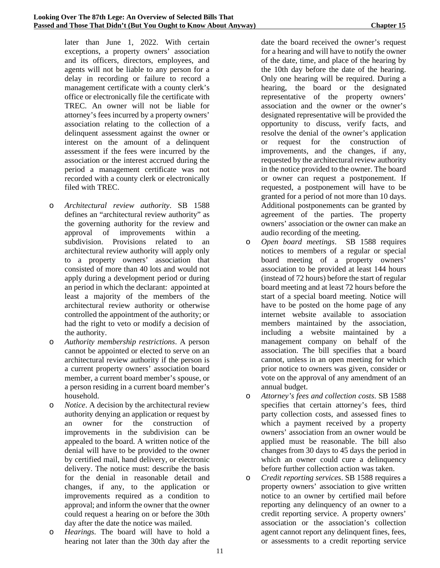later than June 1, 2022. With certain exceptions, a property owners' association and its officers, directors, employees, and agents will not be liable to any person for a delay in recording or failure to record a management certificate with a county clerk's office or electronically file the certificate with TREC. An owner will not be liable for attorney's fees incurred by a property owners' association relating to the collection of a delinquent assessment against the owner or interest on the amount of a delinquent assessment if the fees were incurred by the association or the interest accrued during the period a management certificate was not recorded with a county clerk or electronically filed with TREC.

- o *Architectural review authority*. SB 1588 defines an "architectural review authority" as the governing authority for the review and approval of improvements within a subdivision. Provisions related to an architectural review authority will apply only to a property owners' association that consisted of more than 40 lots and would not apply during a development period or during an period in which the declarant: appointed at least a majority of the members of the architectural review authority or otherwise controlled the appointment of the authority; or had the right to veto or modify a decision of the authority.
- o *Authority membership restrictions*. A person cannot be appointed or elected to serve on an architectural review authority if the person is a current property owners' association board member, a current board member's spouse, or a person residing in a current board member's household.
- o *Notice*. A decision by the architectural review authority denying an application or request by an owner for the construction of improvements in the subdivision can be appealed to the board. A written notice of the denial will have to be provided to the owner by certified mail, hand delivery, or electronic delivery. The notice must: describe the basis for the denial in reasonable detail and changes, if any, to the application or improvements required as a condition to approval; and inform the owner that the owner could request a hearing on or before the 30th day after the date the notice was mailed.
- o *Hearings*. The board will have to hold a hearing not later than the 30th day after the

date the board received the owner's request for a hearing and will have to notify the owner of the date, time, and place of the hearing by the 10th day before the date of the hearing. Only one hearing will be required. During a hearing, the board or the designated representative of the property owners' association and the owner or the owner's designated representative will be provided the opportunity to discuss, verify facts, and resolve the denial of the owner's application or request for the construction of improvements, and the changes, if any, requested by the architectural review authority in the notice provided to the owner. The board or owner can request a postponement. If requested, a postponement will have to be granted for a period of not more than 10 days. Additional postponements can be granted by agreement of the parties. The property owners' association or the owner can make an audio recording of the meeting.

- o *Open board meetings*. SB 1588 requires notices to members of a regular or special board meeting of a property owners' association to be provided at least 144 hours (instead of 72 hours) before the start of regular board meeting and at least 72 hours before the start of a special board meeting. Notice will have to be posted on the home page of any internet website available to association members maintained by the association, including a website maintained by a management company on behalf of the association. The bill specifies that a board cannot, unless in an open meeting for which prior notice to owners was given, consider or vote on the approval of any amendment of an annual budget.
- o *Attorney's fees and collection costs*. SB 1588 specifies that certain attorney's fees, third party collection costs, and assessed fines to which a payment received by a property owners' association from an owner would be applied must be reasonable. The bill also changes from 30 days to 45 days the period in which an owner could cure a delinquency before further collection action was taken.
- o *Credit reporting services*. SB 1588 requires a property owners' association to give written notice to an owner by certified mail before reporting any delinquency of an owner to a credit reporting service. A property owners' association or the association's collection agent cannot report any delinquent fines, fees, or assessments to a credit reporting service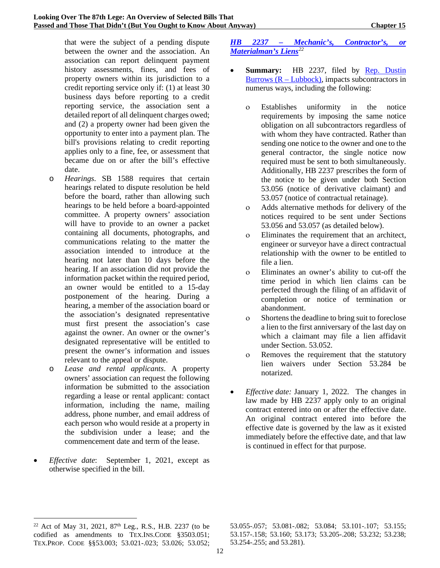that were the subject of a pending dispute between the owner and the association. An association can report delinquent payment history assessments, fines, and fees of property owners within its jurisdiction to a credit reporting service only if: (1) at least 30 business days before reporting to a credit reporting service, the association sent a detailed report of all delinquent charges owed; and (2) a property owner had been given the opportunity to enter into a payment plan. The bill's provisions relating to credit reporting applies only to a fine, fee, or assessment that became due on or after the bill's effective date.

- o *Hearings*. SB 1588 requires that certain hearings related to dispute resolution be held before the board, rather than allowing such hearings to be held before a board-appointed committee. A property owners' association will have to provide to an owner a packet containing all documents, photographs, and communications relating to the matter the association intended to introduce at the hearing not later than 10 days before the hearing. If an association did not provide the information packet within the required period, an owner would be entitled to a 15-day postponement of the hearing. During a hearing, a member of the association board or the association's designated representative must first present the association's case against the owner. An owner or the owner's designated representative will be entitled to present the owner's information and issues relevant to the appeal or dispute.
- o *Lease and rental applicants*. A property owners' association can request the following information be submitted to the association regarding a lease or rental applicant: contact information, including the name, mailing address, phone number, and email address of each person who would reside at a property in the subdivision under a lease; and the commencement date and term of the lease.
- *Effective date*: September 1, 2021, except as otherwise specified in the bill.

# *HB 2237 – [Mechanic's, Contractor's, or](https://capitol.texas.gov/tlodocs/87R/billtext/pdf/HB02237F.pdf#navpanes=0)  [Materialman's Liens](https://capitol.texas.gov/tlodocs/87R/billtext/pdf/HB02237F.pdf#navpanes=0)[22](#page-23-0)*

- **Summary:** HB 2237, filed by [Rep. Dustin](https://house.texas.gov/members/member-page/?district=83)  Burrows  $(R - Lubback)$ , impacts subcontractors in numerus ways, including the following:
	- ο Establishes uniformity in the notice requirements by imposing the same notice obligation on all subcontractors regardless of with whom they have contracted. Rather than sending one notice to the owner and one to the general contractor, the single notice now required must be sent to both simultaneously. Additionally, HB 2237 prescribes the form of the notice to be given under both Section 53.056 (notice of derivative claimant) and 53.057 (notice of contractual retainage).
	- ο Adds alternative methods for delivery of the notices required to be sent under Sections 53.056 and 53.057 (as detailed below).
	- ο Eliminates the requirement that an architect, engineer or surveyor have a direct contractual relationship with the owner to be entitled to file a lien.
	- ο Eliminates an owner's ability to cut-off the time period in which lien claims can be perfected through the filing of an affidavit of completion or notice of termination or abandonment.
	- ο Shortens the deadline to bring suit to foreclose a lien to the first anniversary of the last day on which a claimant may file a lien affidavit under Section. 53.052.
	- ο Removes the requirement that the statutory lien waivers under Section 53.284 be notarized.
- *Effective date:* January 1, 2022. The changes in law made by HB 2237 apply only to an original contract entered into on or after the effective date. An original contract entered into before the effective date is governed by the law as it existed immediately before the effective date, and that law is continued in effect for that purpose.

<span id="page-23-0"></span><sup>&</sup>lt;sup>22</sup> Act of May 31, 2021,  $87<sup>th</sup>$  Leg., R.S., H.B. 2237 (to be codified as amendments to TEX.INS.CODE §3503.051; TEX.PROP. CODE §§53.003; 53.021-.023; 53.026; 53.052;

<sup>53.055-.057; 53.081-.082; 53.084; 53.101-.107; 53.155;</sup>  53.157-.158; 53.160; 53.173; 53.205-.208; 53.232; 53.238; 53.254-.255; and 53.281).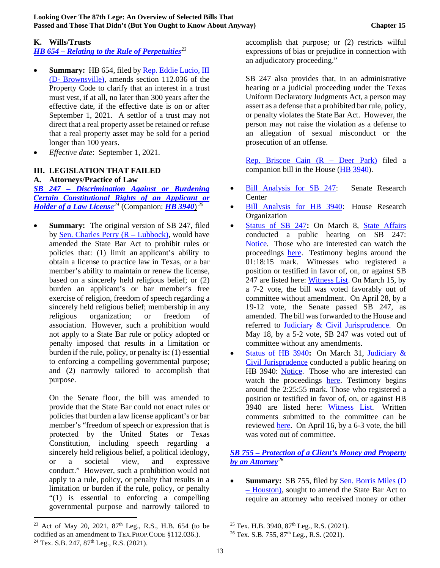# **K. Wills/Trusts**

*HB 654 – [Relating to the Rule of Perpetuities](https://capitol.texas.gov/tlodocs/87R/billtext/pdf/HB00654F.pdf#navpanes=0)[23](#page-24-0)*

- **Summary:** HB 654, filed by [Rep. Eddie Lucio, III](https://house.texas.gov/members/member-page/?district=38)  (D- [Brownsville\),](https://house.texas.gov/members/member-page/?district=38) amends section 112.036 of the Property Code to clarify that an interest in a trust must vest, if at all, no later than 300 years after the effective date, if the effective date is on or after September 1, 2021. A settlor of a trust may not direct that a real property asset be retained or refuse that a real property asset may be sold for a period longer than 100 years.
- *Effective date*: September 1, 2021.

# **III. LEGISLATION THAT FAILED**

**A. Attorneys/Practice of Law**

*SB 247 – [Discrimination Against or Burdening](https://capitol.texas.gov/tlodocs/87R/billtext/pdf/SB00247H.pdf#navpanes=0)  [Certain Constitutional Rights of an Applicant or](https://capitol.texas.gov/tlodocs/87R/billtext/pdf/SB00247H.pdf#navpanes=0)  [Holder of a Law License](https://capitol.texas.gov/tlodocs/87R/billtext/pdf/SB00247H.pdf#navpanes=0)[24](#page-24-1)* (Companion: *[HB 3940](https://capitol.texas.gov/tlodocs/87R/billtext/pdf/HB03940H.pdf#navpanes=0)*) *[25](#page-24-0)*

**Summary:** The original version of SB 247, filed by <u>Sen. Charles Perry  $(R - \text{Lubbock})$ </u>, would have amended the State Bar Act to prohibit rules or policies that: (1) limit an applicant's ability to obtain a license to practice law in Texas, or a bar member's ability to maintain or renew the license, based on a sincerely held religious belief; or (2) burden an applicant's or bar member's free exercise of religion, freedom of speech regarding a sincerely held religious belief; membership in any religious organization; or freedom of association. However, such a prohibition would not apply to a State Bar rule or policy adopted or penalty imposed that results in a limitation or burden if the rule, policy, or penalty is: (1) essential to enforcing a compelling governmental purpose; and (2) narrowly tailored to accomplish that purpose.

On the Senate floor, the bill was amended to provide that the State Bar could not enact rules or policies that burden a law license applicant's or bar member's "freedom of speech or expression that is protected by the United States or Texas Constitution, including speech regarding a sincerely held religious belief, a political ideology, or a societal view, and expressive conduct." However, such a prohibition would not apply to a rule, policy, or penalty that results in a limitation or burden if the rule, policy, or penalty "(1) is essential to enforcing a compelling governmental purpose and narrowly tailored to accomplish that purpose; or (2) restricts wilful expressions of bias or prejudice in connection with an adjudicatory proceeding."

SB 247 also provides that, in an administrative hearing or a judicial proceeding under the Texas Uniform Declaratory Judgments Act, a person may assert as a defense that a prohibited bar rule, policy, or penalty violates the State Bar Act. However, the person may not raise the violation as a defense to an allegation of sexual misconduct or the prosecution of an offense.

[Rep. Briscoe Cain \(R –](https://house.texas.gov/members/member-page/?district=128) Deer Park) filed a companion bill in the House [\(HB 3940\)](https://capitol.texas.gov/tlodocs/87R/billtext/pdf/HB03940I.pdf#navpanes=0).

- [Bill Analysis for SB 247:](https://capitol.texas.gov/tlodocs/87R/analysis/pdf/SB00247H.pdf#navpanes=0) Senate Research **Center**
- [Bill Analysis for HB 3940:](https://capitol.texas.gov/tlodocs/87R/analysis/pdf/HB03940H.pdf#navpanes=0) House Research **Organization**
- [Status of SB 247](https://capitol.texas.gov/BillLookup/History.aspx?LegSess=87R&Bill=SB247)**:** On March 8, [State Affairs](https://senate.texas.gov/cmte.php?c=570) conducted a public hearing on SB 247: [Notice.](https://capitol.texas.gov/tlodocs/87R/schedules/pdf/C5702021030809001.PDF) Those who are interested can watch the proceedings [here.](https://tlcsenate.granicus.com/MediaPlayer.php?view_id=49&clip_id=15432) Testimony begins around the 01:18:15 mark. Witnesses who registered a position or testified in favor of, on, or against SB 247 are listed here: [Witness List.](https://capitol.texas.gov/tlodocs/87R/witlistmtg/pdf/C5702021030809001.PDF) On March 15, by a 7-2 vote, the bill was voted favorably out of committee without amendment. On April 28, by a 19-12 vote, the Senate passed SB 247, as amended. The bill was forwarded to the House and referred to [Judiciary & Civil Jurisprudence.](https://house.texas.gov/committees/committee/index.php?committee=C330) On May 18, by a 5-2 vote, SB 247 was voted out of committee without any amendments.
- [Status of HB 3940](https://capitol.texas.gov/BillLookup/History.aspx?LegSess=87R&Bill=HB3940)**:** On March 31, [Judiciary &](https://house.texas.gov/committees/committee/index.php?committee=C330)  [Civil Jurisprudence](https://house.texas.gov/committees/committee/index.php?committee=C330) conducted a public hearing on HB 3940: [Notice.](https://capitol.texas.gov/tlodocs/87R/schedules/pdf/C3302021033108001.PDF) Those who are interested can watch the proceedings [here.](https://tlchouse.granicus.com/MediaPlayer.php?view_id=46&clip_id=20013) Testimony begins around the 2:25:55 mark. Those who registered a position or testified in favor of, on, or against HB 3940 are listed here: [Witness List.](https://capitol.texas.gov/tlodocs/87R/witlistmtg/pdf/C3302021033108001.PDF) Written comments submitted to the committee can be reviewed [here.](https://capitol.texas.gov/tlodocs/87R/publiccomments/HB03940H.pdf#navpanes=0) On April 16, by a 6-3 vote, the bill was voted out of committee.

# *SB 755 – [Protection of a Client's Money and Property](https://capitol.texas.gov/tlodocs/87R/billtext/pdf/SB00755I.pdf#navpanes=0)  [by an Attorney](https://capitol.texas.gov/tlodocs/87R/billtext/pdf/SB00755I.pdf#navpanes=0)[26](#page-24-2)*

• **Summary:** SB 755, filed by [Sen. Borris Miles \(D](https://senate.texas.gov/member.php?d=13)  – [Houston\),](https://senate.texas.gov/member.php?d=13) sought to amend the State Bar Act to require an attorney who received money or other

<span id="page-24-2"></span><span id="page-24-1"></span><span id="page-24-0"></span><sup>&</sup>lt;sup>23</sup> Act of May 20, 2021,  $87<sup>th</sup>$  Leg., R.S., H.B. 654 (to be codified as an amendment to TEX.PROP.CODE §112.036.). <sup>24</sup> Tex. S.B. 247,  $87<sup>th</sup>$  Leg., R.S. (2021).

<sup>&</sup>lt;sup>25</sup> Tex. H.B. 3940,  $87<sup>th</sup>$  Leg., R.S. (2021).

 $26$  Tex. S.B. 755,  $87<sup>th</sup>$  Leg., R.S. (2021).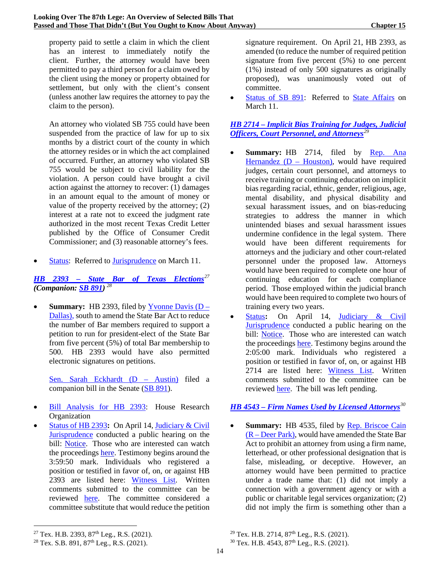property paid to settle a claim in which the client has an interest to immediately notify the client. Further, the attorney would have been permitted to pay a third person for a claim owed by the client using the money or property obtained for settlement, but only with the client's consent (unless another law requires the attorney to pay the claim to the person).

An attorney who violated SB 755 could have been suspended from the practice of law for up to six months by a district court of the county in which the attorney resides or in which the act complained of occurred. Further, an attorney who violated SB 755 would be subject to civil liability for the violation. A person could have brought a civil action against the attorney to recover: (1) damages in an amount equal to the amount of money or value of the property received by the attorney; (2) interest at a rate not to exceed the judgment rate authorized in the most recent Texas Credit Letter published by the Office of Consumer Credit Commissioner; and (3) reasonable attorney's fees.

[Status:](https://capitol.texas.gov/BillLookup/History.aspx?LegSess=87R&Bill=SB755) Referred to [Jurisprudence](https://senate.texas.gov/cmte.php?c=550) on March 11.

*HB 2393 – [State Bar of Texas Elections](https://capitol.texas.gov/tlodocs/87R/billtext/pdf/HB02393H.pdf#navpanes=0)[27](#page-25-0) (Companion: [SB 891\)](https://capitol.texas.gov/tlodocs/87R/billtext/pdf/SB00891I.pdf#navpanes=0) [28](#page-25-1)*

• **Summary:** HB 2393, filed by [Yvonne Davis \(D –](https://house.texas.gov/members/member-page/?district=111) [Dallas\),](https://house.texas.gov/members/member-page/?district=111) south to amend the State Bar Act to reduce the number of Bar members required to support a petition to run for president-elect of the State Bar from five percent (5%) of total Bar membership to 500. HB 2393 would have also permitted electronic signatures on petitions.

[Sen. Sarah Eckhardt \(D –](https://senate.texas.gov/member.php?d=14) Austin) filed a companion bill in the Senate [\(SB 891\)](https://capitol.texas.gov/tlodocs/87R/billtext/pdf/SB00891I.pdf#navpanes=0).

- [Bill Analysis for HB 2393:](https://capitol.texas.gov/tlodocs/87R/analysis/pdf/HB02393H.pdf#navpanes=0) House Research Organization
- [Status of HB 2393](https://capitol.texas.gov/BillLookup/History.aspx?LegSess=87R&Bill=HB2393)**:** On April 14, [Judiciary & Civil](https://house.texas.gov/committees/committee/index.php?committee=C330)  [Jurisprudence](https://house.texas.gov/committees/committee/index.php?committee=C330) conducted a public hearing on the bill: [Notice.](https://capitol.texas.gov/tlodocs/87R/schedules/pdf/C3302021041408001.PDF) Those who are interested can watch the proceedings [here.](https://tlchouse.granicus.com/MediaPlayer.php?view_id=46&clip_id=20321) Testimony begins around the 3:59:50 mark. Individuals who registered a position or testified in favor of, on, or against HB 2393 are listed here: [Witness List.](https://capitol.texas.gov/tlodocs/87R/witlistbill/pdf/HB02393H.pdf#navpanes=0) Written comments submitted to the committee can be reviewed [here.](https://capitol.texas.gov/tlodocs/87R/publiccomments/HB02393H.pdf#navpanes=0) The committee considered a committee substitute that would reduce the petition

signature requirement. On April 21, HB 2393, as amended (to reduce the number of required petition signature from five percent (5%) to one percent (1%) instead of only 500 signatures as originally proposed), was unanimously voted out of committee.

• [Status of SB 891:](https://capitol.texas.gov/BillLookup/History.aspx?LegSess=87R&Bill=SB891) Referred to [State Affairs](https://senate.texas.gov/cmte.php?c=570) on March 11.

# *HB 2714 – [Implicit Bias Training for Judges, Judicial](https://capitol.texas.gov/tlodocs/87R/billtext/pdf/HB02714I.pdf#navpanes=0)  [Officers, Court Personnel, and Attorneys](https://capitol.texas.gov/tlodocs/87R/billtext/pdf/HB02714I.pdf#navpanes=0)[29](#page-25-0)*

- **Summary:** HB 2714, filed by <u>Rep. Ana</u> Hernandez  $(D - Houston)$ , would have required judges, certain court personnel, and attorneys to receive training or continuing education on implicit bias regarding racial, ethnic, gender, religious, age, mental disability, and physical disability and sexual harassment issues, and on bias-reducing strategies to address the manner in which unintended biases and sexual harassment issues undermine confidence in the legal system. There would have been different requirements for attorneys and the judiciary and other court-related personnel under the proposed law. Attorneys would have been required to complete one hour of continuing education for each compliance period. Those employed within the judicial branch would have been required to complete two hours of training every two years.
- [Status](https://capitol.texas.gov/BillLookup/History.aspx?LegSess=87R&Bill=HB2714)**:** On April 14, [Judiciary & Civil](https://house.texas.gov/committees/committee/index.php?committee=C330)  [Jurisprudence](https://house.texas.gov/committees/committee/index.php?committee=C330) conducted a public hearing on the bill: [Notice.](https://capitol.texas.gov/tlodocs/87R/schedules/pdf/C3302021041408001.PDF) Those who are interested can watch the proceeding[s here.](https://tlchouse.granicus.com/MediaPlayer.php?view_id=46&clip_id=20321) Testimony begins around the 2:05:00 mark. Individuals who registered a position or testified in favor of, on, or against HB 2714 are listed here: [Witness List.](https://capitol.texas.gov/tlodocs/87R/witlistmtg/pdf/C3302021041408001.PDF) Written comments submitted to the committee can be reviewed [here.](https://capitol.texas.gov/tlodocs/87R/publiccomments/HB02714H.pdf#navpanes=0) The bill was left pending.

*HB 4543 – [Firm Names Used by Licensed Attorneys](https://capitol.texas.gov/tlodocs/87R/billtext/pdf/HB04543I.pdf#navpanes=0)[30](#page-25-1)*

• **Summary:** HB 4535, filed by [Rep. Briscoe Cain](https://house.texas.gov/members/member-page/?district=128)  (R – [Deer Park\),](https://house.texas.gov/members/member-page/?district=128) would have amended the State Bar Act to prohibit an attorney from using a firm name, letterhead, or other professional designation that is false, misleading, or deceptive. However, an attorney would have been permitted to practice under a trade name that: (1) did not imply a connection with a government agency or with a public or charitable legal services organization; (2) did not imply the firm is something other than a

<span id="page-25-1"></span><span id="page-25-0"></span><sup>&</sup>lt;sup>27</sup> Tex. H.B. 2393,  $87<sup>th</sup>$  Leg., R.S. (2021). <sup>28</sup> Tex. S.B. 891,  $87<sup>th</sup>$  Leg., R.S. (2021).

<sup>&</sup>lt;sup>29</sup> Tex. H.B. 2714, 87<sup>th</sup> Leg., R.S. (2021).

 $30$  Tex. H.B. 4543,  $87<sup>th</sup>$  Leg., R.S. (2021).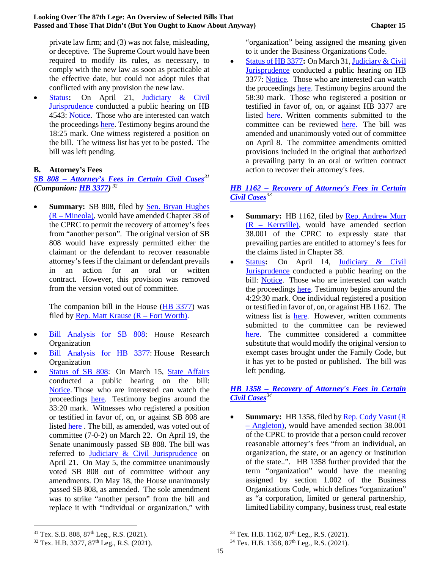private law firm; and (3) was not false, misleading, or deceptive. The Supreme Court would have been required to modify its rules, as necessary, to comply with the new law as soon as practicable at the effective date, but could not adopt rules that conflicted with any provision the new law.

• [Status](https://capitol.texas.gov/BillLookup/History.aspx?LegSess=87R&Bill=HB4543)**:** On April 21, [Judiciary & Civil](https://house.texas.gov/committees/committee/index.php?committee=C330)  [Jurisprudence](https://house.texas.gov/committees/committee/index.php?committee=C330) conducted a public hearing on HB 4543: [Notice.](https://capitol.texas.gov/tlodocs/87R/schedules/pdf/C3302021042108001.PDF) Those who are interested can watch the proceedings [here.](https://tlchouse.granicus.com/MediaPlayer.php?view_id=46&clip_id=20435) Testimony begins around the 18:25 mark. One witness registered a position on the bill. The witness list has yet to be posted. The bill was left pending.

# **B. Attorney's Fees**

*SB 808 – [Attorney's Fees in Certain Civil Cases](https://capitol.texas.gov/tlodocs/87R/billtext/pdf/SB00808H.pdf#navpanes=0)[31](#page-26-0) (Companion: [HB 3377\)](https://capitol.texas.gov/tlodocs/87R/billtext/pdf/HB03377H.pdf#navpanes=0) [32](#page-26-1)*

**Summary:** SB 808, filed by **Sen. Bryan Hughes** (R – [Mineola\),](https://senate.texas.gov/member.php?d=1) would have amended Chapter 38 of the CPRC to permit the recovery of attorney's fees from "another person". The original version of SB 808 would have expressly permitted either the claimant or the defendant to recover reasonable attorney's fees if the claimant or defendant prevails in an action for an oral or written contract. However, this provision was removed from the version voted out of committee.

The companion bill in the House [\(HB 3377\)](https://capitol.texas.gov/tlodocs/87R/billtext/pdf/HB03377I.pdf#navpanes=0) was filed by <u>Rep. Matt Krause  $(R - Fort Worth)$ </u>.

- [Bill Analysis for SB 808:](https://hro.house.texas.gov/pdf/ba87r/sb0808.pdf#navpanes=0) House Research Organization
- [Bill Analysis for HB 3377:](https://capitol.texas.gov/tlodocs/87R/analysis/pdf/HB03377H.pdf#navpanes=0) House Research Organization
- [Status of SB 808:](https://capitol.texas.gov/BillLookup/History.aspx?LegSess=87R&Bill=SB808) On March 15, [State Affairs](https://senate.texas.gov/cmte.php?c=570) conducted a public hearing on the bill: [Notice.](https://capitol.texas.gov/tlodocs/87R/schedules/pdf/C5702021031509001.PDF) Those who are interested can watch the proceedings [here.](https://tlcsenate.granicus.com/MediaPlayer.php?view_id=49&clip_id=15455) Testimony begins around the 33:20 mark. Witnesses who registered a position or testified in favor of, on, or against SB 808 are listed [here](https://capitol.texas.gov/tlodocs/87R/witlistbill/pdf/SB00808S.pdf#navpanes=0) . The bill, as amended, was voted out of committee (7-0-2) on March 22. On April 19, the Senate unanimously passed SB 808. The bill was referred to [Judiciary & Civil Jurisprudence](https://house.texas.gov/committees/committee/index.php?committee=C330) on April 21. On May 5, the committee unanimously voted SB 808 out of committee without any amendments. On May 18, the House unanimously passed SB 808, as amended. The sole amendment was to strike "another person" from the bill and replace it with "individual or organization," with

"organization" being assigned the meaning given to it under the Business Organizations Code.

• [Status of HB 3377](https://capitol.texas.gov/BillLookup/History.aspx?LegSess=87R&Bill=HB3377)**:** On March 31[, Judiciary & Civil](https://house.texas.gov/committees/committee/index.php?committee=C330)  [Jurisprudence](https://house.texas.gov/committees/committee/index.php?committee=C330) conducted a public hearing on HB 3377: [Notice.](https://capitol.texas.gov/tlodocs/87R/schedules/pdf/C3302021033108001.PDF) Those who are interested can watch the proceeding[s here.](https://tlchouse.granicus.com/MediaPlayer.php?view_id=46&clip_id=19999) Testimony begins around the 58:30 mark. Those who registered a position or testified in favor of, on, or against HB 3377 are listed [here.](https://capitol.texas.gov/tlodocs/87R/witlistmtg/pdf/C3302021033108001.PDF) Written comments submitted to the committee can be reviewed [here.](https://capitol.texas.gov/tlodocs/87R/publiccomments/HB03377H.pdf#navpanes=0) The bill was amended and unanimously voted out of committee on April 8. The committee amendments omitted provisions included in the original that authorized a prevailing party in an oral or written contract action to recover their attorney's fees.

### *HB 1162 – [Recovery of Attorney's Fees in Certain](https://capitol.texas.gov/tlodocs/87R/billtext/pdf/HB01162I.pdf#navpanes=0)  [Civil Cases](https://capitol.texas.gov/tlodocs/87R/billtext/pdf/HB01162I.pdf#navpanes=0)[33](#page-26-0)*

- Summary: HB 1162, filed by <u>Rep. Andrew Murr</u> (R – [Kerrville\),](https://house.texas.gov/members/member-page/?district=53) would have amended section 38.001 of the CPRC to expressly state that prevailing parties are entitled to attorney's fees for the claims listed in Chapter 38.
- [Status](https://capitol.texas.gov/BillLookup/History.aspx?LegSess=87R&Bill=HB1162)**:** On April 14, [Judiciary & Civil](https://house.texas.gov/committees/committee/index.php?committee=C330)  [Jurisprudence](https://house.texas.gov/committees/committee/index.php?committee=C330) conducted a public hearing on the bill: [Notice.](https://capitol.texas.gov/tlodocs/87R/schedules/pdf/C3302021041408001.PDF) Those who are interested can watch the proceeding[s here.](https://tlchouse.granicus.com/MediaPlayer.php?view_id=46&clip_id=20321) Testimony begins around the 4:29:30 mark. One individual registered a position or testified in favor of, on, or against HB 1162. The witness list is [here.](https://capitol.texas.gov/tlodocs/87R/witlistmtg/pdf/C3302021041408001.PDF) However, written comments submitted to the committee can be reviewed [here.](https://capitol.texas.gov/tlodocs/87R/publiccomments/HB01162H.pdf#navpanes=0) The committee considered a committee substitute that would modify the original version to exempt cases brought under the Family Code, but it has yet to be posted or published. The bill was left pending.

# *HB 1358 – [Recovery of Attorney's Fees in Certain](https://capitol.texas.gov/tlodocs/87R/billtext/pdf/HB01358I.pdf#navpanes=0)  [Civil Cases](https://capitol.texas.gov/tlodocs/87R/billtext/pdf/HB01358I.pdf#navpanes=0)[34](#page-26-1)*

• **Summary:** HB 1358, filed b[y Rep. Cody Vasut \(R](https://house.texas.gov/members/member-page/?district=25)  – [Angleton\),](https://house.texas.gov/members/member-page/?district=25) would have amended section 38.001 of the CPRC to provide that a person could recover reasonable attorney's fees "from an individual, an organization, the state, or an agency or institution of the state..". HB 1358 further provided that the term "organization" would have the meaning assigned by section 1.002 of the Business Organizations Code, which defines "organization" as "a corporation, limited or general partnership, limited liability company, business trust, real estate

<span id="page-26-0"></span><sup>&</sup>lt;sup>31</sup> Tex. S.B. 808, 87<sup>th</sup> Leg., R.S. (2021).

<span id="page-26-1"></span><sup>32</sup> Tex. H.B. 3377, 87th Leg., R.S. (2021).

<sup>33</sup> Tex. H.B. 1162, 87<sup>th</sup> Leg., R.S. (2021).

 $34$  Tex. H.B. 1358,  $87<sup>th</sup>$  Leg., R.S. (2021).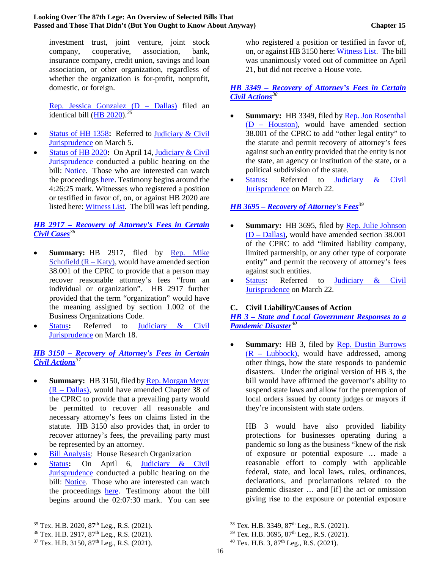investment trust, joint venture, joint stock company, cooperative, association, bank, insurance company, credit union, savings and loan association, or other organization, regardless of whether the organization is for-profit, nonprofit, domestic, or foreign.

[Rep. Jessica Gonzalez \(D –](https://house.texas.gov/members/member-page/?district=104) Dallas) filed an identical bill [\(HB 2020\)](https://capitol.texas.gov/tlodocs/87R/billtext/pdf/HB02020I.pdf#navpanes=0).*[35](#page-27-0)*

- [Status of HB 1358](https://capitol.texas.gov/BillLookup/History.aspx?LegSess=87R&Bill=HB1358)**:** Referred to [Judiciary & Civil](https://house.texas.gov/committees/committee/index.php?committee=C330)  [Jurisprudence](https://house.texas.gov/committees/committee/index.php?committee=C330) on March 5.
- [Status of HB 2020](https://capitol.texas.gov/BillLookup/History.aspx?LegSess=87R&Bill=HB2020): On April 14, Judiciary & Civil [Jurisprudence](https://house.texas.gov/committees/committee/index.php?committee=C330) conducted a public hearing on the bill: [Notice.](https://capitol.texas.gov/tlodocs/87R/schedules/pdf/C3302021041408001.PDF) Those who are interested can watch the proceedings [here.](https://tlchouse.granicus.com/MediaPlayer.php?view_id=46&clip_id=20321) Testimony begins around the 4:26:25 mark. Witnesses who registered a position or testified in favor of, on, or against HB 2020 are listed here[: Witness List.](https://capitol.texas.gov/tlodocs/87R/witlistmtg/pdf/C3302021041408001.PDF) The bill was left pending.

# *HB 2917 – [Recovery of Attorney's Fees in Certain](https://capitol.texas.gov/BillLookup/History.aspx?LegSess=87R&Bill=HB2917)  [Civil Cases](https://capitol.texas.gov/BillLookup/History.aspx?LegSess=87R&Bill=HB2917)[36](#page-27-1)*

- **Summary:** HB 2917, filed by [Rep. Mike](https://house.texas.gov/members/member-page/?district=132)  Schofield  $(R - Katy)$ , would have amended section 38.001 of the CPRC to provide that a person may recover reasonable attorney's fees "from an individual or organization". HB 2917 further provided that the term "organization" would have the meaning assigned by section 1.002 of the Business Organizations Code.
- [Status](https://capitol.texas.gov/BillLookup/History.aspx?LegSess=87R&Bill=HB2917): Referred to Judiciary & Civil [Jurisprudence](https://house.texas.gov/committees/committee/index.php?committee=C330) on March 18.

# *HB 3150 – [Recovery of Attorney's Fees in Certain](https://capitol.texas.gov/tlodocs/87R/billtext/pdf/HB03150H.pdf#navpanes=0)  [Civil Actions](https://capitol.texas.gov/tlodocs/87R/billtext/pdf/HB03150H.pdf#navpanes=0)[37](#page-27-2)*

- **Summary:** HB 3150, filed b[y Rep. Morgan Meyer](https://house.texas.gov/members/member-page/?district=108)  (R – [Dallas\),](https://house.texas.gov/members/member-page/?district=108) would have amended Chapter 38 of the CPRC to provide that a prevailing party would be permitted to recover all reasonable and necessary attorney's fees on claims listed in the statute. HB 3150 also provides that, in order to recover attorney's fees, the prevailing party must be represented by an attorney.
- [Bill Analysis:](https://capitol.texas.gov/tlodocs/87R/analysis/pdf/HB03150H.pdf#navpanes=0) House Research Organization
- [Status](https://capitol.texas.gov/BillLookup/History.aspx?LegSess=87R&Bill=HB3150)**:** On April 6, [Judiciary & Civil](https://house.texas.gov/committees/committee/index.php?committee=C330)  [Jurisprudence](https://house.texas.gov/committees/committee/index.php?committee=C330) conducted a public hearing on the bill: [Notice.](https://capitol.texas.gov/tlodocs/87R/schedules/pdf/C3302021040608001.PDF) Those who are interested can watch the proceedings [here.](https://tlchouse.granicus.com/MediaPlayer.php?view_id=46&clip_id=20106) Testimony about the bill begins around the 02:07:30 mark. You can see

who registered a position or testified in favor of, on, or against HB 3150 here[: Witness List.](https://capitol.texas.gov/tlodocs/87R/witlistmtg/pdf/C3302021040608001.PDF) The bill was unanimously voted out of committee on April 21, but did not receive a House vote.

# *HB 3349 – [Recovery of Attorney's Fees in Certain](https://capitol.texas.gov/tlodocs/87R/billtext/pdf/HB03349I.pdf#navpanes=0)  [Civil Actions](https://capitol.texas.gov/tlodocs/87R/billtext/pdf/HB03349I.pdf#navpanes=0)[38](#page-27-0)*

- **Summary:** HB 3349, filed by Rep. Jon Rosenthal (D – [Houston\),](https://house.texas.gov/members/member-page/?district=135) would have amended section 38.001 of the CPRC to add "other legal entity" to the statute and permit recovery of attorney's fees against such an entity provided that the entity is not the state, an agency or institution of the state, or a political subdivision of the state.
- [Status](https://capitol.texas.gov/BillLookup/History.aspx?LegSess=87R&Bill=HB3349): Referred to Judiciary & Civil [Jurisprudence](https://house.texas.gov/committees/committee/index.php?committee=C330) on March 22.

# *HB 3695 – [Recovery of Attorney's Fees](https://capitol.texas.gov/tlodocs/87R/billtext/pdf/HB03695I.pdf#navpanes=0)[39](#page-27-1)*

- **Summary:** HB 3695, filed by [Rep. Julie Johnson](https://house.texas.gov/members/member-page/?district=115)  (D – [Dallas\),](https://house.texas.gov/members/member-page/?district=115) would have amended section 38.001 of the CPRC to add "limited liability company, limited partnership, or any other type of corporate entity" and permit the recovery of attorney's fees against such entities.
- [Status](https://capitol.texas.gov/BillLookup/History.aspx?LegSess=87R&Bill=HB3695)**:** Referred to [Judiciary & Civil](https://house.texas.gov/committees/committee/index.php?committee=C330)  [Jurisprudence](https://house.texas.gov/committees/committee/index.php?committee=C330) on March 22.

# **C. Civil Liability/Causes of Action**

# *HB 3 – [State and Local Government Responses to a](https://capitol.texas.gov/tlodocs/87R/billtext/pdf/HB00003E.pdf#navpanes=0)  [Pandemic Disaster](https://capitol.texas.gov/tlodocs/87R/billtext/pdf/HB00003E.pdf#navpanes=0)[40](#page-27-2)*

• **Summary:** HB 3, filed by [Rep. Dustin Burrows](https://house.texas.gov/members/member-page/?district=83)   $(R - Lubback)$ , would have addressed, among other things, how the state responds to pandemic disasters. Under the original version of HB 3, the bill would have affirmed the governor's ability to suspend state laws and allow for the preemption of local orders issued by county judges or mayors if they're inconsistent with state orders.

HB 3 would have also provided liability protections for businesses operating during a pandemic so long as the business "knew of the risk of exposure or potential exposure … made a reasonable effort to comply with applicable federal, state, and local laws, rules, ordinances, declarations, and proclamations related to the pandemic disaster … and [if] the act or omission giving rise to the exposure or potential exposure

<span id="page-27-0"></span><sup>35</sup> Tex. H.B. 2020, 87th Leg., R.S. (2021).

<span id="page-27-1"></span><sup>&</sup>lt;sup>36</sup> Tex. H.B. 2917, 87<sup>th</sup> Leg., R.S. (2021).

<span id="page-27-2"></span> $37$  Tex. H.B. 3150,  $87<sup>th</sup>$  Leg., R.S. (2021).

<sup>38</sup> Tex. H.B. 3349, 87<sup>th</sup> Leg., R.S. (2021).

<sup>39</sup> Tex. H.B. 3695, 87th Leg., R.S. (2021).

 $^{40}$  Tex. H.B. 3,  $87<sup>th</sup>$  Leg., R.S. (2021).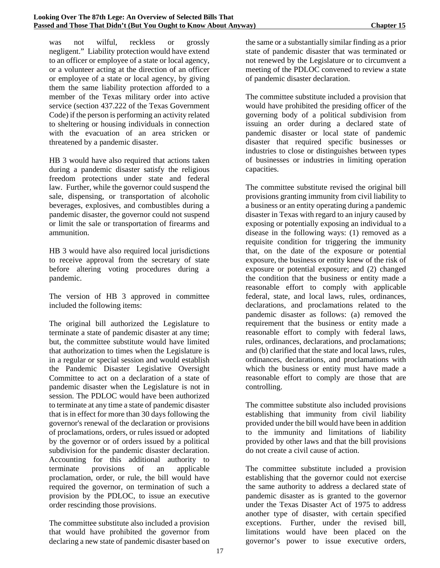was not wilful, reckless or grossly negligent." Liability protection would have extend to an officer or employee of a state or local agency, or a volunteer acting at the direction of an officer or employee of a state or local agency, by giving them the same liability protection afforded to a member of the Texas military order into active service (section 437.222 of the Texas Government Code) if the person is performing an activity related to sheltering or housing individuals in connection with the evacuation of an area stricken or threatened by a pandemic disaster.

HB 3 would have also required that actions taken during a pandemic disaster satisfy the religious freedom protections under state and federal law. Further, while the governor could suspend the sale, dispensing, or transportation of alcoholic beverages, explosives, and combustibles during a pandemic disaster, the governor could not suspend or limit the sale or transportation of firearms and ammunition.

HB 3 would have also required local jurisdictions to receive approval from the secretary of state before altering voting procedures during a pandemic.

The version of HB 3 approved in committee included the following items:

The original bill authorized the Legislature to terminate a state of pandemic disaster at any time; but, the committee substitute would have limited that authorization to times when the Legislature is in a regular or special session and would establish the Pandemic Disaster Legislative Oversight Committee to act on a declaration of a state of pandemic disaster when the Legislature is not in session. The PDLOC would have been authorized to terminate at any time a state of pandemic disaster that is in effect for more than 30 days following the governor's renewal of the declaration or provisions of proclamations, orders, or rules issued or adopted by the governor or of orders issued by a political subdivision for the pandemic disaster declaration. Accounting for this additional authority to terminate provisions of an applicable proclamation, order, or rule, the bill would have required the governor, on termination of such a provision by the PDLOC, to issue an executive order rescinding those provisions.

The committee substitute also included a provision that would have prohibited the governor from declaring a new state of pandemic disaster based on the same or a substantially similar finding as a prior state of pandemic disaster that was terminated or not renewed by the Legislature or to circumvent a meeting of the PDLOC convened to review a state of pandemic disaster declaration.

The committee substitute included a provision that would have prohibited the presiding officer of the governing body of a political subdivision from issuing an order during a declared state of pandemic disaster or local state of pandemic disaster that required specific businesses or industries to close or distinguishes between types of businesses or industries in limiting operation capacities.

The committee substitute revised the original bill provisions granting immunity from civil liability to a business or an entity operating during a pandemic disaster in Texas with regard to an injury caused by exposing or potentially exposing an individual to a disease in the following ways: (1) removed as a requisite condition for triggering the immunity that, on the date of the exposure or potential exposure, the business or entity knew of the risk of exposure or potential exposure; and (2) changed the condition that the business or entity made a reasonable effort to comply with applicable federal, state, and local laws, rules, ordinances, declarations, and proclamations related to the pandemic disaster as follows: (a) removed the requirement that the business or entity made a reasonable effort to comply with federal laws, rules, ordinances, declarations, and proclamations; and (b) clarified that the state and local laws, rules, ordinances, declarations, and proclamations with which the business or entity must have made a reasonable effort to comply are those that are controlling.

The committee substitute also included provisions establishing that immunity from civil liability provided under the bill would have been in addition to the immunity and limitations of liability provided by other laws and that the bill provisions do not create a civil cause of action.

The committee substitute included a provision establishing that the governor could not exercise the same authority to address a declared state of pandemic disaster as is granted to the governor under the Texas Disaster Act of 1975 to address another type of disaster, with certain specified exceptions. Further, under the revised bill, limitations would have been placed on the governor's power to issue executive orders,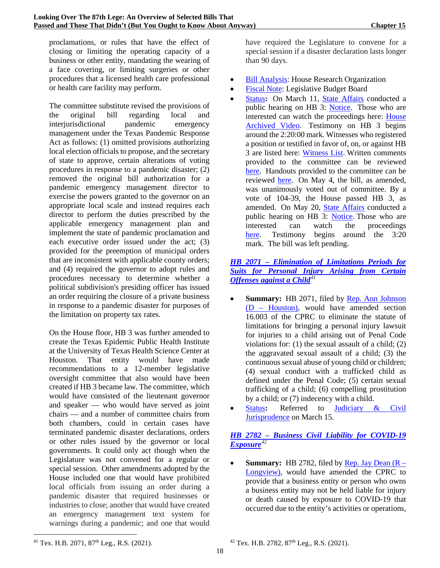proclamations, or rules that have the effect of closing or limiting the operating capacity of a business or other entity, mandating the wearing of a face covering, or limiting surgeries or other procedures that a licensed health care professional or health care facility may perform.

The committee substitute revised the provisions of the original bill regarding local and interjurisdictional pandemic emergency management under the Texas Pandemic Response Act as follows: (1) omitted provisions authorizing local election officials to propose, and the secretary of state to approve, certain alterations of voting procedures in response to a pandemic disaster; (2) removed the original bill authorization for a pandemic emergency management director to exercise the powers granted to the governor on an appropriate local scale and instead requires each director to perform the duties prescribed by the applicable emergency management plan and implement the state of pandemic proclamation and each executive order issued under the act; (3) provided for the preemption of municipal orders that are inconsistent with applicable county orders; and (4) required the governor to adopt rules and procedures necessary to determine whether a political subdivision's presiding officer has issued an order requiring the closure of a private business in response to a pandemic disaster for purposes of the limitation on property tax rates.

On the House floor, HB 3 was further amended to create the Texas Epidemic Public Health Institute at the University of Texas Health Science Center at Houston. That entity would have made recommendations to a 12-member legislative oversight committee that also would have been created if HB 3 became law. The committee, which would have consisted of the lieutenant governor and speaker — who would have served as joint chairs — and a number of committee chairs from both chambers, could in certain cases have terminated pandemic disaster declarations, orders or other rules issued by the governor or local governments. It could only act though when the Legislature was not convened for a regular or special session. Other amendments adopted by the House included one that would have prohibited local officials from issuing an order during a pandemic disaster that required businesses or industries to close; another that would have created an emergency management text system for warnings during a pandemic; and one that would have required the Legislature to convene for a special session if a disaster declaration lasts longer than 90 days.

- **[Bill Analysis:](https://hro.house.texas.gov/pdf/ba87r/hb0003.pdf#navpanes=0) House Research Organization**
- [Fiscal Note:](https://capitol.texas.gov/tlodocs/87R/fiscalnotes/pdf/HB00003E.pdf#navpanes=0) Legislative Budget Board
- [Status](https://capitol.texas.gov/BillLookup/History.aspx?LegSess=87R&Bill=HB3): On March 11, [State Affairs](https://house.texas.gov/committees/committee/index.php?committee=C450) conducted a public hearing on HB 3: [Notice.](https://capitol.texas.gov/tlodocs/87R/schedules/pdf/C4502021031108001.PDF) Those who are interested can watch the proceedings here: [House](https://tlchouse.granicus.com/MediaPlayer.php?view_id=46&clip_id=19601)  [Archived Video.](https://tlchouse.granicus.com/MediaPlayer.php?view_id=46&clip_id=19601) Testimony on HB 3 begins around the 2:20:00 mark. Witnesses who registered a position or testified in favor of, on, or against HB 3 are listed here: [Witness List.](https://capitol.texas.gov/tlodocs/87R/witlistmtg/pdf/C4502021031108001.PDF) Written comments provided to the committee can be reviewed [here.](https://capitol.texas.gov/tlodocs/87R/publiccomments/HB00003H.pdf#navpanes=0) Handouts provided to the committee can be reviewed [here.](https://capitol.texas.gov/tlodocs/87R/handouts/C4502021031108001/C4502021031108001.PDF) On May 4, the bill, as amended, was unanimously voted out of committee. By a vote of 104-39, the House passed HB 3, as amended. On May 20, [State Affairs](https://senate.texas.gov/cmte.php?c=570) conducted a public hearing on HB 3: [Notice.](https://capitol.texas.gov/tlodocs/87R/schedules/pdf/C5702021052009001.PDF) Those who are interested can watch the proceedings [here.](https://tlcsenate.granicus.com/MediaPlayer.php?view_id=49&clip_id=16148) Testimony begins around the 3:20 mark. The bill was left pending.

### *HB 2071 – [Elimination of Limitations Periods for](https://capitol.texas.gov/tlodocs/87R/billtext/pdf/HB02071I.pdf#navpanes=0)  [Suits for Personal Injury Arising from Certain](https://capitol.texas.gov/tlodocs/87R/billtext/pdf/HB02071I.pdf#navpanes=0)  [Offenses against a Child](https://capitol.texas.gov/tlodocs/87R/billtext/pdf/HB02071I.pdf#navpanes=0)[41](#page-29-0)*

- **Summary:** HB 2071, filed by [Rep. Ann Johnson](https://house.texas.gov/members/member-page/?district=134)  (D – [Houston\),](https://house.texas.gov/members/member-page/?district=134) would have amended section 16.003 of the CPRC to eliminate the statute of limitations for bringing a personal injury lawsuit for injuries to a child arising out of Penal Code violations for: (1) the sexual assault of a child; (2) the aggravated sexual assault of a child; (3) the continuous sexual abuse of young child or children; (4) sexual conduct with a trafficked child as defined under the Penal Code; (5) certain sexual trafficking of a child; (6) compelling prostitution by a child; or (7) indecency with a child.
- [Status](https://capitol.texas.gov/BillLookup/history.aspx?LegSess=87R&Bill=HB2071): Referred to Judiciary & Civil [Jurisprudence](https://house.texas.gov/committees/committee/index.php?committee=C330) on March 15.

# *HB 2782 – [Business Civil Liability for COVID-19](https://capitol.texas.gov/tlodocs/87R/billtext/pdf/HB02782I.pdf#navpanes=0)  [Exposure](https://capitol.texas.gov/tlodocs/87R/billtext/pdf/HB02782I.pdf#navpanes=0)[42](#page-29-0)*

• **Summary:** HB 2782, filed by [Rep. Jay Dean \(R –](https://house.texas.gov/members/member-page/?district=7) [Longview\),](https://house.texas.gov/members/member-page/?district=7) would have amended the CPRC to provide that a business entity or person who owns a business entity may not be held liable for injury or death caused by exposure to COVID-19 that occurred due to the entity's activities or operations,

<span id="page-29-0"></span><sup>&</sup>lt;sup>41</sup> Tex. H.B. 2071, 87<sup>th</sup> Leg., R.S. (2021).

 $42$  Tex. H.B. 2782,  $87<sup>th</sup>$  Leg., R.S. (2021).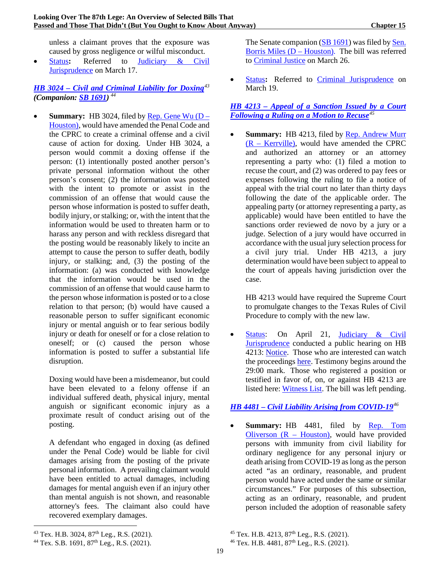unless a claimant proves that the exposure was caused by gross negligence or wilful misconduct.

• [Status](https://capitol.texas.gov/BillLookup/history.aspx?LegSess=87R&Bill=HB2782)**:** Referred to [Judiciary & Civil](https://house.texas.gov/committees/committee/index.php?committee=C330)  [Jurisprudence](https://house.texas.gov/committees/committee/index.php?committee=C330) on March 17.

### *HB 3024 – [Civil and Criminal Liability for Doxing](https://capitol.texas.gov/tlodocs/87R/billtext/pdf/HB03024I.pdf#navpanes=0)[43](#page-30-0) (Companion: [SB 1691\)](https://capitol.texas.gov/tlodocs/87R/billtext/pdf/SB01691I.pdf#navpanes=0) [44](#page-30-1)*

• **Summary:** HB 3024, filed by [Rep. Gene Wu \(D –](https://house.texas.gov/members/member-page/?district=137) [Houston\),](https://house.texas.gov/members/member-page/?district=137) would have amended the Penal Code and the CPRC to create a criminal offense and a civil cause of action for doxing. Under HB 3024, a person would commit a doxing offense if the person: (1) intentionally posted another person's private personal information without the other person's consent; (2) the information was posted with the intent to promote or assist in the commission of an offense that would cause the person whose information is posted to suffer death, bodily injury, or stalking; or, with the intent that the information would be used to threaten harm or to harass any person and with reckless disregard that the posting would be reasonably likely to incite an attempt to cause the person to suffer death, bodily injury, or stalking; and, (3) the posting of the information: (a) was conducted with knowledge that the information would be used in the commission of an offense that would cause harm to the person whose information is posted or to a close relation to that person; (b) would have caused a reasonable person to suffer significant economic injury or mental anguish or to fear serious bodily injury or death for oneself or for a close relation to oneself; or (c) caused the person whose information is posted to suffer a substantial life disruption.

Doxing would have been a misdemeanor, but could have been elevated to a felony offense if an individual suffered death, physical injury, mental anguish or significant economic injury as a proximate result of conduct arising out of the posting.

A defendant who engaged in doxing (as defined under the Penal Code) would be liable for civil damages arising from the posting of the private personal information. A prevailing claimant would have been entitled to actual damages, including damages for mental anguish even if an injury other than mental anguish is not shown, and reasonable attorney's fees. The claimant also could have recovered exemplary damages.

The Senate companion [\(SB 1691\)](https://capitol.texas.gov/tlodocs/87R/billtext/pdf/SB01691I.pdf#navpanes=0) was filed by Sen. Borris [Miles \(D –](https://senate.texas.gov/member.php?d=13) Houston). The bill was referred to [Criminal Justice](https://senate.texas.gov/cmte.php?c=590) on March 26.

• [Status](https://capitol.texas.gov/BillLookup/history.aspx?LegSess=87R&Bill=HB3024)**:** Referred to [Criminal Jurisprudence](https://house.texas.gov/committees/committee/?committee=C220) on March 19.

### *HB 4213 – [Appeal of a Sanction Issued by a Court](https://capitol.texas.gov/tlodocs/87R/billtext/pdf/HB04213I.pdf#navpanes=0)  [Following a Ruling on a Motion to Recuse](https://capitol.texas.gov/tlodocs/87R/billtext/pdf/HB04213I.pdf#navpanes=0)[45](#page-30-0)*

• **Summary:** HB 4213, filed by [Rep. Andrew Murr](https://house.texas.gov/members/member-page/?district=53)  (R – [Kerrville\),](https://house.texas.gov/members/member-page/?district=53) would have amended the CPRC and authorized an attorney or an attorney representing a party who: (1) filed a motion to recuse the court, and (2) was ordered to pay fees or expenses following the ruling to file a notice of appeal with the trial court no later than thirty days following the date of the applicable order. The appealing party (or attorney representing a party, as applicable) would have been entitled to have the sanctions order reviewed de novo by a jury or a judge. Selection of a jury would have occurred in accordance with the usual jury selection process for a civil jury trial. Under HB 4213, a jury determination would have been subject to appeal to the court of appeals having jurisdiction over the case.

HB 4213 would have required the Supreme Court to promulgate changes to the Texas Rules of Civil Procedure to comply with the new law.

• [Status:](https://capitol.texas.gov/BillLookup/History.aspx?LegSess=87R&Bill=HB4213) On April 21, Judiciary & Civil [Jurisprudence](https://house.texas.gov/committees/committee/index.php?committee=C330) conducted a public hearing on HB 4213: [Notice.](https://capitol.texas.gov/tlodocs/87R/schedules/pdf/C3302021042108001.PDF) Those who are interested can watch the proceeding[s here.](https://tlchouse.granicus.com/MediaPlayer.php?view_id=46&clip_id=20435) Testimony begins around the 29:00 mark. Those who registered a position or testified in favor of, on, or against HB 4213 are listed here: [Witness List.](https://capitol.texas.gov/tlodocs/87R/witlistmtg/pdf/C3302021042108001.PDF) The bill was left pending.

*HB 4481 – [Civil Liability Arising from COVID-19](https://capitol.texas.gov/tlodocs/87R/billtext/pdf/HB04481I.pdf#navpanes=0)[46](#page-30-1)*

• **Summary:** HB 4481, filed by [Rep. Tom](https://house.texas.gov/members/member-page/?district=130)  Oliverson  $(R - Houston)$ , would have provided persons with immunity from civil liability for ordinary negligence for any personal injury or death arising from COVID-19 as long as the person acted "as an ordinary, reasonable, and prudent person would have acted under the same or similar circumstances." For purposes of this subsection, acting as an ordinary, reasonable, and prudent person included the adoption of reasonable safety

<span id="page-30-0"></span><sup>43</sup> Tex. H.B. 3024, 87th Leg., R.S. (2021).

<span id="page-30-1"></span><sup>&</sup>lt;sup>44</sup> Tex. S.B. 1691,  $87<sup>th</sup>$  Leg., R.S. (2021).

<sup>45</sup> Tex. H.B. 4213, 87th Leg., R.S. (2021).

 $^{46}$  Tex. H.B. 4481,  $87<sup>th</sup>$  Leg., R.S. (2021).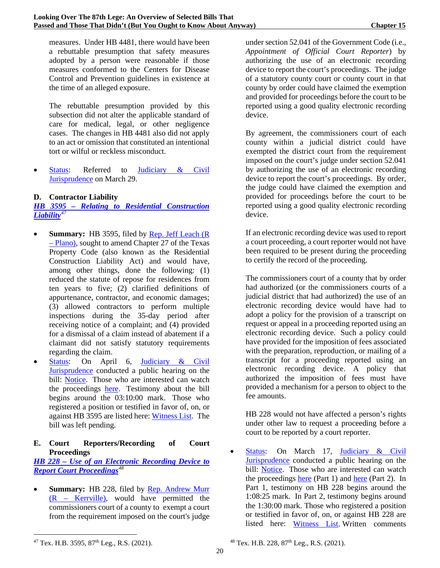measures. Under HB 4481, there would have been a rebuttable presumption that safety measures adopted by a person were reasonable if those measures conformed to the Centers for Disease Control and Prevention guidelines in existence at the time of an alleged exposure.

The rebuttable presumption provided by this subsection did not alter the applicable standard of care for medical, legal, or other negligence cases. The changes in HB 4481 also did not apply to an act or omission that constituted an intentional tort or wilful or reckless misconduct.

[Status:](https://capitol.texas.gov/BillLookup/History.aspx?LegSess=87R&Bill=HB4481) Referred to Judiciary & Civil [Jurisprudence](https://house.texas.gov/committees/committee/index.php?committee=C330) on March 29.

### **D. Contractor Liability**

# *HB 3595 – [Relating to Residential Construction](https://capitol.texas.gov/tlodocs/87R/billtext/pdf/HB03595I.pdf#navpanes=0)  [Liability](https://capitol.texas.gov/tlodocs/87R/billtext/pdf/HB03595I.pdf#navpanes=0)[47](#page-31-0)*

- **Summary:** HB 3595, filed by [Rep. Jeff Leach \(R](https://house.texas.gov/members/member-page/?district=67)  – [Plano\),](https://house.texas.gov/members/member-page/?district=67) sought to amend Chapter 27 of the Texas Property Code (also known as the Residential Construction Liability Act) and would have, among other things, done the following: (1) reduced the statute of repose for residences from ten years to five; (2) clarified definitions of appurtenance, contractor, and economic damages; (3) allowed contractors to perform multiple inspections during the 35-day period after receiving notice of a complaint; and (4) provided for a dismissal of a claim instead of abatement if a claimant did not satisfy statutory requirements regarding the claim.
- [Status:](https://capitol.texas.gov/BillLookup/history.aspx?LegSess=87R&Bill=HB3595) On April 6, [Judiciary & Civil](https://house.texas.gov/committees/committee/index.php?committee=C330)  [Jurisprudence](https://house.texas.gov/committees/committee/index.php?committee=C330) conducted a public hearing on the bill: [Notice.](https://capitol.texas.gov/tlodocs/87R/schedules/pdf/C3302021040608001.PDF) Those who are interested can watch the proceedings [here.](https://tlchouse.granicus.com/MediaPlayer.php?view_id=46&clip_id=20106) Testimony about the bill begins around the 03:10:00 mark. Those who registered a position or testified in favor of, on, or against HB 3595 are listed here: [Witness List.](https://capitol.texas.gov/tlodocs/87R/witlistmtg/pdf/C3302021040608001.PDF) The bill was left pending.

### **E. Court Reporters/Recording of Court Proceedings**

### *HB 228 – [Use of an Electronic Recording Device to](https://capitol.texas.gov/tlodocs/87R/billtext/pdf/HB00228I.pdf#navpanes=0)  [Report Court Proceedings](https://capitol.texas.gov/tlodocs/87R/billtext/pdf/HB00228I.pdf#navpanes=0)[48](#page-31-0)*

Summary: HB 228, filed by Rep. Andrew Murr (R – [Kerrville\),](https://house.texas.gov/members/member-page/?district=53) would have permitted the commissioners court of a county to exempt a court from the requirement imposed on the court's judge

under section 52.041 of the Government Code (i.e., *Appointment of Official Court Reporter*) by authorizing the use of an electronic recording device to report the court's proceedings. The judge of a statutory county court or county court in that county by order could have claimed the exemption and provided for proceedings before the court to be reported using a good quality electronic recording device.

By agreement, the commissioners court of each county within a judicial district could have exempted the district court from the requirement imposed on the court's judge under section 52.041 by authorizing the use of an electronic recording device to report the court's proceedings. By order, the judge could have claimed the exemption and provided for proceedings before the court to be reported using a good quality electronic recording device.

If an electronic recording device was used to report a court proceeding, a court reporter would not have been required to be present during the proceeding to certify the record of the proceeding.

The commissioners court of a county that by order had authorized (or the commissioners courts of a judicial district that had authorized) the use of an electronic recording device would have had to adopt a policy for the provision of a transcript on request or appeal in a proceeding reported using an electronic recording device. Such a policy could have provided for the imposition of fees associated with the preparation, reproduction, or mailing of a transcript for a proceeding reported using an electronic recording device. A policy that authorized the imposition of fees must have provided a mechanism for a person to object to the fee amounts.

HB 228 would not have affected a person's rights under other law to request a proceeding before a court to be reported by a court reporter.

• [Status:](https://capitol.texas.gov/BillLookup/History.aspx?LegSess=87R&Bill=HB228) On March 17, Judiciary & Civil [Jurisprudence](https://house.texas.gov/committees/committee/index.php?committee=C330) conducted a public hearing on the bill: [Notice.](https://capitol.texas.gov/tlodocs/87R/schedules/pdf/C3302021031708001.PDF) Those who are interested can watch the proceedings [here](https://tlchouse.granicus.com/MediaPlayer.php?view_id=46&clip_id=19688) (Part 1) and [here](https://tlchouse.granicus.com/MediaPlayer.php?view_id=46&clip_id=19705) (Part 2). In Part 1, testimony on HB 228 begins around the 1:08:25 mark. In Part 2, testimony begins around the 1:30:00 mark. Those who registered a position or testified in favor of, on, or against HB 228 are listed here: [Witness List.](https://capitol.texas.gov/tlodocs/87R/witlistmtg/pdf/C3302021031708001.PDF) Written comments

<span id="page-31-0"></span><sup>&</sup>lt;sup>47</sup> Tex. H.B. 3595, 87<sup>th</sup> Leg., R.S. (2021).

 $48$  Tex. H.B. 228,  $87<sup>th</sup>$  Leg., R.S. (2021).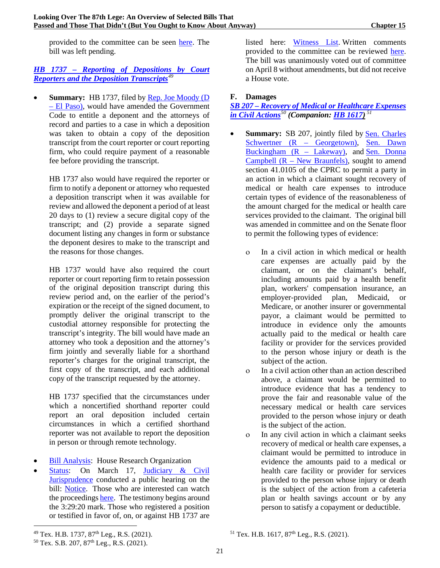provided to the committee can be seen [here.](https://capitol.texas.gov/tlodocs/87R/publiccomments/HB00228H.pdf#navpanes=0) The bill was left pending.

### *HB 1737 – [Reporting of Depositions by Court](https://capitol.texas.gov/tlodocs/87R/billtext/pdf/HB01737H.pdf#navpanes=0)  [Reporters and the Deposition Transcripts](https://capitol.texas.gov/tlodocs/87R/billtext/pdf/HB01737H.pdf#navpanes=0)[49](#page-32-0)*

• **Summary:** HB 1737, filed by <u>Rep. Joe Moody (D</u> – [El Paso\),](https://house.texas.gov/members/member-page/?district=78) would have amended the Government Code to entitle a deponent and the attorneys of record and parties to a case in which a deposition was taken to obtain a copy of the deposition transcript from the court reporter or court reporting firm, who could require payment of a reasonable fee before providing the transcript.

HB 1737 also would have required the reporter or firm to notify a deponent or attorney who requested a deposition transcript when it was available for review and allowed the deponent a period of at least 20 days to (1) review a secure digital copy of the transcript; and (2) provide a separate signed document listing any changes in form or substance the deponent desires to make to the transcript and the reasons for those changes.

HB 1737 would have also required the court reporter or court reporting firm to retain possession of the original deposition transcript during this review period and, on the earlier of the period's expiration or the receipt of the signed document, to promptly deliver the original transcript to the custodial attorney responsible for protecting the transcript's integrity. The bill would have made an attorney who took a deposition and the attorney's firm jointly and severally liable for a shorthand reporter's charges for the original transcript, the first copy of the transcript, and each additional copy of the transcript requested by the attorney.

HB 1737 specified that the circumstances under which a noncertified shorthand reporter could report an oral deposition included certain circumstances in which a certified shorthand reporter was not available to report the deposition in person or through remote technology.

- **[Bill Analysis:](https://capitol.texas.gov/tlodocs/87R/analysis/pdf/HB01737H.pdf#navpanes=0)** House Research Organization
- [Status:](https://capitol.texas.gov/BillLookup/History.aspx?LegSess=87R&Bill=HB1737) On March 17, [Judiciary & Civil](https://house.texas.gov/committees/committee/index.php?committee=C330)  [Jurisprudence](https://house.texas.gov/committees/committee/index.php?committee=C330) conducted a public hearing on the bill: [Notice.](https://capitol.texas.gov/tlodocs/87R/schedules/pdf/C3302021031708001.PDF) Those who are interested can watch the proceeding[s here.](https://tlchouse.granicus.com/MediaPlayer.php?view_id=46&clip_id=19705) The testimony begins around the 3:29:20 mark. Those who registered a position or testified in favor of, on, or against HB 1737 are

listed here: [Witness List.](https://capitol.texas.gov/tlodocs/87R/witlistmtg/pdf/C3302021031708001.PDF) Written comments provided to the committee can be reviewed [here.](https://capitol.texas.gov/tlodocs/87R/publiccomments/HB00228H.pdf#navpanes=0) The bill was unanimously voted out of committee on April 8 without amendments, but did not receive a House vote.

# **F. Damages**

### *SB 207 – [Recovery of Medical or Healthcare Expenses](https://capitol.texas.gov/tlodocs/87R/billtext/pdf/SB00207H.pdf#navpanes=0)  [in Civil Actions](https://capitol.texas.gov/tlodocs/87R/billtext/pdf/SB00207H.pdf#navpanes=0)[50](#page-32-1) (Companion: [HB 1617\)](https://capitol.texas.gov/tlodocs/87R/billtext/pdf/HB01617I.pdf#navpanes=0) [51](#page-32-0)*

- **Summary:** SB 207, jointly filed by Sen. [Charles](https://senate.texas.gov/member.php?d=5)  [Schwertner \(R –](https://senate.texas.gov/member.php?d=5) Georgetown), [Sen. Dawn](https://senate.texas.gov/member.php?d=24)  Buckingham  $(R - Lakeway)$ , and Sen. Donna Campbell  $(R - New Braunfels)$ , sought to amend section 41.0105 of the CPRC to permit a party in an action in which a claimant sought recovery of medical or health care expenses to introduce certain types of evidence of the reasonableness of the amount charged for the medical or health care services provided to the claimant. The original bill was amended in committee and on the Senate floor to permit the following types of evidence:
	- ο In a civil action in which medical or health care expenses are actually paid by the claimant, or on the claimant's behalf, including amounts paid by a health benefit plan, workers' compensation insurance, an employer-provided plan, Medicaid, or Medicare, or another insurer or governmental payor, a claimant would be permitted to introduce in evidence only the amounts actually paid to the medical or health care facility or provider for the services provided to the person whose injury or death is the subject of the action.
	- ο In a civil action other than an action described above, a claimant would be permitted to introduce evidence that has a tendency to prove the fair and reasonable value of the necessary medical or health care services provided to the person whose injury or death is the subject of the action.
	- ο In any civil action in which a claimant seeks recovery of medical or health care expenses, a claimant would be permitted to introduce in evidence the amounts paid to a medical or health care facility or provider for services provided to the person whose injury or death is the subject of the action from a cafeteria plan or health savings account or by any person to satisfy a copayment or deductible.

<span id="page-32-0"></span><sup>49</sup> Tex. H.B. 1737, 87<sup>th</sup> Leg., R.S. (2021).

<span id="page-32-1"></span> $50$  Tex. S.B. 207,  $87<sup>th</sup>$  Leg., R.S. (2021).

<sup>&</sup>lt;sup>51</sup> Tex. H.B. 1617, 87<sup>th</sup> Leg., R.S. (2021).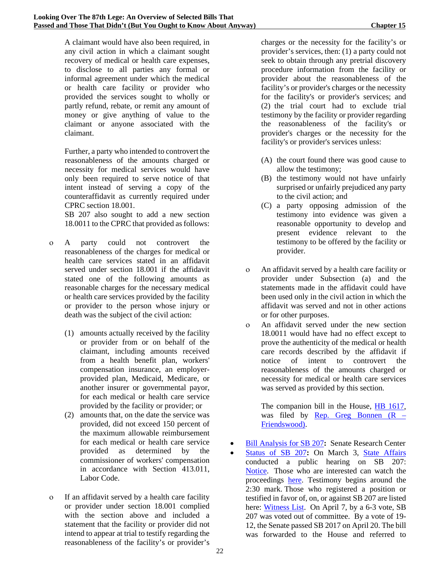A claimant would have also been required, in any civil action in which a claimant sought recovery of medical or health care expenses, to disclose to all parties any formal or informal agreement under which the medical or health care facility or provider who provided the services sought to wholly or partly refund, rebate, or remit any amount of money or give anything of value to the claimant or anyone associated with the claimant.

Further, a party who intended to controvert the reasonableness of the amounts charged or necessity for medical services would have only been required to serve notice of that intent instead of serving a copy of the counteraffidavit as currently required under CPRC section 18.001.

SB 207 also sought to add a new section 18.0011 to the CPRC that provided as follows:

- ο A party could not controvert the reasonableness of the charges for medical or health care services stated in an affidavit served under section 18.001 if the affidavit stated one of the following amounts as reasonable charges for the necessary medical or health care services provided by the facility or provider to the person whose injury or death was the subject of the civil action:
	- (1) amounts actually received by the facility or provider from or on behalf of the claimant, including amounts received from a health benefit plan, workers' compensation insurance, an employerprovided plan, Medicaid, Medicare, or another insurer or governmental payor, for each medical or health care service provided by the facility or provider; or
	- (2) amounts that, on the date the service was provided, did not exceed 150 percent of the maximum allowable reimbursement for each medical or health care service provided as determined by the commissioner of workers' compensation in accordance with Section 413.011, Labor Code.
- ο If an affidavit served by a health care facility or provider under section 18.001 complied with the section above and included a statement that the facility or provider did not intend to appear at trial to testify regarding the reasonableness of the facility's or provider's

charges or the necessity for the facility's or provider's services, then: (1) a party could not seek to obtain through any pretrial discovery procedure information from the facility or provider about the reasonableness of the facility's or provider's charges or the necessity for the facility's or provider's services; and (2) the trial court had to exclude trial testimony by the facility or provider regarding the reasonableness of the facility's or provider's charges or the necessity for the facility's or provider's services unless:

- (A) the court found there was good cause to allow the testimony;
- (B) the testimony would not have unfairly surprised or unfairly prejudiced any party to the civil action; and
- (C) a party opposing admission of the testimony into evidence was given a reasonable opportunity to develop and present evidence relevant to the testimony to be offered by the facility or provider.
- ο An affidavit served by a health care facility or provider under Subsection (a) and the statements made in the affidavit could have been used only in the civil action in which the affidavit was served and not in other actions or for other purposes.
- ο An affidavit served under the new section 18.0011 would have had no effect except to prove the authenticity of the medical or health care records described by the affidavit if notice of intent to controvert the reasonableness of the amounts charged or necessity for medical or health care services was served as provided by this section.

The companion bill in the House, **HB 1617**, was filed by [Rep. Greg Bonnen \(R –](https://house.texas.gov/members/member-page/?district=24) [Friendswood\).](https://house.texas.gov/members/member-page/?district=24)

- [Bill Analysis for SB 207](https://capitol.texas.gov/tlodocs/87R/analysis/pdf/SB00207S.pdf#navpanes=0)**:** Senate Research Center
- [Status of SB 207](https://capitol.texas.gov/BillLookup/History.aspx?LegSess=87R&Bill=SB207): On March 3, [State Affairs](https://senate.texas.gov/cmte.php?c=570) conducted a public hearing on SB 207: [Notice.](https://capitol.texas.gov/tlodocs/87R/schedules/pdf/C5702021032909001.PDF) Those who are interested can watch the proceedings [here.](https://tlcsenate.granicus.com/MediaPlayer.php?view_id=49&clip_id=15562) Testimony begins around the 2:30 mark. Those who registered a position or testified in favor of, on, or against SB 207 are listed here: [Witness List.](https://capitol.texas.gov/tlodocs/87R/witlistbill/pdf/SB00207S.pdf#navpanes=0) On April 7, by a 6-3 vote, SB 207 was voted out of committee. By a vote of 19- 12, the Senate passed SB 2017 on April 20. The bill was forwarded to the House and referred to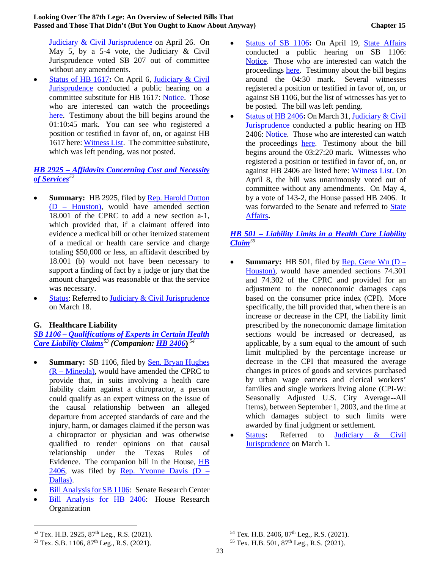[Judiciary & Civil Jurisprudence](https://house.texas.gov/committees/committee/index.php?committee=C330) on April 26. On May 5, by a 5-4 vote, the Judiciary & Civil Jurisprudence voted SB 207 out of committee without any amendments.

• [Status of HB 1617](https://capitol.texas.gov/BillLookup/History.aspx?LegSess=87R&Bill=HB1617)**:** On April 6, [Judiciary & Civil](https://house.texas.gov/committees/committee/index.php?committee=C330)  [Jurisprudence](https://house.texas.gov/committees/committee/index.php?committee=C330) conducted a public hearing on a committee substitute for HB 1617: [Notice.](https://capitol.texas.gov/tlodocs/87R/schedules/pdf/C3302021040608001.PDF) Those who are interested can watch the proceedings [here.](https://tlchouse.granicus.com/MediaPlayer.php?view_id=46&clip_id=20127) Testimony about the bill begins around the 01:10:45 mark. You can see who registered a position or testified in favor of, on, or against HB 1617 here[: Witness List.](https://capitol.texas.gov/tlodocs/87R/witlistmtg/pdf/C3302021040608001.PDF) The committee substitute, which was left pending, was not posted.

# *HB 2925 – [Affidavits Concerning Cost and Necessity](https://capitol.texas.gov/tlodocs/87R/billtext/pdf/HB02925I.pdf#navpanes=0)  [of Services](https://capitol.texas.gov/tlodocs/87R/billtext/pdf/HB02925I.pdf#navpanes=0)[52](#page-34-0)*

- **Summary:** HB 2925, filed by Rep. Harold Dutton (D – [Houston\),](https://house.texas.gov/members/member-page/?district=142) would have amended section 18.001 of the CPRC to add a new section a-1, which provided that, if a claimant offered into evidence a medical bill or other itemized statement of a medical or health care service and charge totaling \$50,000 or less, an affidavit described by 18.001 (b) would not have been necessary to support a finding of fact by a judge or jury that the amount charged was reasonable or that the service was necessary.
- [Status:](https://capitol.texas.gov/BillLookup/History.aspx?LegSess=87R&Bill=HB2925) Referred t[o Judiciary & Civil Jurisprudence](https://house.texas.gov/committees/committee/index.php?committee=C330) on March 18.

# **G. Healthcare Liability**

*SB 1106 – [Qualifications of Experts in Certain Health](https://capitol.texas.gov/tlodocs/87R/billtext/pdf/SB01106I.pdf#navpanes=0)  [Care Liability Claims](https://capitol.texas.gov/tlodocs/87R/billtext/pdf/SB01106I.pdf#navpanes=0)[53](#page-34-1) (Companion: [HB 2406](https://capitol.texas.gov/tlodocs/87R/billtext/pdf/HB02406E.pdf#navpanes=0)***)** *[54](#page-34-0)*

- **Summary:** SB 1106, filed by <u>Sen. Bryan Hughes</u> (R – [Mineola\),](https://senate.texas.gov/member.php?d=1) would have amended the CPRC to provide that, in suits involving a health care liability claim against a chiropractor, a person could qualify as an expert witness on the issue of the causal relationship between an alleged departure from accepted standards of care and the injury, harm, or damages claimed if the person was a chiropractor or physician and was otherwise qualified to render opinions on that causal relationship under the Texas Rules of Evidence. The companion bill in the House, [HB](https://capitol.texas.gov/tlodocs/87R/billtext/pdf/HB02406E.pdf#navpanes=0)  [2406,](https://capitol.texas.gov/tlodocs/87R/billtext/pdf/HB02406E.pdf#navpanes=0) was filed by Rep. Yvonne Davis  $(D -$ [Dallas\).](https://house.texas.gov/members/member-page/?district=111)
- [Bill Analysis for SB 1106:](https://capitol.texas.gov/tlodocs/87R/analysis/pdf/SB01106I.pdf#navpanes=0) Senate Research Center
- [Bill Analysis for HB 2406:](https://capitol.texas.gov/tlodocs/87R/analysis/pdf/HB02406H.pdf#navpanes=0) House Research Organization
- [Status of SB 1106](https://capitol.texas.gov/BillLookup/History.aspx?LegSess=87R&Bill=SB1106)**:** On April 19, [State Affairs](https://senate.texas.gov/cmte.php?c=570) conducted a public hearing on SB 1106: [Notice.](https://capitol.texas.gov/tlodocs/87R/schedules/pdf/C5702021041909001.PDF) Those who are interested can watch the proceedings [here.](https://tlcsenate.granicus.com/MediaPlayer.php?view_id=49&clip_id=15764) Testimony about the bill begins around the 04:30 mark. Several witnesses registered a position or testified in favor of, on, or against SB 1106, but the list of witnesses has yet to be posted. The bill was left pending.
- [Status of HB 2406](https://capitol.texas.gov/BillLookup/History.aspx?LegSess=87R&Bill=HB2406)**:** On March 31, [Judiciary & Civil](https://house.texas.gov/committees/committee/index.php?committee=C330)  [Jurisprudence](https://house.texas.gov/committees/committee/index.php?committee=C330) conducted a public hearing on HB 2406: [Notice.](https://capitol.texas.gov/tlodocs/87R/schedules/pdf/C3302021033108001.PDF) Those who are interested can watch the proceedings [here.](https://tlchouse.granicus.com/MediaPlayer.php?view_id=46&clip_id=20013) Testimony about the bill begins around the 03:27:20 mark. Witnesses who registered a position or testified in favor of, on, or against HB 2406 are listed here: [Witness List.](https://capitol.texas.gov/tlodocs/87R/witlistmtg/pdf/C3302021033108001.PDF) On April 8, the bill was unanimously voted out of committee without any amendments. On May 4, by a vote of 143-2, the House passed HB 2406. It was forwarded to the Senate and referred to State [Affairs](https://senate.texas.gov/cmte.php?c=570)**.**

# *HB 501 – [Liability Limits in a Health Care Liability](https://capitol.texas.gov/tlodocs/87R/billtext/pdf/HB00501I.pdf#navpanes=0)  [Claim](https://capitol.texas.gov/tlodocs/87R/billtext/pdf/HB00501I.pdf#navpanes=0)[55](#page-34-1)*

- **Summary:** HB 501, filed by [Rep. Gene Wu \(D –](http://www.house.state.tx.us/members/member-page/?district=137) [Houston\),](http://www.house.state.tx.us/members/member-page/?district=137) would have amended sections 74.301 and 74.302 of the CPRC and provided for an adjustment to the noneconomic damages caps based on the consumer price index (CPI). More specifically, the bill provided that, when there is an increase or decrease in the CPI, the liability limit prescribed by the noneconomic damage limitation sections would be increased or decreased, as applicable, by a sum equal to the amount of such limit multiplied by the percentage increase or decrease in the CPI that measured the average changes in prices of goods and services purchased by urban wage earners and clerical workers' families and single workers living alone (CPI-W: Seasonally Adjusted U.S. City Average--All Items), between September 1, 2003, and the time at which damages subject to such limits were awarded by final judgment or settlement.
- [Status](https://capitol.texas.gov/BillLookup/History.aspx?LegSess=87R&Bill=HB501)**:** Referred to [Judiciary & Civil](https://house.texas.gov/committees/committee/index.php?committee=C330)  [Jurisprudence](https://house.texas.gov/committees/committee/index.php?committee=C330) on March 1.

<span id="page-34-0"></span><sup>52</sup> Tex. H.B. 2925, 87th Leg., R.S. (2021).

<span id="page-34-1"></span> $53$  Tex. S.B. 1106,  $87<sup>th</sup>$  Leg., R.S. (2021).

<sup>&</sup>lt;sup>54</sup> Tex. H.B. 2406, 87<sup>th</sup> Leg., R.S. (2021).

 $55$  Tex. H.B.  $501$ ,  $87<sup>th</sup>$  Leg., R.S. (2021).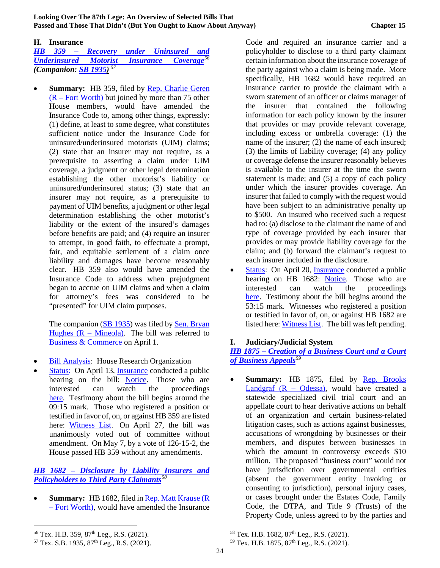### **H. Insurance**

*HB 359 – [Recovery under Uninsured and](https://capitol.texas.gov/tlodocs/87R/billtext/pdf/HB00359E.pdf#navpanes=0)  [Underinsured Motorist Insurance Coverage](https://capitol.texas.gov/tlodocs/87R/billtext/pdf/HB00359E.pdf#navpanes=0)[56](#page-35-0) (Companion: [SB 1935\)](https://capitol.texas.gov/tlodocs/87R/billtext/pdf/SB01935I.pdf#navpanes=0) [57](#page-35-1)*

**Summary:** HB 359, filed by Rep. Charlie Geren (R – [Fort Worth\)](https://house.texas.gov/members/member-page/?district=99) but joined by more than 75 other House members, would have amended the Insurance Code to, among other things, expressly: (1) define, at least to some degree, what constitutes sufficient notice under the Insurance Code for uninsured/underinsured motorists (UIM) claims; (2) state that an insurer may not require, as a prerequisite to asserting a claim under UIM coverage, a judgment or other legal determination establishing the other motorist's liability or uninsured/underinsured status; (3) state that an insurer may not require, as a prerequisite to payment of UIM benefits, a judgment or other legal determination establishing the other motorist's liability or the extent of the insured's damages before benefits are paid; and (4) require an insurer to attempt, in good faith, to effectuate a prompt, fair, and equitable settlement of a claim once liability and damages have become reasonably clear. HB 359 also would have amended the Insurance Code to address when prejudgment began to accrue on UIM claims and when a claim for attorney's fees was considered to be "presented" for UIM claim purposes.

The companion [\(SB 1935\)](https://capitol.texas.gov/tlodocs/87R/billtext/pdf/SB01935I.pdf#navpanes=0) was filed by [Sen. Bryan](https://senate.texas.gov/member.php?d=1)  Hughes  $(R - Min eola)$ . The bill was referred to [Business & Commerce](https://senate.texas.gov/cmte.php?c=510) on April 1.

- [Bill Analysis:](https://hro.house.texas.gov/pdf/ba87r/hb0359.pdf#navpanes=0) House Research Organization
- [Status:](https://capitol.texas.gov/BillLookup/History.aspx?LegSess=87R&Bill=HB359) On April 13, [Insurance](https://house.texas.gov/committees/committee/index.php?committee=C320) conducted a public hearing on the bill: [Notice.](https://capitol.texas.gov/tlodocs/87R/schedules/pdf/C3202021041310301.PDF) Those who are interested can watch the proceedings [here.](https://tlchouse.granicus.com/MediaPlayer.php?view_id=46&clip_id=20283) Testimony about the bill begins around the 09:15 mark. Those who registered a position or testified in favor of, on, or against HB 359 are listed here: [Witness List.](https://capitol.texas.gov/tlodocs/87R/witlistmtg/pdf/C3202021041310301.PDF) On April 27, the bill was unanimously voted out of committee without amendment. On May 7, by a vote of 126-15-2, the House passed HB 359 without any amendments.

# *HB 1682 – [Disclosure by Liability Insurers and](https://capitol.texas.gov/tlodocs/87R/billtext/pdf/HB01682I.pdf#navpanes=0)  [Policyholders to Third Party Claimants](https://capitol.texas.gov/tlodocs/87R/billtext/pdf/HB01682I.pdf#navpanes=0)[58](#page-35-0)*

**Summary:** HB 1682, filed in Rep. Matt Krause (R) – [Fort Worth\),](https://house.texas.gov/members/member-page/?district=93) would have amended the Insurance Code and required an insurance carrier and a policyholder to disclose to a third party claimant certain information about the insurance coverage of the party against who a claim is being made. More specifically, HB 1682 would have required an insurance carrier to provide the claimant with a sworn statement of an officer or claims manager of the insurer that contained the following information for each policy known by the insurer that provides or may provide relevant coverage, including excess or umbrella coverage: (1) the name of the insurer; (2) the name of each insured; (3) the limits of liability coverage; (4) any policy or coverage defense the insurer reasonably believes is available to the insurer at the time the sworn statement is made; and (5) a copy of each policy under which the insurer provides coverage. An insurer that failed to comply with the request would have been subject to an administrative penalty up to \$500. An insured who received such a request had to: (a) disclose to the claimant the name of and type of coverage provided by each insurer that provides or may provide liability coverage for the claim; and (b) forward the claimant's request to each insurer included in the disclosure.

• [Status:](https://capitol.texas.gov/BillLookup/History.aspx?LegSess=87R&Bill=HB1682) On April 20, [Insurance](https://house.texas.gov/committees/committee/index.php?committee=C320) conducted a public hearing on HB 1682: [Notice.](https://capitol.texas.gov/tlodocs/87R/schedules/pdf/C3202021042010301.PDF) Those who are interested can watch the proceedings [here.](https://tlchouse.granicus.com/MediaPlayer.php?view_id=46&clip_id=20416) Testimony about the bill begins around the 53:15 mark. Witnesses who registered a position or testified in favor of, on, or against HB 1682 are listed here[: Witness List.](https://capitol.texas.gov/tlodocs/87R/witlistmtg/pdf/C3202021042010301.PDF) The bill was left pending.

# **I. Judiciary/Judicial System**

# *HB 1875 – [Creation of a Business Court and a Court](https://capitol.texas.gov/tlodocs/87R/billtext/pdf/HB01875H.pdf#navpanes=0)  [of Business Appeals](https://capitol.texas.gov/tlodocs/87R/billtext/pdf/HB01875H.pdf#navpanes=0)[59](#page-35-1)*

• **Summary:** HB 1875, filed by [Rep. Brooks](https://house.texas.gov/members/member-page/?district=67)  Landgraf  $(R - Odessa)$ , would have created a statewide specialized civil trial court and an appellate court to hear derivative actions on behalf of an organization and certain business-related litigation cases, such as actions against businesses, accusations of wrongdoing by businesses or their members, and disputes between businesses in which the amount in controversy exceeds \$10 million. The proposed "business court" would not have jurisdiction over governmental entities (absent the government entity invoking or consenting to jurisdiction), personal injury cases, or cases brought under the Estates Code, Family Code, the DTPA, and Title 9 (Trusts) of the Property Code, unless agreed to by the parties and

<span id="page-35-0"></span><sup>&</sup>lt;sup>56</sup> Tex. H.B. 359, 87<sup>th</sup> Leg., R.S. (2021).

<span id="page-35-1"></span> $57$  Tex. S.B. 1935,  $87<sup>th</sup>$  Leg., R.S. (2021).

<sup>&</sup>lt;sup>58</sup> Tex. H.B. 1682, 87<sup>th</sup> Leg., R.S. (2021).

 $59$  Tex. H.B. 1875,  $87<sup>th</sup>$  Leg., R.S. (2021).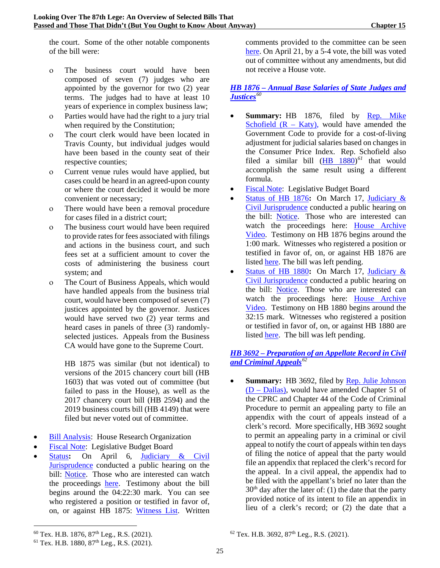the court. Some of the other notable components of the bill were:

- ο The business court would have been composed of seven (7) judges who are appointed by the governor for two (2) year terms. The judges had to have at least 10 years of experience in complex business law;
- ο Parties would have had the right to a jury trial when required by the Constitution;
- ο The court clerk would have been located in Travis County, but individual judges would have been based in the county seat of their respective counties;
- ο Current venue rules would have applied, but cases could be heard in an agreed-upon county or where the court decided it would be more convenient or necessary;
- ο There would have been a removal procedure for cases filed in a district court;
- ο The business court would have been required to provide rates for fees associated with filings and actions in the business court, and such fees set at a sufficient amount to cover the costs of administering the business court system; and
- ο The Court of Business Appeals, which would have handled appeals from the business trial court, would have been composed of seven (7) justices appointed by the governor. Justices would have served two (2) year terms and heard cases in panels of three (3) randomlyselected justices. Appeals from the Business CA would have gone to the Supreme Court.

HB 1875 was similar (but not identical) to versions of the 2015 chancery court bill (HB 1603) that was voted out of committee (but failed to pass in the House), as well as the 2017 chancery court bill (HB 2594) and the 2019 business courts bill (HB 4149) that were filed but never voted out of committee.

- [Bill Analysis:](https://capitol.texas.gov/tlodocs/87R/analysis/pdf/HB01875H.pdf#navpanes=0) House Research Organization
- [Fiscal Note:](https://capitol.texas.gov/tlodocs/87R/fiscalnotes/pdf/HB01875H.pdf#navpanes=0) Legislative Budget Board
- [Status](https://capitol.texas.gov/BillLookup/History.aspx?LegSess=87R&Bill=HB1875)**:** On April 6, [Judiciary & Civil](https://house.texas.gov/committees/committee/index.php?committee=C330)  [Jurisprudence](https://house.texas.gov/committees/committee/index.php?committee=C330) conducted a public hearing on the bill: [Notice.](https://capitol.texas.gov/tlodocs/87R/schedules/pdf/C3302021040608001.PDF) Those who are interested can watch the proceedings [here.](https://tlchouse.granicus.com/MediaPlayer.php?view_id=46&clip_id=20106) Testimony about the bill begins around the 04:22:30 mark. You can see who registered a position or testified in favor of, on, or against HB 1875: [Witness List.](https://capitol.texas.gov/tlodocs/87R/witlistmtg/pdf/C3302021040608001.PDF) Written

comments provided to the committee can be seen here. On April 21, by a 5-4 vote, the bill was voted out of committee without any amendments, but did not receive a House vote.

# *HB 1876 – [Annual Base Salaries of State Judges and](https://capitol.texas.gov/tlodocs/87R/billtext/pdf/HB01876I.pdf#navpanes=0)  [Justices](https://capitol.texas.gov/tlodocs/87R/billtext/pdf/HB01876I.pdf#navpanes=0)[60](#page-36-0)*

- **Summary:** HB 1876, filed by [Rep. Mike](https://house.texas.gov/members/member-page/?district=132)  Schofield  $(R - Katy)$ , would have amended the Government Code to provide for a cost-of-living adjustment for judicial salaries based on changes in the Consumer Price Index. Rep. Schofield also filed a similar bill  $(HB 1880)^{61}$  $(HB 1880)^{61}$  $(HB 1880)^{61}$  $(HB 1880)^{61}$  that would accomplish the same result using a different formula.
- [Fiscal Note:](https://capitol.texas.gov/tlodocs/87R/fiscalnotes/pdf/HB01876I.pdf#navpanes=0) Legislative Budget Board
- [Status of HB 1876](https://capitol.texas.gov/BillLookup/History.aspx?LegSess=87R&Bill=HB1876)**:** On March 17, [Judiciary &](https://house.texas.gov/committees/committee/index.php?committee=C330)  [Civil Jurisprudence](https://house.texas.gov/committees/committee/index.php?committee=C330) conducted a public hearing on the bill: [Notice.](https://capitol.texas.gov/tlodocs/87R/schedules/pdf/C3302021031708001.PDF) Those who are interested can watch the proceedings here: [House Archive](https://tlchouse.granicus.com/MediaPlayer.php?view_id=46&clip_id=19688)  [Video.](https://tlchouse.granicus.com/MediaPlayer.php?view_id=46&clip_id=19688) Testimony on HB 1876 begins around the 1:00 mark. Witnesses who registered a position or testified in favor of, on, or against HB 1876 are liste[d here.](https://capitol.texas.gov/tlodocs/87R/witlistmtg/pdf/C3302021031708001.PDF) The bill was left pending.
- [Status of HB 1880](https://capitol.texas.gov/BillLookup/History.aspx?LegSess=87R&Bill=HB1880)**:** On March 17, [Judiciary &](https://house.texas.gov/committees/committee/index.php?committee=C330)  [Civil Jurisprudence](https://house.texas.gov/committees/committee/index.php?committee=C330) conducted a public hearing on the bill: [Notice.](https://capitol.texas.gov/tlodocs/87R/schedules/pdf/C3302021031708001.PDF) Those who are interested can watch the proceedings here: [House Archive](https://tlchouse.granicus.com/MediaPlayer.php?view_id=46&clip_id=19688)  [Video.](https://tlchouse.granicus.com/MediaPlayer.php?view_id=46&clip_id=19688) Testimony on HB 1880 begins around the 32:15 mark. Witnesses who registered a position or testified in favor of, on, or against HB 1880 are liste[d here.](https://capitol.texas.gov/tlodocs/87R/witlistmtg/pdf/C3302021031708001.PDF) The bill was left pending.

# *HB 3692 – [Preparation of an Appellate Record in Civil](https://capitol.texas.gov/tlodocs/87R/billtext/pdf/HB03692I.pdf#navpanes=0)  [and Criminal Appeals](https://capitol.texas.gov/tlodocs/87R/billtext/pdf/HB03692I.pdf#navpanes=0)[62](#page-36-0)*

**Summary:** HB 3692, filed by Rep. Julie Johnson (D – [Dallas\),](https://house.texas.gov/members/member-page/?district=115) would have amended Chapter 51 of the CPRC and Chapter 44 of the Code of Criminal Procedure to permit an appealing party to file an appendix with the court of appeals instead of a clerk's record. More specifically, HB 3692 sought to permit an appealing party in a criminal or civil appeal to notify the court of appeals within ten days of filing the notice of appeal that the party would file an appendix that replaced the clerk's record for the appeal. In a civil appeal, the appendix had to be filed with the appellant's brief no later than the  $30<sup>th</sup>$  day after the later of: (1) the date that the party provided notice of its intent to file an appendix in lieu of a clerk's record; or (2) the date that a

<span id="page-36-0"></span><sup>60</sup> Tex. H.B. 1876, 87th Leg., R.S. (2021).

<span id="page-36-1"></span> $61$  Tex. H.B. 1880,  $87<sup>th</sup>$  Leg., R.S. (2021).

 $62$  Tex. H.B. 3692,  $87<sup>th</sup>$  Leg., R.S. (2021).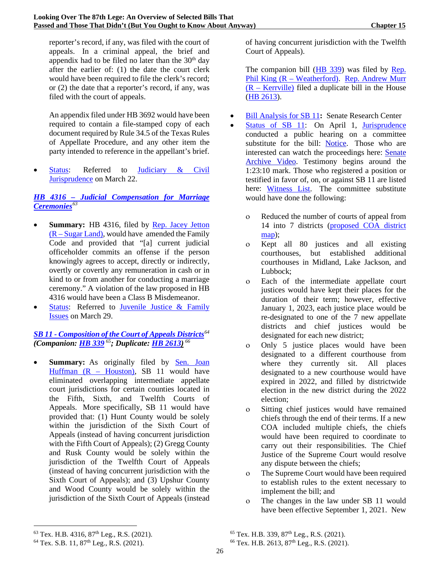reporter's record, if any, was filed with the court of appeals. In a criminal appeal, the brief and appendix had to be filed no later than the  $30<sup>th</sup>$  day after the earlier of: (1) the date the court clerk would have been required to file the clerk's record; or (2) the date that a reporter's record, if any, was filed with the court of appeals.

An appendix filed under HB 3692 would have been required to contain a file-stamped copy of each document required by Rule 34.5 of the Texas Rules of Appellate Procedure, and any other item the party intended to reference in the appellant's brief.

[Status:](https://capitol.texas.gov/BillLookup/History.aspx?LegSess=87R&Bill=HB3692) Referred to Judiciary & Civil [Jurisprudence](https://house.texas.gov/committees/committee/index.php?committee=C330) on March 22.

# *HB 4316 – [Judicial Compensation for Marriage](https://capitol.texas.gov/tlodocs/87R/billtext/pdf/HB04316I.pdf#navpanes=0)  [Ceremonies](https://capitol.texas.gov/tlodocs/87R/billtext/pdf/HB04316I.pdf#navpanes=0)[63](#page-37-0)*

- **Summary:** HB 4316, filed by **Rep.** Jacey Jetton  $(R - Sugar Land)$ , would have amended the Family Code and provided that "[a] current judicial officeholder commits an offense if the person knowingly agrees to accept, directly or indirectly, overtly or covertly any remuneration in cash or in kind to or from another for conducting a marriage ceremony." A violation of the law proposed in HB 4316 would have been a Class B Misdemeanor.
- [Status:](https://capitol.texas.gov/BillLookup/History.aspx?LegSess=87R&Bill=HB4316) Referred to Juvenile Justice & Family [Issues](https://house.texas.gov/committees/committee/?committee=C340) on March 29.

*SB 11 - [Composition of the Court of Appeals Districts](https://capitol.texas.gov/tlodocs/87R/billtext/pdf/SB00011I.pdf#navpanes=0)[64](#page-37-1) (Companion: [HB 339](https://capitol.texas.gov/tlodocs/87R/billtext/pdf/HB00339I.pdf#navpanes=0) [65](#page-37-0); Duplicate: [HB 2613\)](https://capitol.texas.gov/tlodocs/87R/billtext/pdf/HB02613I.pdf#navpanes=0) [66](#page-37-1)*

**Summary:** As originally filed by **Sen. Joan** Huffman  $(R - Houston)$ , SB 11 would have eliminated overlapping intermediate appellate court jurisdictions for certain counties located in the Fifth, Sixth, and Twelfth Courts of Appeals. More specifically, SB 11 would have provided that: (1) Hunt County would be solely within the jurisdiction of the Sixth Court of Appeals (instead of having concurrent jurisdiction with the Fifth Court of Appeals); (2) Gregg County and Rusk County would be solely within the jurisdiction of the Twelfth Court of Appeals (instead of having concurrent jurisdiction with the Sixth Court of Appeals); and (3) Upshur County and Wood County would be solely within the jurisdiction of the Sixth Court of Appeals (instead

of having concurrent jurisdiction with the Twelfth Court of Appeals).

The companion bill [\(HB 339\)](https://capitol.texas.gov/tlodocs/87R/billtext/pdf/HB00339I.pdf#navpanes=0) was filed by [Rep.](https://house.texas.gov/members/member-page/?district=61)  [Phil King \(R –](https://house.texas.gov/members/member-page/?district=61) Weatherford). [Rep. Andrew Murr](https://house.texas.gov/members/member-page/?district=53)  (R – [Kerrville\)](https://house.texas.gov/members/member-page/?district=53) filed a duplicate bill in the House [\(HB 2613\)](https://capitol.texas.gov/tlodocs/87R/billtext/pdf/HB02613I.pdf#navpanes=0).

- [Bill Analysis for SB 11](https://capitol.texas.gov/tlodocs/87R/analysis/pdf/SB00011I.pdf#navpanes=0)**:** Senate Research Center
- [Status of SB 11:](https://capitol.texas.gov/BillLookup/History.aspx?LegSess=87R&Bill=SB11) On April 1, [Jurisprudence](https://senate.texas.gov/cmte.php?c=550) conducted a public hearing on a committee substitute for the bill: [Notice.](https://capitol.texas.gov/tlodocs/87R/schedules/pdf/C5502021040109001.PDF) Those who are interested can watch the proceedings here: [Senate](https://tlcsenate.granicus.com/MediaPlayer.php?view_id=49&clip_id=15611)  [Archive Video.](https://tlcsenate.granicus.com/MediaPlayer.php?view_id=49&clip_id=15611) Testimony begins around the 1:23:10 mark. Those who registered a position or testified in favor of, on, or against SB 11 are listed here: [Witness List.](https://capitol.texas.gov/tlodocs/87R/witlistmtg/pdf/C5502021040109001.PDF) The committee substitute would have done the following:
	- ο Reduced the number of courts of appeal from 14 into 7 districts [\(proposed COA district](https://files.constantcontact.com/6233df39001/f1d8d7da-2654-42a1-9428-60e7a47613b0.pdf)  [map\)](https://files.constantcontact.com/6233df39001/f1d8d7da-2654-42a1-9428-60e7a47613b0.pdf);
	- ο Kept all 80 justices and all existing courthouses, but established additional courthouses in Midland, Lake Jackson, and Lubbock;
	- ο Each of the intermediate appellate court justices would have kept their places for the duration of their term; however, effective January 1, 2023, each justice place would be re-designated to one of the 7 new appellate districts and chief justices would be designated for each new district;
	- ο Only 5 justice places would have been designated to a different courthouse from where they currently sit. All places designated to a new courthouse would have expired in 2022, and filled by districtwide election in the new district during the 2022 election;
	- ο Sitting chief justices would have remained chiefs through the end of their terms. If a new COA included multiple chiefs, the chiefs would have been required to coordinate to carry out their responsibilities. The Chief Justice of the Supreme Court would resolve any dispute between the chiefs;
	- ο The Supreme Court would have been required to establish rules to the extent necessary to implement the bill; and
	- ο The changes in the law under SB 11 would have been effective September 1, 2021. New

 $65$  Tex. H.B. 339,  $87<sup>th</sup>$  Leg., R.S. (2021).

<span id="page-37-1"></span><span id="page-37-0"></span><sup>63</sup> Tex. H.B. 4316, 87th Leg., R.S. (2021).  $64$  Tex. S.B. 11,  $87<sup>th</sup>$  Leg., R.S. (2021).

 $66$  Tex. H.B. 2613, 87<sup>th</sup> Leg., R.S. (2021).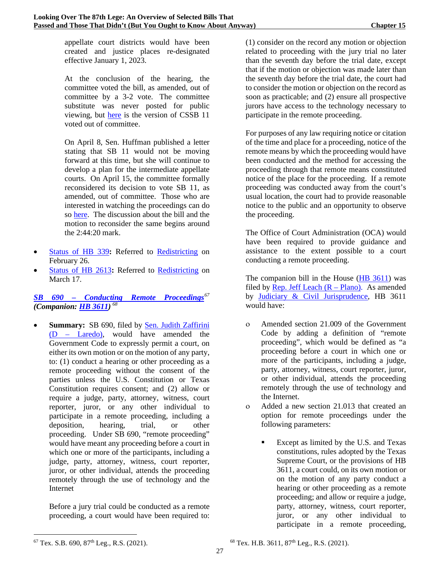appellate court districts would have been created and justice places re-designated effective January 1, 2023.

At the conclusion of the hearing, the committee voted the bill, as amended, out of committee by a 3-2 vote. The committee substitute was never posted for public viewing, but [here](https://texasbar.informz.net/texasbar/data/images/Sections/2020-2021/Litigation/Legislation%20Update/CSSB%2011.pdf) is the version of CSSB 11 voted out of committee.

On April 8, Sen. Huffman published a letter stating that SB 11 would not be moving forward at this time, but she will continue to develop a plan for the intermediate appellate courts. On April 15, the committee formally reconsidered its decision to vote SB 11, as amended, out of committee. Those who are interested in watching the proceedings can do so [here.](https://tlcsenate.granicus.com/MediaPlayer.php?view_id=49&clip_id=15751) The discussion about the bill and the motion to reconsider the same begins around the 2:44:20 mark.

- [Status of HB 339](https://capitol.texas.gov/BillLookup/History.aspx?LegSess=87R&Bill=HB339): Referred to [Redistricting](https://house.texas.gov/committees/committee/index.php?committee=C080) on February 26.
- [Status of HB 2613](https://capitol.texas.gov/BillLookup/history.aspx?LegSess=87R&Bill=HB2613): Referred to [Redistricting](https://house.texas.gov/committees/committee/index.php?committee=C080) on March 17.

# *SB 690 – [Conducting Remote Proceedings](https://capitol.texas.gov/tlodocs/87R/billtext/pdf/SB00690I.pdf#navpanes=0)[67](#page-38-0) (Companion: [HB 3611\)](https://capitol.texas.gov/tlodocs/87R/billtext/pdf/HB03611H.pdf#navpanes=0) [68](#page-38-0)*

• **Summary:** SB 690, filed by [Sen. Judith Zaffirini](http://www.senate.texas.gov/member.php?d=21)  (D – [Laredo\),](http://www.senate.texas.gov/member.php?d=21) would have amended the Government Code to expressly permit a court, on either its own motion or on the motion of any party, to: (1) conduct a hearing or other proceeding as a remote proceeding without the consent of the parties unless the U.S. Constitution or Texas Constitution requires consent; and (2) allow or require a judge, party, attorney, witness, court reporter, juror, or any other individual to participate in a remote proceeding, including a deposition, hearing, trial, or other proceeding. Under SB 690, "remote proceeding" would have meant any proceeding before a court in which one or more of the participants, including a judge, party, attorney, witness, court reporter, juror, or other individual, attends the proceeding remotely through the use of technology and the Internet

Before a jury trial could be conducted as a remote proceeding, a court would have been required to: (1) consider on the record any motion or objection related to proceeding with the jury trial no later than the seventh day before the trial date, except that if the motion or objection was made later than the seventh day before the trial date, the court had to consider the motion or objection on the record as soon as practicable; and (2) ensure all prospective jurors have access to the technology necessary to participate in the remote proceeding.

For purposes of any law requiring notice or citation of the time and place for a proceeding, notice of the remote means by which the proceeding would have been conducted and the method for accessing the proceeding through that remote means constituted notice of the place for the proceeding. If a remote proceeding was conducted away from the court's usual location, the court had to provide reasonable notice to the public and an opportunity to observe the proceeding.

The Office of Court Administration (OCA) would have been required to provide guidance and assistance to the extent possible to a court conducting a remote proceeding.

The companion bill in the House [\(HB 3611\)](https://capitol.texas.gov/tlodocs/87R/billtext/pdf/HB03611I.pdf#navpanes=0) was filed by Rep. Jeff Leach  $(R - Plano)$ . As amended by [Judiciary & Civil Jurisprudence,](https://house.texas.gov/committees/committee/index.php?committee=C330) HB 3611 would have:

- ο Amended section 21.009 of the Government Code by adding a definition of "remote proceeding", which would be defined as "a proceeding before a court in which one or more of the participants, including a judge, party, attorney, witness, court reporter, juror, or other individual, attends the proceeding remotely through the use of technology and the Internet.
- ο Added a new section 21.013 that created an option for remote proceedings under the following parameters:
	- Except as limited by the U.S. and Texas constitutions, rules adopted by the Texas Supreme Court, or the provisions of HB 3611, a court could, on its own motion or on the motion of any party conduct a hearing or other proceeding as a remote proceeding; and allow or require a judge, party, attorney, witness, court reporter, juror, or any other individual to participate in a remote proceeding,

<span id="page-38-0"></span> $67$  Tex. S.B. 690,  $87<sup>th</sup>$  Leg., R.S. (2021).

 $68$  Tex. H.B. 3611,  $87<sup>th</sup>$  Leg., R.S. (2021).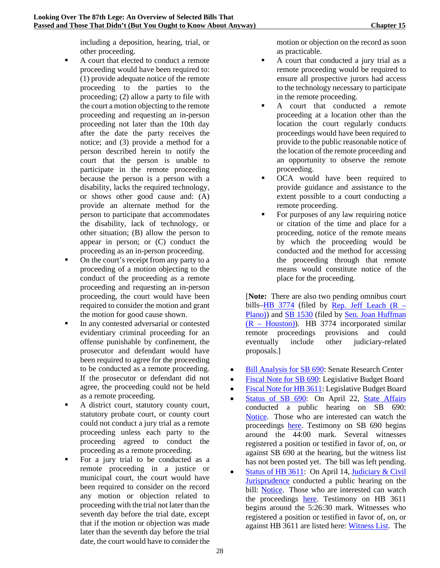including a deposition, hearing, trial, or other proceeding.

- A court that elected to conduct a remote proceeding would have been required to: (1) provide adequate notice of the remote proceeding to the parties to the proceeding; (2) allow a party to file with the court a motion objecting to the remote proceeding and requesting an in-person proceeding not later than the 10th day after the date the party receives the notice; and (3) provide a method for a person described herein to notify the court that the person is unable to participate in the remote proceeding because the person is a person with a disability, lacks the required technology, or shows other good cause and: (A) provide an alternate method for the person to participate that accommodates the disability, lack of technology, or other situation; (B) allow the person to appear in person; or (C) conduct the proceeding as an in-person proceeding.
- On the court's receipt from any party to a proceeding of a motion objecting to the conduct of the proceeding as a remote proceeding and requesting an in-person proceeding, the court would have been required to consider the motion and grant the motion for good cause shown.
- In any contested adversarial or contested evidentiary criminal proceeding for an offense punishable by confinement, the prosecutor and defendant would have been required to agree for the proceeding to be conducted as a remote proceeding. If the prosecutor or defendant did not agree, the proceeding could not be held as a remote proceeding.
- A district court, statutory county court, statutory probate court, or county court could not conduct a jury trial as a remote proceeding unless each party to the proceeding agreed to conduct the proceeding as a remote proceeding.
- For a jury trial to be conducted as a remote proceeding in a justice or municipal court, the court would have been required to consider on the record any motion or objection related to proceeding with the trial not later than the seventh day before the trial date, except that if the motion or objection was made later than the seventh day before the trial date, the court would have to consider the

motion or objection on the record as soon as practicable.

- A court that conducted a jury trial as a remote proceeding would be required to ensure all prospective jurors had access to the technology necessary to participate in the remote proceeding.
- A court that conducted a remote proceeding at a location other than the location the court regularly conducts proceedings would have been required to provide to the public reasonable notice of the location of the remote proceeding and an opportunity to observe the remote proceeding.
- OCA would have been required to provide guidance and assistance to the extent possible to a court conducting a remote proceeding.
- For purposes of any law requiring notice or citation of the time and place for a proceeding, notice of the remote means by which the proceeding would be conducted and the method for accessing the proceeding through that remote means would constitute notice of the place for the proceeding.

[**Note:** There are also two pending omnibus court bills[–HB 3774](https://capitol.texas.gov/tlodocs/87R/billtext/pdf/HB03774E.pdf#navpanes=0) (filed by Rep. Jeff Leach  $(R -$ [Plano\)\)](https://house.texas.gov/members/member-page/?district=67) and [SB 1530](https://capitol.texas.gov/tlodocs/87R/billtext/pdf/SB01530E.pdf#navpanes=0) (filed by [Sen. Joan Huffman](https://senate.texas.gov/member.php?d=17)  (R – [Houston\)\)](https://senate.texas.gov/member.php?d=17). HB 3774 incorporated similar remote proceedings provisions and could eventually include other judiciary-related proposals.]

- [Bill Analysis for SB 690:](https://capitol.texas.gov/tlodocs/87R/analysis/pdf/SB00690I.pdf#navpanes=0) Senate Research Center
- [Fiscal Note for SB 690:](https://capitol.texas.gov/tlodocs/87R/fiscalnotes/pdf/SB00690I.pdf#navpanes=0) Legislative Budget Board
- [Fiscal Note for HB 3611:](https://capitol.texas.gov/tlodocs/87R/fiscalnotes/pdf/HB03611I.pdf#navpanes=0) Legislative Budget Board
- [Status of SB 690:](https://capitol.texas.gov/BillLookup/history.aspx?LegSess=87R&Bill=SB690) On April 22, [State Affairs](https://senate.texas.gov/cmte.php?c=570) conducted a public hearing on SB 690: [Notice.](https://capitol.texas.gov/tlodocs/87R/schedules/pdf/C5702021042211001.PDF) Those who are interested can watch the proceedings [here.](https://tlcsenate.granicus.com/MediaPlayer.php?view_id=49&clip_id=15829) Testimony on SB 690 begins around the 44:00 mark. Several witnesses registered a position or testified in favor of, on, or against SB 690 at the hearing, but the witness list has not been posted yet. The bill was left pending.
- [Status of HB 3611:](https://capitol.texas.gov/BillLookup/History.aspx?LegSess=87R&Bill=HB3611) On April 14, Judiciary & Civil [Jurisprudence](https://house.texas.gov/committees/committee/index.php?committee=C330) conducted a public hearing on the bill: [Notice.](https://capitol.texas.gov/tlodocs/87R/schedules/pdf/C3302021041408001.PDF) Those who are interested can watch the proceedings [here.](https://tlchouse.granicus.com/MediaPlayer.php?view_id=46&clip_id=20321) Testimony on HB 3611 begins around the 5:26:30 mark. Witnesses who registered a position or testified in favor of, on, or against HB 3611 are listed here: [Witness List.](https://capitol.texas.gov/tlodocs/87R/witlistmtg/pdf/C3302021041408001.PDF) The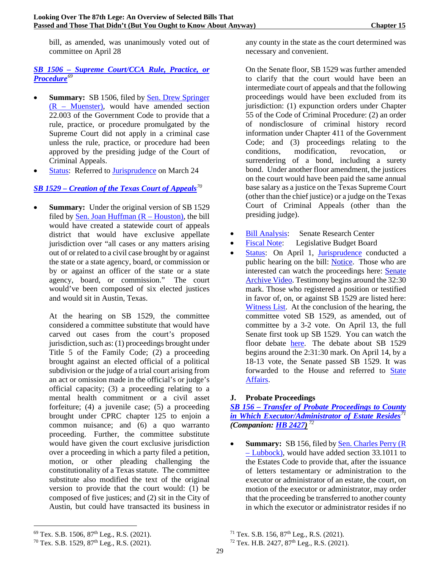bill, as amended, was unanimously voted out of committee on April 28

# *SB 1506 – [Supreme Court/CCA Rule, Practice, or](https://capitol.texas.gov/tlodocs/87R/billtext/pdf/SB01506I.pdf#navpanes=0)  [Procedure](https://capitol.texas.gov/tlodocs/87R/billtext/pdf/SB01506I.pdf#navpanes=0)[69](#page-40-0)*

- **Summary:** SB 1506, filed by <u>Sen. Drew Springer</u>  $(R - Muenster)$ , would have amended section 22.003 of the Government Code to provide that a rule, practice, or procedure promulgated by the Supreme Court did not apply in a criminal case unless the rule, practice, or procedure had been approved by the presiding judge of the Court of Criminal Appeals.
- [Status:](https://capitol.texas.gov/BillLookup/History.aspx?LegSess=87R&Bill=SB1506) Referred to [Jurisprudence](https://senate.texas.gov/cmte.php?c=550) on March 24

# *SB 1529 – [Creation of the Texas Court of Appeals](https://capitol.texas.gov/tlodocs/87R/billtext/pdf/SB01529E.pdf#navpanes=0)[70](#page-40-1)*

**Summary:** Under the original version of SB 1529 filed by <u>Sen. Joan Huffman  $(R - Houston)$ </u>, the bill would have created a statewide court of appeals district that would have exclusive appellate jurisdiction over "all cases or any matters arising out of or related to a civil case brought by or against the state or a state agency, board, or commission or by or against an officer of the state or a state agency, board, or commission." The court would've been composed of six elected justices and would sit in Austin, Texas.

At the hearing on SB 1529, the committee considered a committee substitute that would have carved out cases from the court's proposed jurisdiction, such as: (1) proceedings brought under Title 5 of the Family Code; (2) a proceeding brought against an elected official of a political subdivision or the judge of a trial court arising from an act or omission made in the official's or judge's official capacity; (3) a proceeding relating to a mental health commitment or a civil asset forfeiture; (4) a juvenile case; (5) a proceeding brought under CPRC chapter 125 to enjoin a common nuisance; and (6) a quo warranto proceeding. Further, the committee substitute would have given the court exclusive jurisdiction over a proceeding in which a party filed a petition, motion, or other pleading challenging the constitutionality of a Texas statute. The committee substitute also modified the text of the original version to provide that the court would: (1) be composed of five justices; and (2) sit in the City of Austin, but could have transacted its business in any county in the state as the court determined was necessary and convenient.

On the Senate floor, SB 1529 was further amended to clarify that the court would have been an intermediate court of appeals and that the following proceedings would have been excluded from its jurisdiction: (1) expunction orders under Chapter 55 of the Code of Criminal Procedure: (2) an order of nondisclosure of criminal history record information under Chapter 411 of the Government Code; and (3) proceedings relating to the conditions, modification, revocation, or surrendering of a bond, including a surety bond. Under another floor amendment, the justices on the court would have been paid the same annual base salary as a justice on the Texas Supreme Court (other than the chief justice) or a judge on the Texas Court of Criminal Appeals (other than the presiding judge).

- [Bill Analysis:](https://capitol.texas.gov/tlodocs/87R/analysis/pdf/SB01529S.pdf#navpanes=0) Senate Research Center
- [Fiscal Note:](https://capitol.texas.gov/tlodocs/87R/fiscalnotes/pdf/SB01529E.pdf#navpanes=0) Legislative Budget Board
- [Status:](https://capitol.texas.gov/BillLookup/History.aspx?LegSess=87R&Bill=SB1529) On April 1, [Jurisprudence](https://senate.texas.gov/cmte.php?c=550) conducted a public hearing on the bill: [Notice.](https://capitol.texas.gov/tlodocs/87R/schedules/pdf/C5502021040109001.PDF) Those who are interested can watch the proceedings here: [Senate](https://tlcsenate.granicus.com/MediaPlayer.php?view_id=49&clip_id=15611)  [Archive Video.](https://tlcsenate.granicus.com/MediaPlayer.php?view_id=49&clip_id=15611) Testimony begins around the 32:30 mark. Those who registered a position or testified in favor of, on, or against SB 1529 are listed here: [Witness List.](https://capitol.texas.gov/tlodocs/87R/witlistmtg/pdf/C5502021040109001.PDF) At the conclusion of the hearing, the committee voted SB 1529, as amended, out of committee by a 3-2 vote. On April 13, the full Senate first took up SB 1529. You can watch the floor debate [here.](https://tlcsenate.granicus.com/MediaPlayer.php?view_id=49&clip_id=15717) The debate about SB 1529 begins around the 2:31:30 mark. On April 14, by a 18-13 vote, the Senate passed SB 1529. It was forwarded to the House and referred to [State](https://house.texas.gov/committees/committee/index.php?committee=C450)  [Affairs.](https://house.texas.gov/committees/committee/index.php?committee=C450)

# **J. Probate Proceedings**

*SB 156 – [Transfer of Probate Proceedings to County](https://capitol.texas.gov/tlodocs/87R/billtext/pdf/SB00156H.pdf#navpanes=0)  [in Which Executor/Administrator of Estate Resides](https://capitol.texas.gov/tlodocs/87R/billtext/pdf/SB00156H.pdf#navpanes=0)[71](#page-40-0) (Companion: [HB 2427\)](https://capitol.texas.gov/tlodocs/87R/billtext/pdf/HB02427I.pdf#navpanes=0) [72](#page-40-1)*

• **Summary:** SB 156, filed by <u>Sen. Charles Perry (R</u> – [Lubbock\),](https://senate.texas.gov/member.php?d=28) would have added section 33.1011 to the Estates Code to provide that, after the issuance of letters testamentary or administration to the executor or administrator of an estate, the court, on motion of the executor or administrator, may order that the proceeding be transferred to another county in which the executor or administrator resides if no

<span id="page-40-0"></span><sup>69</sup> Tex. S.B. 1506, 87th Leg., R.S. (2021).

<span id="page-40-1"></span> $70$  Tex. S.B. 1529,  $87<sup>th</sup>$  Leg., R.S. (2021).

 $71$  Tex. S.B. 156,  $87<sup>th</sup>$  Leg., R.S. (2021).

 $72$  Tex. H.B. 2427,  $87<sup>th</sup>$  Leg., R.S. (2021).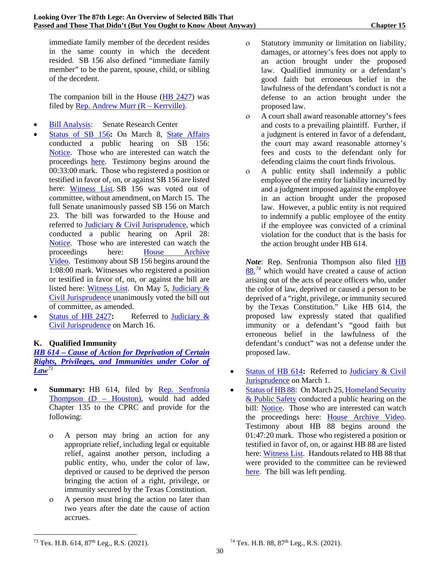immediate family member of the decedent resides in the same county in which the decedent resided. SB 156 also defined "immediate family member" to be the parent, spouse, child, or sibling of the decedent.

The companion bill in the House [\(HB 2427\)](https://capitol.texas.gov/tlodocs/87R/billtext/pdf/HB02427I.pdf#navpanes=0) was filed by <u>Rep. Andrew Murr ( $R$  – Kerrville)</u>.

- [Bill Analysis:](https://capitol.texas.gov/tlodocs/87R/analysis/pdf/SB00156I.pdf#navpanes=0) Senate Research Center
- [Status of SB 156](https://capitol.texas.gov/BillLookup/History.aspx?LegSess=87R&Bill=SB00156)**:** On March 8, [State Affairs](https://senate.texas.gov/cmte.php?c=570) conducted a public hearing on SB 156: [Notice.](https://capitol.texas.gov/tlodocs/87R/schedules/pdf/C5702021030809001.PDF) Those who are interested can watch the proceedings [here.](https://tlcsenate.granicus.com/MediaPlayer.php?view_id=49&clip_id=15432) Testimony begins around the 00:33:00 mark. Those who registered a position or testified in favor of, on, or against SB 156 are listed here: [Witness List.](https://capitol.texas.gov/tlodocs/87R/witlistmtg/pdf/C5702021030809001.PDF) SB 156 was voted out of committee, without amendment, on March 15. The full Senate unanimously passed SB 156 on March 23. The bill was forwarded to the House and referred to [Judiciary & Civil Jurisprudence,](https://house.texas.gov/committees/committee/index.php?committee=C330) which conducted a public hearing on April 28: [Notice.](https://capitol.texas.gov/tlodocs/87R/schedules/pdf/C3302021042808001.PDF) Those who are interested can watch the proceedings here: [House Archive](https://tlchouse.granicus.com/MediaPlayer.php?view_id=46&clip_id=20551)  [Video.](https://tlchouse.granicus.com/MediaPlayer.php?view_id=46&clip_id=20551) Testimony about SB 156 begins around the 1:08:00 mark. Witnesses who registered a position or testified in favor of, on, or against the bill are listed here: [Witness List.](https://capitol.texas.gov/tlodocs/87R/witlistmtg/pdf/C3302021042808001.PDF) On May 5, [Judiciary &](https://house.texas.gov/committees/committee/index.php?committee=C330)  [Civil Jurisprudence](https://house.texas.gov/committees/committee/index.php?committee=C330) unanimously voted the bill out of committee, as amended.
- [Status of HB 2427](https://capitol.texas.gov/BillLookup/History.aspx?LegSess=87R&Bill=HB2427): Referred to Judiciary & [Civil Jurisprudence](https://house.texas.gov/committees/committee/index.php?committee=C330) on March 16.

# **K. Qualified Immunity**

*HB 614 – [Cause of Action for Deprivation of Certain](https://capitol.texas.gov/tlodocs/87R/billtext/pdf/HB00614I.pdf#navpanes=0)  [Rights, Privileges, and Immunities under Color of](https://capitol.texas.gov/tlodocs/87R/billtext/pdf/HB00614I.pdf#navpanes=0)  [Law](https://capitol.texas.gov/tlodocs/87R/billtext/pdf/HB00614I.pdf#navpanes=0)[73](#page-41-0)*

- **Summary:** HB 614, filed by Rep. Senfronia Thompson (D - Houston), would had added Chapter 135 to the CPRC and provide for the following:
	- ο A person may bring an action for any appropriate relief, including legal or equitable relief, against another person, including a public entity, who, under the color of law, deprived or caused to be deprived the person bringing the action of a right, privilege, or immunity secured by the Texas Constitution.
	- ο A person must bring the action no later than two years after the date the cause of action accrues.
- ο Statutory immunity or limitation on liability, damages, or attorney's fees does not apply to an action brought under the proposed law. Qualified immunity or a defendant's good faith but erroneous belief in the lawfulness of the defendant's conduct is not a defense to an action brought under the proposed law.
- ο A court shall award reasonable attorney's fees and costs to a prevailing plaintiff. Further, if a judgment is entered in favor of a defendant, the court may award reasonable attorney's fees and costs to the defendant only for defending claims the court finds frivolous.
- ο A public entity shall indemnify a public employee of the entity for liability incurred by and a judgment imposed against the employee in an action brought under the proposed law. However, a public entity is not required to indemnify a public employee of the entity if the employee was convicted of a criminal violation for the conduct that is the basis for the action brought under HB 614.

*Note*: Rep. Senfronia Thompson also filed [HB](https://capitol.texas.gov/tlodocs/87R/billtext/pdf/HB00088I.pdf#navpanes=0)  [88,](https://capitol.texas.gov/tlodocs/87R/billtext/pdf/HB00088I.pdf#navpanes=0)<sup>[74](#page-41-0)</sup> which would have created a cause of action arising out of the acts of peace officers who, under the color of law, deprived or caused a person to be deprived of a "right, privilege, or immunity secured by the Texas Constitution." Like HB 614, the proposed law expressly stated that qualified immunity or a defendant's "good faith but erroneous belief in the lawfulness of the defendant's conduct" was not a defense under the proposed law.

- [Status of HB 614](https://capitol.texas.gov/BillLookup/History.aspx?LegSess=87R&Bill=HB614): Referred to Judiciary & Civil [Jurisprudence](https://house.texas.gov/committees/committee/index.php?committee=C330) on March 1.
- [Status of HB 88:](https://capitol.texas.gov/BillLookup/History.aspx?LegSess=87R&Bill=HB88) On March 25, Homeland Security [& Public Safety](https://house.texas.gov/committees/committee/index.php?committee=C420) conducted a public hearing on the bill: [Notice.](https://capitol.texas.gov/tlodocs/87R/schedules/html/C4202021032510301.htm) Those who are interested can watch the proceedings here: [House Archive Video.](https://tlchouse.granicus.com/MediaPlayer.php?view_id=46&clip_id=19883) Testimony about HB 88 begins around the 01:47:20 mark. Those who registered a position or testified in favor of, on, or against HB 88 are listed here[: Witness List.](https://capitol.texas.gov/tlodocs/87R/witlistmtg/pdf/C4202021032510301.PDF) Handouts related to HB 88 that were provided to the committee can be reviewed [here.](https://capitol.texas.gov/tlodocs/87R/handouts/C4202021032510301/477f4ba1-b120-494f-bd39-58c7a18e22e6.PDF) The bill was left pending.

<span id="page-41-0"></span><sup>73</sup> Tex. H.B. 614, 87<sup>th</sup> Leg., R.S. (2021).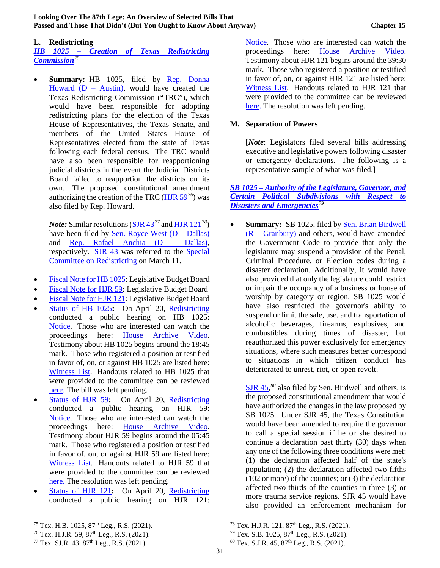### **L. Redistricting**

*HB 1025 – [Creation of Texas Redistricting](https://capitol.texas.gov/tlodocs/87R/billtext/pdf/HB01025I.pdf#navpanes=0)  [Commission](https://capitol.texas.gov/tlodocs/87R/billtext/pdf/HB01025I.pdf#navpanes=0)[75](#page-42-0)*

**Summary:** HB 1025, filed by Rep. Donna Howard  $(D - Austin)$ , would have created the Texas Redistricting Commission ("TRC"), which would have been responsible for adopting redistricting plans for the election of the Texas House of Representatives, the Texas Senate, and members of the United States House of Representatives elected from the state of Texas following each federal census. The TRC would have also been responsible for reapportioning judicial districts in the event the Judicial Districts Board failed to reapportion the districts on its own. The proposed constitutional amendment authorizing the creation of the TRC [\(HJR 59](https://capitol.texas.gov/tlodocs/87R/billtext/pdf/HJ00059I.pdf#navpanes=0)*[76](#page-42-1)*) was also filed by Rep. Howard.

*Note:* Similar resolutions [\(SJR 43](https://capitol.texas.gov/tlodocs/87R/billtext/pdf/SJ00043I.pdf#navpanes=0)*[77](#page-42-2)* an[d HJR 121](https://capitol.texas.gov/tlodocs/87R/billtext/pdf/HJ00121I.pdf#navpanes=0)*[78](#page-42-0)*) have been filed by Sen. Royce West  $(D - Dallas)$ and [Rep. Rafael Anchia \(D –](https://house.texas.gov/members/member-page/?district=103) Dallas), respectively. [SJR 43](https://capitol.texas.gov/tlodocs/87R/billtext/pdf/SJ00043I.pdf#navpanes=0) was referred to the [Special](https://senate.texas.gov/cmte.php?c=625)  [Committee on Redistricting](https://senate.texas.gov/cmte.php?c=625) on March 11.

- [Fiscal Note for HB 1025:](https://capitol.texas.gov/BillLookup/Text.aspx?LegSess=87R&Bill=HB1025) Legislative Budget Board
- [Fiscal Note for HJR 59:](https://capitol.texas.gov/BillLookup/Text.aspx?LegSess=87R&Bill=HJR59) Legislative Budget Board
- [Fiscal Note for HJR 121:](https://capitol.texas.gov/BillLookup/Text.aspx?LegSess=87R&Bill=HJR121) Legislative Budget Board
- [Status of HB 1025](https://capitol.texas.gov/BillLookup/History.aspx?LegSess=87R&Bill=HB1025)**:** On April 20, [Redistricting](https://house.texas.gov/committees/committee/index.php?committee=C080) conducted a public hearing on HB 1025: [Notice.](https://capitol.texas.gov/tlodocs/87R/schedules/html/C0802021042008001.htm) Those who are interested can watch the proceedings here: [House Archive Video.](https://tlchouse.granicus.com/MediaPlayer.php?view_id=46&clip_id=20404) Testimony about HB 1025 begins around the 18:45 mark. Those who registered a position or testified in favor of, on, or against HB 1025 are listed here: [Witness List.](https://capitol.texas.gov/tlodocs/87R/witlistmtg/pdf/C0802021042008001.PDF) Handouts related to HB 1025 that were provided to the committee can be reviewed [here.](https://capitol.texas.gov/tlodocs/87R/handouts/C0802021042008001/C0802021042008001.PDF) The bill was left pending.
- [Status of HJR 59](https://capitol.texas.gov/BillLookup/History.aspx?LegSess=87R&Bill=HJR59)**:** On April 20, [Redistricting](https://house.texas.gov/committees/committee/index.php?committee=C080) conducted a public hearing on HJR 59: [Notice.](https://capitol.texas.gov/tlodocs/87R/schedules/html/C0802021042008001.htm) Those who are interested can watch the proceedings here: [House Archive Video.](https://tlchouse.granicus.com/MediaPlayer.php?view_id=46&clip_id=20404) Testimony about HJR 59 begins around the 05:45 mark. Those who registered a position or testified in favor of, on, or against HJR 59 are listed here: [Witness List.](https://capitol.texas.gov/tlodocs/87R/witlistmtg/pdf/C0802021042008001.PDF) Handouts related to HJR 59 that were provided to the committee can be reviewed [here.](https://capitol.texas.gov/tlodocs/87R/handouts/C0802021042008001/C0802021042008001.PDF) The resolution was left pending.
- [Status of HJR 121](https://capitol.texas.gov/BillLookup/History.aspx?LegSess=87R&Bill=HJR121)**:** On April 20, [Redistricting](https://house.texas.gov/committees/committee/index.php?committee=C080) conducted a public hearing on HJR 121:

[Notice.](https://capitol.texas.gov/tlodocs/87R/schedules/html/C0802021042008001.htm) Those who are interested can watch the proceedings here: [House Archive Video.](https://tlchouse.granicus.com/MediaPlayer.php?view_id=46&clip_id=20404) Testimony about HJR 121 begins around the 39:30 mark. Those who registered a position or testified in favor of, on, or against HJR 121 are listed here: [Witness List.](https://capitol.texas.gov/tlodocs/87R/witlistmtg/pdf/C0802021042008001.PDF) Handouts related to HJR 121 that were provided to the committee can be reviewed [here.](https://capitol.texas.gov/tlodocs/87R/handouts/C0802021042008001/C0802021042008001.PDF) The resolution was left pending.

### **M. Separation of Powers**

[*Note*: Legislators filed several bills addressing executive and legislative powers following disaster or emergency declarations. The following is a representative sample of what was filed.]

### *SB 1025 – Authority [of the Legislature, Governor, and](https://capitol.texas.gov/tlodocs/87R/billtext/pdf/SB01025E.pdf#navpanes=0)  [Certain Political Subdivisions with Respect to](https://capitol.texas.gov/tlodocs/87R/billtext/pdf/SB01025E.pdf#navpanes=0)  [Disasters and Emergencies](https://capitol.texas.gov/tlodocs/87R/billtext/pdf/SB01025E.pdf#navpanes=0)[79](#page-42-1)*

• **Summary:** SB 1025, filed by **Sen. Brian Birdwell**  $(R - Granbury)$  and others, would have amended the Government Code to provide that only the legislature may suspend a provision of the Penal, Criminal Procedure, or Election codes during a disaster declaration. Additionally, it would have also provided that only the legislature could restrict or impair the occupancy of a business or house of worship by category or region. SB 1025 would have also restricted the governor's ability to suspend or limit the sale, use, and transportation of alcoholic beverages, firearms, explosives, and combustibles during times of disaster, but reauthorized this power exclusively for emergency situations, where such measures better correspond to situations in which citizen conduct has deteriorated to unrest, riot, or open revolt.

[SJR 45,](https://capitol.texas.gov/tlodocs/87R/billtext/pdf/SJ00045E.pdf#navpanes=0)<sup>[80](#page-42-2)</sup> also filed by Sen. Birdwell and others, is the proposed constitutional amendment that would have authorized the changes in the law proposed by SB 1025. Under SJR 45, the Texas Constitution would have been amended to require the governor to call a special session if he or she desired to continue a declaration past thirty (30) days when any one of the following three conditions were met: (1) the declaration affected half of the state's population; (2) the declaration affected two-fifths (102 or more) of the counties; or (3) the declaration affected two-thirds of the counties in three (3) or more trauma service regions. SJR 45 would have also provided an enforcement mechanism for

<sup>79</sup> Tex. S.B. 1025, 87th Leg., R.S. (2021).

<span id="page-42-0"></span><sup>75</sup> Tex. H.B. 1025, 87th Leg., R.S. (2021).

<span id="page-42-1"></span><sup>&</sup>lt;sup>76</sup> Tex. H.J.R. 59, 87<sup>th</sup> Leg., R.S. (2021).

<span id="page-42-2"></span> $^{77}$  Tex. SJ.R. 43,  $87<sup>th</sup>$  Leg., R.S. (2021).

<sup>78</sup> Tex. H.J.R. 121, 87<sup>th</sup> Leg., R.S. (2021).

 $80$  Tex. S.J.R. 45,  $87<sup>th</sup>$  Leg., R.S. (2021).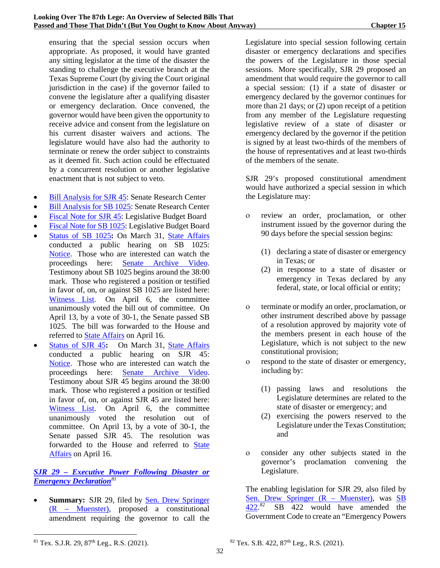ensuring that the special session occurs when appropriate. As proposed, it would have granted any sitting legislator at the time of the disaster the standing to challenge the executive branch at the Texas Supreme Court (by giving the Court original jurisdiction in the case) if the governor failed to convene the legislature after a qualifying disaster or emergency declaration. Once convened, the governor would have been given the opportunity to receive advice and consent from the legislature on his current disaster waivers and actions. The legislature would have also had the authority to terminate or renew the order subject to constraints as it deemed fit. Such action could be effectuated by a concurrent resolution or another legislative enactment that is not subject to veto.

- [Bill Analysis for SJR 45:](https://capitol.texas.gov/tlodocs/87R/analysis/pdf/SJ00045S.pdf#navpanes=0) Senate Research Center
- [Bill Analysis for SB 1025:](https://capitol.texas.gov/tlodocs/87R/analysis/pdf/SB01025S.pdf#navpanes=0) Senate Research Center
- [Fiscal Note for SJR 45:](https://capitol.texas.gov/tlodocs/87R/fiscalnotes/pdf/SJ00045S.pdf#navpanes=0) Legislative Budget Board
- [Fiscal Note for SB 1025:](https://capitol.texas.gov/tlodocs/87R/fiscalnotes/pdf/SB01025S.pdf#navpanes=0) Legislative Budget Board
- [Status of SB 1025](https://capitol.texas.gov/BillLookup/History.aspx?LegSess=87R&Bill=SB1025)**:** On March 31, [State Affairs](https://senate.texas.gov/cmte.php?c=570) conducted a public hearing on SB 1025: [Notice.](https://capitol.texas.gov/tlodocs/87R/schedules/pdf/C5702021033109001.PDF) Those who are interested can watch the proceedings here: [Senate Archive Video.](https://tlcsenate.granicus.com/MediaPlayer.php?view_id=49&clip_id=15595) Testimony about SB 1025 begins around the 38:00 mark. Those who registered a position or testified in favor of, on, or against SB 1025 are listed here: [Witness List.](https://capitol.texas.gov/tlodocs/87R/witlistmtg/pdf/C5702021033109001.PDF) On April 6, the committee unanimously voted the bill out of committee. On April 13, by a vote of 30-1, the Senate passed SB 1025. The bill was forwarded to the House and referred to [State Affairs](https://house.texas.gov/committees/committee/index.php?committee=C450) on April 16.
- [Status of SJR 45](https://capitol.texas.gov/BillLookup/History.aspx?LegSess=87R&Bill=SJR45)**:** On March 31, [State Affairs](https://senate.texas.gov/cmte.php?c=570) conducted a public hearing on SJR 45: [Notice.](https://capitol.texas.gov/tlodocs/87R/schedules/pdf/C5702021033109001.PDF) Those who are interested can watch the proceedings here: [Senate Archive Video.](https://tlcsenate.granicus.com/MediaPlayer.php?view_id=49&clip_id=15595) Testimony about SJR 45 begins around the 38:00 mark. Those who registered a position or testified in favor of, on, or against SJR 45 are listed here: [Witness List.](https://capitol.texas.gov/tlodocs/87R/witlistmtg/pdf/C5702021033109001.PDF) On April 6, the committee unanimously voted the resolution out of committee. On April 13, by a vote of 30-1, the Senate passed SJR 45. The resolution was forwarded to the House and referred to [State](https://house.texas.gov/committees/committee/index.php?committee=C450)  [Affairs](https://house.texas.gov/committees/committee/index.php?committee=C450) on April 16.

# *SJR 29 – [Executive Power Following Disaster or](https://capitol.texas.gov/tlodocs/87R/billtext/pdf/SJ00029I.pdf#navpanes=0)  [Emergency Declaration](https://capitol.texas.gov/tlodocs/87R/billtext/pdf/SJ00029I.pdf#navpanes=0)[81](#page-43-0)*

Summary: SJR 29, filed by **Sen. Drew Springer** (R – [Muenster\),](https://senate.texas.gov/member.php?d=30) proposed a constitutional amendment requiring the governor to call the Legislature into special session following certain disaster or emergency declarations and specifies the powers of the Legislature in those special sessions. More specifically, SJR 29 proposed an amendment that would require the governor to call a special session: (1) if a state of disaster or emergency declared by the governor continues for more than 21 days; or (2) upon receipt of a petition from any member of the Legislature requesting legislative review of a state of disaster or emergency declared by the governor if the petition is signed by at least two-thirds of the members of the house of representatives and at least two-thirds of the members of the senate.

SJR 29's proposed constitutional amendment would have authorized a special session in which the Legislature may:

- ο review an order, proclamation, or other instrument issued by the governor during the 90 days before the special session begins:
	- (1) declaring a state of disaster or emergency in Texas; or
	- (2) in response to a state of disaster or emergency in Texas declared by any federal, state, or local official or entity;
- ο terminate or modify an order, proclamation, or other instrument described above by passage of a resolution approved by majority vote of the members present in each house of the Legislature, which is not subject to the new constitutional provision;
- ο respond to the state of disaster or emergency, including by:
	- (1) passing laws and resolutions the Legislature determines are related to the state of disaster or emergency; and
	- (2) exercising the powers reserved to the Legislature under the Texas Constitution; and
- ο consider any other subjects stated in the governor's proclamation convening the Legislature.

The enabling legislation for SJR 29, also filed by [Sen. Drew Springer \(R –](https://senate.texas.gov/member.php?d=30) Muenster), was [SB](https://capitol.texas.gov/tlodocs/87R/billtext/pdf/SB00422I.pdf#navpanes=0)  [422.](https://capitol.texas.gov/tlodocs/87R/billtext/pdf/SB00422I.pdf#navpanes=0) *[82](#page-43-0)* SB 422 would have amended the Government Code to create an "Emergency Powers

<span id="page-43-0"></span> $81$  Tex. S.J.R. 29,  $87<sup>th</sup>$  Leg., R.S. (2021).

 $82$  Tex. S.B. 422,  $87<sup>th</sup>$  Leg., R.S. (2021).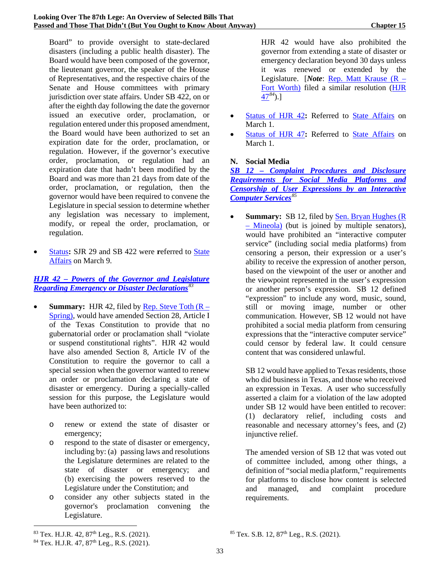Board" to provide oversight to state-declared disasters (including a public health disaster). The Board would have been composed of the governor, the lieutenant governor, the speaker of the House of Representatives, and the respective chairs of the Senate and House committees with primary jurisdiction over state affairs. Under SB 422, on or after the eighth day following the date the governor issued an executive order, proclamation, or regulation entered under this proposed amendment, the Board would have been authorized to set an expiration date for the order, proclamation, or regulation. However, if the governor's executive order, proclamation, or regulation had an expiration date that hadn't been modified by the Board and was more than 21 days from date of the order, proclamation, or regulation, then the governor would have been required to convene the Legislature in special session to determine whether any legislation was necessary to implement, modify, or repeal the order, proclamation, or regulation.

• [Status](https://capitol.texas.gov/BillLookup/history.aspx?LegSess=87R&Bill=SJR29)**:** SJR 29 and SB 422 were **r**eferred to [State](https://senate.texas.gov/cmte.php?c=570)  [Affairs](https://senate.texas.gov/cmte.php?c=570) on March 9.

### *HJR 42 – [Powers of the Governor and Legislature](https://capitol.texas.gov/tlodocs/87R/billtext/pdf/HJ00042I.pdf#navpanes=0)  [Regarding Emergency or](https://capitol.texas.gov/tlodocs/87R/billtext/pdf/HJ00042I.pdf#navpanes=0) Disaster Declarations[83](#page-44-0)*

- **Summary:** HJR 42, filed by [Rep. Steve Toth \(R –](https://house.texas.gov/members/member-page/?district=15) [Spring\),](https://house.texas.gov/members/member-page/?district=15) would have amended Section 28, Article I of the Texas Constitution to provide that no gubernatorial order or proclamation shall "violate or suspend constitutional rights". HJR 42 would have also amended Section 8, Article IV of the Constitution to require the governor to call a special session when the governor wanted to renew an order or proclamation declaring a state of disaster or emergency. During a specially-called session for this purpose, the Legislature would have been authorized to:
	- o renew or extend the state of disaster or emergency;
	- o respond to the state of disaster or emergency, including by: (a) passing laws and resolutions the Legislature determines are related to the state of disaster or emergency; and (b) exercising the powers reserved to the Legislature under the Constitution; and
	- o consider any other subjects stated in the governor's proclamation convening the Legislature.

HJR 42 would have also prohibited the governor from extending a state of disaster or emergency declaration beyond 30 days unless it was renewed or extended by the Legislature. [*Note*: [Rep. Matt Krause](https://house.texas.gov/members/member-page/?district=93) (R – [Fort Worth\)](https://house.texas.gov/members/member-page/?district=93) filed a similar resolution [\(HJR](https://capitol.texas.gov/tlodocs/87R/billtext/pdf/HJ00047I.pdf#navpanes=0)  [47](https://capitol.texas.gov/tlodocs/87R/billtext/pdf/HJ00047I.pdf#navpanes=0)*[84](#page-44-1)*).]

- [Status of HJR 42](https://capitol.texas.gov/BillLookup/history.aspx?LegSess=87R&Bill=HJR42): Referred to [State Affairs](https://house.texas.gov/committees/committee/index.php?committee=C450) on March 1.
- [Status of HJR 47](https://capitol.texas.gov/BillLookup/history.aspx?LegSess=87R&Bill=HJR47): Referred to [State Affairs](https://house.texas.gov/committees/committee/index.php?committee=C450) on March 1.

### **N. Social Media**

*SB 12 – [Complaint Procedures and Disclosure](https://capitol.texas.gov/tlodocs/87R/billtext/pdf/SB00012H.pdf#navpanes=0)  [Requirements for Social Media Platforms and](https://capitol.texas.gov/tlodocs/87R/billtext/pdf/SB00012H.pdf#navpanes=0)  [Censorship of User Expressions by an Interactive](https://capitol.texas.gov/tlodocs/87R/billtext/pdf/SB00012H.pdf#navpanes=0)  [Computer Services](https://capitol.texas.gov/tlodocs/87R/billtext/pdf/SB00012H.pdf#navpanes=0)[85](#page-44-0)*

• **Summary:** SB 12, filed by <u>Sen. Bryan Hughes (R</u> – [Mineola\)](https://senate.texas.gov/member.php?d=1) (but is joined by multiple senators), would have prohibited an "interactive computer service" (including social media platforms) from censoring a person, their expression or a user's ability to receive the expression of another person, based on the viewpoint of the user or another and the viewpoint represented in the user's expression or another person's expression. SB 12 defined "expression" to include any word, music, sound, still or moving image, number or other communication. However, SB 12 would not have prohibited a social media platform from censuring expressions that the "interactive computer service" could censor by federal law. It could censure content that was considered unlawful.

SB 12 would have applied to Texas residents, those who did business in Texas, and those who received an expression in Texas. A user who successfully asserted a claim for a violation of the law adopted under SB 12 would have been entitled to recover: (1) declaratory relief, including costs and reasonable and necessary attorney's fees, and (2) injunctive relief.

The amended version of SB 12 that was voted out of committee included, among other things, a definition of "social media platform," requirements for platforms to disclose how content is selected and managed, and complaint procedure requirements.

<span id="page-44-0"></span><sup>83</sup> Tex. H.J.R. 42, 87<sup>th</sup> Leg., R.S. (2021).

<span id="page-44-1"></span> $84$  Tex. H.J.R. 47,  $87<sup>th</sup>$  Leg., R.S. (2021).

<sup>85</sup> Tex. S.B. 12, 87<sup>th</sup> Leg., R.S. (2021).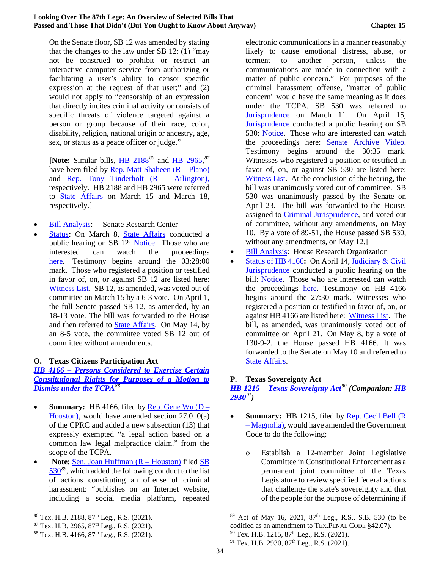On the Senate floor, SB 12 was amended by stating that the changes to the law under SB 12: (1) "may not be construed to prohibit or restrict an interactive computer service from authorizing or facilitating a user's ability to censor specific expression at the request of that user;" and (2) would not apply to "censorship of an expression that directly incites criminal activity or consists of specific threats of violence targeted against a person or group because of their race, color, disability, religion, national origin or ancestry, age, sex, or status as a peace officer or judge."

**[Note:** Similar bills, HB 2188*[86](#page-45-0)* and HB 2965, *[87](#page-45-1)* have been filed by Rep. Matt Shaheen  $(R - Plano)$ and <u>Rep. Tony Tinderholt  $(R - Arlington)$ </u>, respectively. HB 2188 and HB 2965 were referred to State Affairs on March 15 and March 18, respectively.]

• Bill Analysis: Senate Research Center

Status: On March 8, State Affairs conducted a public hearing on SB 12: Notice. Those who are interested can watch the proceedings here. Testimony begins around the  $03:28:00$ mark. Those who registered a position or testified in favor of, on, or against SB 12 are listed here: Witness List. SB 12, as amended, was voted out of committee on March 15 by a 6-3 vote. On April 1, the full Senate passed SB 12, as amended, by an 18-13 vote. The bill was forwarded to the House and then referred to State Affairs. On May 14, by an 8-5 vote, the committee voted SB 12 out of committee without amendments.

### **O. Texas Citizens Participation Act**

*HB 4166 – Persons Considered to Exercise Certain Constitutional Rights for Purposes of a Motion to Dismiss under the TCPA[88](#page-45-2)*

- **Summary:** HB 4166, filed by Rep. Gene Wu (D Houston), would have amended section 27.010(a) of the CPRC and added a new subsection (13) that expressly exempted "a legal action based on a common law legal malpractice claim." from the scope of the TCPA.
- [**Note**: Sen. Joan Huffman (R Houston) filed SB 530*[89](#page-45-0)*, which added the following conduct to the list of actions constituting an offense of criminal harassment: "publishes on an Internet website, including a social media platform, repeated

electronic communications in a manner reasonably likely to cause emotional distress, abuse, or torment to another person, unless the communications are made in connection with a matter of public concern." For purposes of the criminal harassment offense, "matter of public concern" would have the same meaning as it does under the TCPA. SB 530 was referred to Jurisprudence on March 11. On April 15, Jurisprudence conducted a public hearing on SB 530: Notice. Those who are interested can watch the proceedings here: Senate Archive Video. Testimony begins around the 30:35 mark. Witnesses who registered a position or testified in favor of, on, or against SB 530 are listed here: Witness List. At the conclusion of the hearing, the bill was unanimously voted out of committee. SB 530 was unanimously passed by the Senate on April 23. The bill was forwarded to the House, assigned to Criminal Jurisprudence, and voted out of committee, without any amendments, on May 10. By a vote of 89-51, the House passed SB 530, without any amendments, on May 12.]

- Bill Analysis: House Research Organization
- Status of HB 4166: On April 14, Judiciary & Civil Jurisprudence conducted a public hearing on the bill: **Notice**. Those who are interested can watch the proceedings here. Testimony on HB 4166 begins around the 27:30 mark. Witnesses who registered a position or testified in favor of, on, or against HB 4166 are listed here: Witness List. The bill, as amended, was unanimously voted out of committee on April 21. On May 8, by a vote of 130-9-2, the House passed HB 4166. It was forwarded to the Senate on May 10 and referred to State Affairs.

### **P. Texas Sovereignty Act**

*HB 1215 – Texas Sovereignty Act[90](#page-45-3) (Companion: HB 2930[91](#page-45-4))*

- **Summary:** HB 1215, filed by Rep. Cecil Bell (R – Magnolia), would have amended the Government Code to do the following:
	- ο Establish a 12-member Joint Legislative Committee in Constitutional Enforcement as a permanent joint committee of the Texas Legislature to review specified federal actions that challenge the state's sovereignty and that of the people for the purpose of determining if

<span id="page-45-0"></span><sup>86</sup> Tex. H.B. 2188, 87<sup>th</sup> Leg., R.S. (2021).

<span id="page-45-1"></span> $87$  Tex. H.B. 2965,  $87<sup>th</sup>$  Leg., R.S. (2021).

<span id="page-45-4"></span><span id="page-45-3"></span><span id="page-45-2"></span><sup>88</sup> Tex. H.B. 4166, 87<sup>th</sup> Leg., R.S. (2021).

<sup>89</sup> Act of May 16, 2021, 87<sup>th</sup> Leg., R.S., S.B. 530 (to be codified as an amendment to TEX.PENAL CODE §42.07).

<sup>&</sup>lt;sup>90</sup> Tex. H.B. 1215, 87<sup>th</sup> Leg., R.S. (2021).

 $91$  Tex. H.B. 2930,  $87<sup>th</sup>$  Leg., R.S. (2021).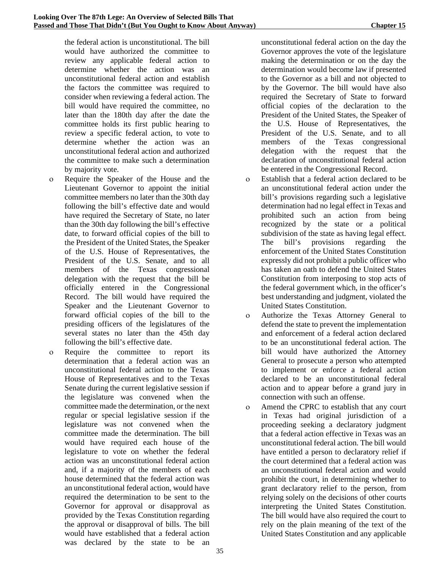the federal action is unconstitutional. The bill would have authorized the committee to review any applicable federal action to determine whether the action was an unconstitutional federal action and establish the factors the committee was required to consider when reviewing a federal action. The bill would have required the committee, no later than the 180th day after the date the committee holds its first public hearing to review a specific federal action, to vote to determine whether the action was an unconstitutional federal action and authorized the committee to make such a determination by majority vote.

- ο Require the Speaker of the House and the Lieutenant Governor to appoint the initial committee members no later than the 30th day following the bill's effective date and would have required the Secretary of State, no later than the 30th day following the bill's effective date, to forward official copies of the bill to the President of the United States, the Speaker of the U.S. House of Representatives, the President of the U.S. Senate, and to all members of the Texas congressional delegation with the request that the bill be officially entered in the Congressional Record. The bill would have required the Speaker and the Lieutenant Governor to forward official copies of the bill to the presiding officers of the legislatures of the several states no later than the 45th day following the bill's effective date.
- ο Require the committee to report its determination that a federal action was an unconstitutional federal action to the Texas House of Representatives and to the Texas Senate during the current legislative session if the legislature was convened when the committee made the determination, or the next regular or special legislative session if the legislature was not convened when the committee made the determination. The bill would have required each house of the legislature to vote on whether the federal action was an unconstitutional federal action and, if a majority of the members of each house determined that the federal action was an unconstitutional federal action, would have required the determination to be sent to the Governor for approval or disapproval as provided by the Texas Constitution regarding the approval or disapproval of bills. The bill would have established that a federal action was declared by the state to be an

unconstitutional federal action on the day the Governor approves the vote of the legislature making the determination or on the day the determination would become law if presented to the Governor as a bill and not objected to by the Governor. The bill would have also required the Secretary of State to forward official copies of the declaration to the President of the United States, the Speaker of the U.S. House of Representatives, the President of the U.S. Senate, and to all members of the Texas congressional delegation with the request that the declaration of unconstitutional federal action be entered in the Congressional Record.

- ο Establish that a federal action declared to be an unconstitutional federal action under the bill's provisions regarding such a legislative determination had no legal effect in Texas and prohibited such an action from being recognized by the state or a political subdivision of the state as having legal effect. The bill's provisions regarding the enforcement of the United States Constitution expressly did not prohibit a public officer who has taken an oath to defend the United States Constitution from interposing to stop acts of the federal government which, in the officer's best understanding and judgment, violated the United States Constitution.
- ο Authorize the Texas Attorney General to defend the state to prevent the implementation and enforcement of a federal action declared to be an unconstitutional federal action. The bill would have authorized the Attorney General to prosecute a person who attempted to implement or enforce a federal action declared to be an unconstitutional federal action and to appear before a grand jury in connection with such an offense.
- ο Amend the CPRC to establish that any court in Texas had original jurisdiction of a proceeding seeking a declaratory judgment that a federal action effective in Texas was an unconstitutional federal action. The bill would have entitled a person to declaratory relief if the court determined that a federal action was an unconstitutional federal action and would prohibit the court, in determining whether to grant declaratory relief to the person, from relying solely on the decisions of other courts interpreting the United States Constitution. The bill would have also required the court to rely on the plain meaning of the text of the United States Constitution and any applicable